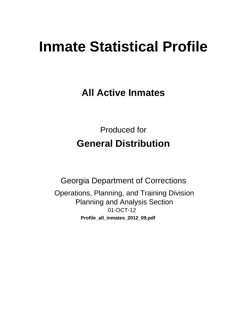# **Inmate Statistical Profile**

**All Active Inmates** 

**Produced for General Distribution** 

**Georgia Department of Corrections** Operations, Planning, and Training Division **Planning and Analysis Section** 01-OCT-12 Profile\_all\_inmates\_2012\_09.pdf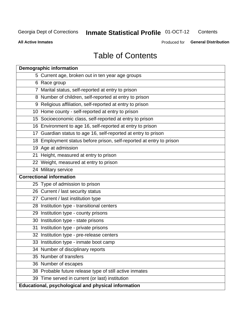#### **Inmate Statistical Profile 01-OCT-12** Contents

**All Active Inmates** 

Produced for General Distribution

# **Table of Contents**

|    | <b>Demographic information</b>                                       |
|----|----------------------------------------------------------------------|
|    | 5 Current age, broken out in ten year age groups                     |
|    | 6 Race group                                                         |
|    | 7 Marital status, self-reported at entry to prison                   |
|    | 8 Number of children, self-reported at entry to prison               |
|    | 9 Religious affiliation, self-reported at entry to prison            |
|    | 10 Home county - self-reported at entry to prison                    |
|    | 15 Socioeconomic class, self-reported at entry to prison             |
|    | 16 Environment to age 16, self-reported at entry to prison           |
|    | 17 Guardian status to age 16, self-reported at entry to prison       |
|    | 18 Employment status before prison, self-reported at entry to prison |
|    | 19 Age at admission                                                  |
|    | 21 Height, measured at entry to prison                               |
|    | 22 Weight, measured at entry to prison                               |
|    | 24 Military service                                                  |
|    | <b>Correctional information</b>                                      |
|    | 25 Type of admission to prison                                       |
|    | 26 Current / last security status                                    |
|    | 27 Current / last institution type                                   |
|    | 28 Institution type - transitional centers                           |
|    | 29 Institution type - county prisons                                 |
|    | 30 Institution type - state prisons                                  |
| 31 | Institution type - private prisons                                   |
|    | 32 Institution type - pre-release centers                            |
|    | 33 Institution type - inmate boot camp                               |
|    | 34 Number of disciplinary reports                                    |
|    | 35 Number of transfers                                               |
|    | 36 Number of escapes                                                 |
|    | 38 Probable future release type of still active inmates              |
|    | 39 Time served in current (or last) institution                      |
|    | Educational, psychological and physical information                  |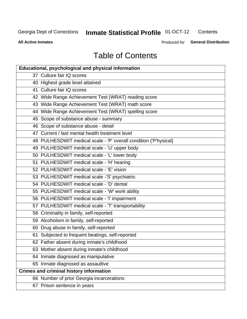#### **Inmate Statistical Profile 01-OCT-12** Contents

**All Active Inmates** 

Produced for General Distribution

# **Table of Contents**

| <b>Educational, psychological and physical information</b>       |
|------------------------------------------------------------------|
| 37 Culture fair IQ scores                                        |
| 40 Highest grade level attained                                  |
| 41 Culture fair IQ scores                                        |
| 42 Wide Range Achievement Test (WRAT) reading score              |
| 43 Wide Range Achievement Test (WRAT) math score                 |
| 44 Wide Range Achievement Test (WRAT) spelling score             |
| 45 Scope of substance abuse - summary                            |
| 46 Scope of substance abuse - detail                             |
| 47 Current / last mental health treatment level                  |
| 48 PULHESDWIT medical scale - 'P' overall condition ('P'hysical) |
| 49 PULHESDWIT medical scale - 'U' upper body                     |
| 50 PULHESDWIT medical scale - 'L' lower body                     |
| 51 PULHESDWIT medical scale - 'H' hearing                        |
| 52 PULHESDWIT medical scale - 'E' vision                         |
| 53 PULHESDWIT medical scale -'S' psychiatric                     |
| 54 PULHESDWIT medical scale - 'D' dental                         |
| 55 PULHESDWIT medical scale - 'W' work ability                   |
| 56 PULHESDWIT medical scale - 'I' impairment                     |
| 57 PULHESDWIT medical scale - 'T' transportability               |
| 58 Criminality in family, self-reported                          |
| 59 Alcoholism in family, self-reported                           |
| 60 Drug abuse in family, self-reported                           |
| 61 Subjected to frequent beatings, self-reported                 |
| 62 Father absent during inmate's childhood                       |
| 63 Mother absent during inmate's childhood                       |
| 64 Inmate diagnosed as manipulative                              |
| 65 Inmate diagnosed as assaultive                                |
| <b>Crimes and criminal history information</b>                   |
| 66 Number of prior Georgia incarcerations                        |
| 67 Prison sentence in years                                      |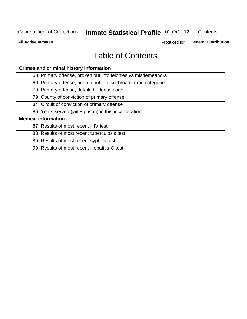#### **Inmate Statistical Profile 01-OCT-12** Contents

**All Active Inmates** 

Produced for General Distribution

# **Table of Contents**

| <b>Crimes and criminal history information</b>                 |
|----------------------------------------------------------------|
| 68 Primary offense, broken out into felonies vs misdemeanors   |
| 69 Primary offense, broken out into six broad crime categories |
| 70 Primary offense, detailed offense code                      |
| 79 County of conviction of primary offense                     |
| 84 Circuit of conviction of primary offense                    |
| 86 Years served (jail + prison) in this incarceration          |
| <b>Medical information</b>                                     |
| 87 Results of most recent HIV test                             |
| 88 Results of most recent tuberculosis test                    |
| 89 Results of most recent syphilis test                        |
| 90 Results of most recent Hepatitis-C test                     |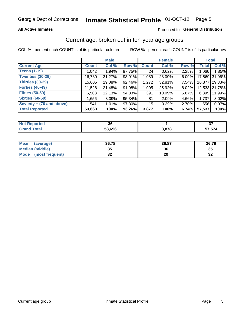#### Inmate Statistical Profile 01-OCT-12 Page 5

### **All Active Inmates**

### Produced for General Distribution

### Current age, broken out in ten-year age groups

COL % - percent each COUNT is of its particular column

|                          |              | <b>Male</b> |        |              | <b>Female</b> |       | <b>Total</b> |               |
|--------------------------|--------------|-------------|--------|--------------|---------------|-------|--------------|---------------|
| <b>Current Age</b>       | <b>Count</b> | Col %       | Row %  | <b>Count</b> | Col %         | Row % | <b>Total</b> | Col %         |
| <b>Teens (1-19)</b>      | 1,042        | 1.94%       | 97.75% | 24           | 0.62%         | 2.25% | 1,066        | 1.85%         |
| <b>Twenties (20-29)</b>  | 16,780       | 31.27%      | 93.91% | 1,089        | 28.09%        | 6.09% | 17,869       | 31.06%        |
| <b>Thirties (30-39)</b>  | 15,605       | 29.08%      | 92.46% | 1,272        | 32.81%        | 7.54% | 16,877       | 29.33%        |
| <b>Forties (40-49)</b>   | 11,528       | 21.48%      | 91.98% | 1,005        | 25.92%        | 8.02% |              | 12,533 21.78% |
| <b>Fifties (50-59)</b>   | 6,508        | 12.13%      | 94.33% | 391          | 10.09%        | 5.67% | 6.8991       | 11.99%        |
| <b>Sixties (60-69)</b>   | 1,656        | 3.09%       | 95.34% | 81           | 2.09%         | 4.66% | 1,737        | 3.02%         |
| Seventy + (70 and above) | 541          | 1.01%       | 97.30% | 15           | 0.39%         | 2.70% | 556          | 0.97%         |
| <b>Total Reported</b>    | 53,660       | 100%        | 93.26% | 3,877        | 100%          | 6.74% | 57,537       | 100%          |

| <b>Not Repo</b> | 00     |      | $\sim$ |
|-----------------|--------|------|--------|
| orted           | υu     |      | ັ      |
| <b>Total</b>    | 53,696 | 2070 | 57,574 |

| <b>Mean</b><br>(average) | 36.78    | 36.87 | 36.79 |
|--------------------------|----------|-------|-------|
| Median (middle)          | 2F<br>vu | 36    | 35    |
| Mode<br>(most frequent)  | n,<br>◡▵ | 29    | ⊾ت    |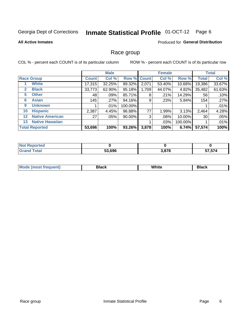#### **Inmate Statistical Profile 01-OCT-12** Page 6

### **All Active Inmates**

### Produced for General Distribution

### Race group

COL % - percent each COUNT is of its particular column

|                   |                        |              | <b>Male</b> |             |       | <b>Female</b> |         |              | <b>Total</b> |
|-------------------|------------------------|--------------|-------------|-------------|-------|---------------|---------|--------------|--------------|
|                   | <b>Race Group</b>      | <b>Count</b> | Col %       | Row % Count |       | Col %         | Row %   | <b>Total</b> | Col %        |
|                   | <b>White</b>           | 17,315       | 32.25%      | 89.32%      | 2,071 | 53.40%        | 10.68%  | 19,386       | 33.67%       |
| 2                 | <b>Black</b>           | 33,773       | 62.90%      | 95.18%      | 1,709 | 44.07%        | 4.82%   | 35,482       | 61.63%       |
| 5                 | <b>Other</b>           | 48           | .09%        | 85.71%      | 8     | .21%          | 14.29%  | 56           | .10%         |
| 6                 | <b>Asian</b>           | 145          | .27%        | 94.16%      | 9     | .23%          | 5.84%   | 154          | .27%         |
| 9                 | <b>Unknown</b>         |              | $.01\%$     | 100.00%     |       |               |         |              | .01%         |
| 10                | <b>Hispanic</b>        | 2,387        | 4.45%       | 96.88%      | 77    | 1.99%         | 3.13%   | 2,464        | 4.28%        |
| $12 \overline{ }$ | <b>Native American</b> | 27           | .05%        | 90.00%      | 3     | .08%          | 10.00%  | 30           | .05%         |
| 13                | <b>Native Hawaiian</b> |              |             |             |       | .03%          | 100.00% |              | .01%         |
|                   | <b>Total Reported</b>  | 53,696       | 100%        | 93.26%      | 3,878 | 100%          | 6.74%   | 57,574       | 100%         |

| norted<br>N  |                    |       |        |
|--------------|--------------------|-------|--------|
| <b>cotal</b> | ,696<br>гΛ.<br>ວວ, | 3,878 | 57,574 |

| Mode (<br>tenti<br>most tren | こうへん | White<br>$\sim$ $\sim$ $\sim$ | <b>Black</b> |
|------------------------------|------|-------------------------------|--------------|
|                              |      |                               |              |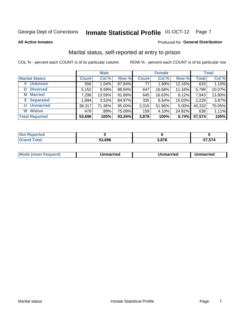# Inmate Statistical Profile 01-OCT-12 Page 7

**All Active Inmates** 

### Produced for General Distribution

### Marital status, self-reported at entry to prison

COL % - percent each COUNT is of its particular column

|                            |              | <b>Male</b> |        |              | <b>Female</b> |        |              | <b>Total</b> |
|----------------------------|--------------|-------------|--------|--------------|---------------|--------|--------------|--------------|
| <b>Marital Status</b>      | <b>Count</b> | Col %       | Row %  | <b>Count</b> | Col %         | Row %  | <b>Total</b> | Col %        |
| <b>Unknown</b><br>$\bf{0}$ | 556          | $1.04\%$    | 87.84% | 77           | 1.99%         | 12.16% | 633          | 1.10%        |
| <b>Divorced</b><br>D       | 5,152        | 9.59%       | 88.84% | 647          | 16.68%        | 11.16% | 5,799        | 10.07%       |
| <b>Married</b><br>M        | 7,298        | 13.59%      | 91.88% | 645          | 16.63%        | 8.12%  | 7,943        | 13.80%       |
| <b>S</b> Separated         | 1,894        | 3.53%       | 84.97% | 335          | 8.64%         | 15.03% | 2,229        | 3.87%        |
| <b>Unmarried</b><br>U      | 38,317       | 71.36%      | 95.00% | 2,015        | 51.96%        | 5.00%  | 40,332       | 70.05%       |
| <b>Widow</b><br>W          | 479          | .89%        | 75.08% | 159          | 4.10%         | 24.92% | 638          | 1.11%        |
| <b>Total Reported</b>      | 53,696       | 100%        | 93.26% | 3,878        | 100%          | 6.74%  | 57,574       | 100%         |

| ortea →<br><b>NOT</b> |        |      |       |
|-----------------------|--------|------|-------|
| $\sim$ 10             | 53.696 | 2070 | 7,574 |

|--|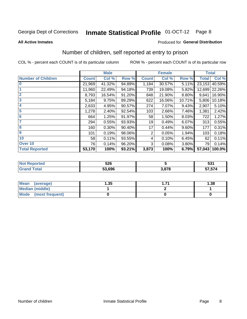#### **Inmate Statistical Profile 01-OCT-12** Page 8

#### **All Active Inmates**

### Produced for General Distribution

# Number of children, self reported at entry to prison

COL % - percent each COUNT is of its particular column

|                           |              | <b>Male</b> |        |              | <b>Female</b> |          | <b>Total</b> |        |
|---------------------------|--------------|-------------|--------|--------------|---------------|----------|--------------|--------|
| <b>Number of Children</b> | <b>Count</b> | Col %       | Row %  | <b>Count</b> | Col %         | Row %    | <b>Total</b> | Col %  |
| $\bf{0}$                  | 21,969       | 41.32%      | 94.89% | 1,184        | 30.57%        | 5.11%    | 23,153       | 40.59% |
|                           | 11,960       | 22.49%      | 94.18% | 739          | 19.08%        | 5.82%    | 12,699       | 22.26% |
| $\overline{2}$            | 8,793        | 16.54%      | 91.20% | 848          | 21.90%        | 8.80%    | 9,641        | 16.90% |
| 3                         | 5,184        | 9.75%       | 89.29% | 622          | 16.06%        | 10.71%   | 5,806        | 10.18% |
| 4                         | 2,633        | 4.95%       | 90.57% | 274          | 7.07%         | 9.43%    | 2,907        | 5.10%  |
| 5                         | 1,278        | 2.40%       | 92.54% | 103          | 2.66%         | 7.46%    | 1,381        | 2.42%  |
| 6                         | 664          | 1.25%       | 91.97% | 58           | 1.50%         | 8.03%    | 722          | 1.27%  |
| 7                         | 294          | 0.55%       | 93.93% | 19           | 0.49%         | 6.07%    | 313          | 0.55%  |
| 8                         | 160          | 0.30%       | 90.40% | 17           | 0.44%         | $9.60\%$ | 177          | 0.31%  |
| $\boldsymbol{9}$          | 101          | 0.19%       | 98.06% | 2            | 0.05%         | 1.94%    | 103          | 0.18%  |
| 10                        | 58           | 0.11%       | 93.55% | 4            | 0.10%         | 6.45%    | 62           | 0.11%  |
| Over 10                   | 76           | 0.14%       | 96.20% | 3            | 0.08%         | 3.80%    | 79           | 0.14%  |
| <b>Total Reported</b>     | 53,170       | 100%        | 93.21% | 3,873        | 100%          | 6.79%    | 57,043       | 100.0% |

|      | ちつに<br>JŁU |             | <b>E94</b><br>JJI |
|------|------------|-------------|-------------------|
| υιαι | 53.696     | 2070<br>1 C | -- -- -<br>710, ّ |

| <b>Mean</b><br>(average) | l.35 | 1.38 |
|--------------------------|------|------|
| Median (middle)          |      |      |
| Mode<br>(most frequent)  |      |      |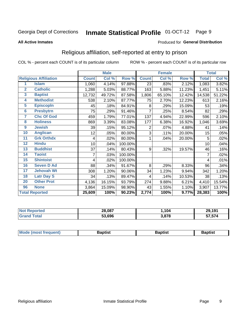#### **Inmate Statistical Profile 01-OCT-12** Page 9

#### **All Active Inmates**

### Produced for General Distribution

### Religious affiliation, self-reported at entry to prison

COL % - percent each COUNT is of its particular column

|                       |                              |              | <b>Male</b> |         |                | <b>Female</b> |        |              | <b>Total</b> |
|-----------------------|------------------------------|--------------|-------------|---------|----------------|---------------|--------|--------------|--------------|
|                       | <b>Religious Affiliation</b> | <b>Count</b> | Col %       | Row %   | <b>Count</b>   | Col %         | Row %  | <b>Total</b> | Col %        |
| 1                     | <b>Islam</b>                 | 1,060        | 4.14%       | 97.88%  | 23             | .83%          | 2.12%  | 1,083        | 3.82%        |
| $\overline{2}$        | <b>Catholic</b>              | 1,288        | 5.03%       | 88.77%  | 163            | 5.88%         | 11.23% | 1,451        | 5.11%        |
| $\mathbf{3}$          | <b>Baptist</b>               | 12,732       | 49.72%      | 87.58%  | 1,806          | 65.10%        | 12.42% | 14,538       | 51.22%       |
| 4                     | <b>Methodist</b>             | 538          | 2.10%       | 87.77%  | 75             | 2.70%         | 12.23% | 613          | 2.16%        |
| 5                     | <b>EpiscopIn</b>             | 45           | .18%        | 84.91%  | 8              | .29%          | 15.09% | 53           | .19%         |
| $6\phantom{a}$        | <b>Presbytrn</b>             | 75           | .29%        | 91.46%  | 7              | .25%          | 8.54%  | 82           | .29%         |
| 7                     | <b>Chc Of God</b>            | 459          | 1.79%       | 77.01%  | 137            | 4.94%         | 22.99% | 596          | 2.10%        |
| 8                     | <b>Holiness</b>              | 869          | 3.39%       | 83.08%  | 177            | 6.38%         | 16.92% | 1,046        | 3.69%        |
| 9                     | <b>Jewish</b>                | 39           | .15%        | 95.12%  | $\overline{c}$ | .07%          | 4.88%  | 41           | .14%         |
| 10                    | <b>Anglican</b>              | 12           | .05%        | 80.00%  | 3              | .11%          | 20.00% | 15           | .05%         |
| 11                    | <b>Grk Orthdx</b>            | 4            | .02%        | 80.00%  | 1              | .04%          | 20.00% | 5            | .02%         |
| 12                    | <b>Hindu</b>                 | 10           | .04%        | 100.00% |                |               |        | 10           | .04%         |
| 13                    | <b>Buddhist</b>              | 37           | .14%        | 80.43%  | 9              | .32%          | 19.57% | 46           | .16%         |
| 14                    | <b>Taoist</b>                | 7            | .03%        | 100.00% |                |               |        | 7            | .02%         |
| 15                    | <b>Shintoist</b>             | 4            | .02%        | 100.00% |                |               |        | 4            | .01%         |
| 16                    | <b>Seven D Ad</b>            | 88           | .34%        | 91.67%  | 8              | .29%          | 8.33%  | 96           | .34%         |
| 17                    | <b>Jehovah Wt</b>            | 308          | 1.20%       | 90.06%  | 34             | 1.23%         | 9.94%  | 342          | 1.20%        |
| 18                    | <b>Latr Day S</b>            | 34           | .13%        | 89.47%  | 4              | .14%          | 10.53% | 38           | .13%         |
| 20                    | <b>Other Prot</b>            | 4,136        | 16.15%      | 93.79%  | 274            | 9.88%         | 6.21%  | 4,410        | 15.54%       |
| 96                    | <b>None</b>                  | 3,864        | 15.09%      | 98.90%  | 43             | 1.55%         | 1.10%  | 3,907        | 13.77%       |
| <b>Total Reported</b> |                              | 25,609       | 100%        | 90.23%  | 2,774          | 100%          | 9.77%  | 28,383       | 100%         |

|                 | 28,087      | 104   | ,191<br>29 |
|-----------------|-------------|-------|------------|
| $\sim$ 4 $\sim$ | .696<br>гΛ. | 3,878 | 57,574     |

| Mode (most frequent) | <b>3aptist</b> | 3aptist | <b>Baptist</b> |
|----------------------|----------------|---------|----------------|
|                      |                |         |                |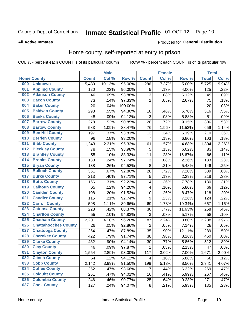#### **Inmate Statistical Profile 01-OCT-12** Page 10

### **All Active Inmates**

### **Produced for General Distribution**

### Home county, self-reported at entry to prison

COL % - percent each COUNT is of its particular column

|     |                             |              | <b>Male</b> |                  |                | <b>Female</b> |        | <b>Total</b> |       |
|-----|-----------------------------|--------------|-------------|------------------|----------------|---------------|--------|--------------|-------|
|     | <b>Home County</b>          | <b>Count</b> | Col %       | Row <sup>%</sup> | <b>Count</b>   | Col %         | Row %  | <b>Total</b> | Col % |
| 000 | <b>Unknown</b>              | 5,439        | 10.13%      | 95.00%           | 286            | 7.37%         | 5.00%  | 5,725        | 9.94% |
| 001 | <b>Appling County</b>       | 120          | .22%        | 96.00%           | 5              | .13%          | 4.00%  | 125          | .22%  |
| 002 | <b>Atkinson County</b>      | 46           | .09%        | 93.88%           | 3              | .08%          | 6.12%  | 49           | .09%  |
| 003 | <b>Bacon County</b>         | 73           | .14%        | 97.33%           | $\overline{2}$ | .05%          | 2.67%  | 75           | .13%  |
| 004 | <b>Baker County</b>         | 20           | .04%        | 100.00%          |                |               |        | 20           | .03%  |
| 005 | <b>Baldwin County</b>       | 298          | .55%        | 94.30%           | 18             | .46%          | 5.70%  | 316          | .55%  |
| 006 | <b>Banks County</b>         | 48           | .09%        | 94.12%           | 3              | .08%          | 5.88%  | 51           | .09%  |
| 007 | <b>Barrow County</b>        | 278          | .52%        | 90.85%           | 28             | .72%          | 9.15%  | 306          | .53%  |
| 008 | <b>Bartow County</b>        | 583          | 1.09%       | 88.47%           | 76             | 1.96%         | 11.53% | 659          | 1.14% |
| 009 | <b>Ben Hill County</b>      | 197          | .37%        | 93.81%           | 13             | .34%          | 6.19%  | 210          | .36%  |
| 010 | <b>Berrien County</b>       | 96           | .18%        | 93.20%           | 7              | .18%          | 6.80%  | 103          | .18%  |
| 011 | <b>Bibb County</b>          | 1,243        | 2.31%       | 95.32%           | 61             | 1.57%         | 4.68%  | 1,304        | 2.26% |
| 012 | <b>Bleckley County</b>      | 78           | .15%        | 93.98%           | 5              | .13%          | 6.02%  | 83           | .14%  |
| 013 | <b>Brantley County</b>      | 55           | .10%        | 83.33%           | 11             | .28%          | 16.67% | 66           | .11%  |
| 014 | <b>Brooks County</b>        | 130          | .24%        | 97.74%           | 3              | .08%          | 2.26%  | 133          | .23%  |
| 015 | <b>Bryan County</b>         | 138          | .26%        | 94.52%           | 8              | .21%          | 5.48%  | 146          | .25%  |
| 016 | <b>Bulloch County</b>       | 361          | .67%        | 92.80%           | 28             | .72%          | 7.20%  | 389          | .68%  |
| 017 | <b>Burke County</b>         | 213          | .40%        | 97.71%           | 5              | .13%          | 2.29%  | 218          | .38%  |
| 018 | <b>Butts County</b>         | 166          | .31%        | 92.22%           | 14             | .36%          | 7.78%  | 180          | .31%  |
| 019 | <b>Calhoun County</b>       | 65           | .12%        | 94.20%           | 4              | .10%          | 5.80%  | 69           | .12%  |
| 020 | <b>Camden County</b>        | 108          | .20%        | 91.53%           | 10             | .26%          | 8.47%  | 118          | .20%  |
| 021 | <b>Candler County</b>       | 115          | .21%        | 92.74%           | 9              | .23%          | 7.26%  | 124          | .22%  |
| 022 | <b>Carroll County</b>       | 598          | 1.11%       | 89.66%           | 69             | 1.78%         | 10.34% | 667          | 1.16% |
| 023 | <b>Catoosa County</b>       | 228          | .42%        | 88.37%           | 30             | .77%          | 11.63% | 258          | .45%  |
| 024 | <b>Charlton County</b>      | 55           | .10%        | 94.83%           | 3              | .08%          | 5.17%  | 58           | .10%  |
| 025 | <b>Chatham County</b>       | 2,201        | 4.10%       | 96.20%           | 87             | 2.24%         | 3.80%  | 2,288        | 3.97% |
| 026 | <b>Chattahoochee County</b> | 26           | .05%        | 92.86%           | $\overline{2}$ | .05%          | 7.14%  | 28           | .05%  |
| 027 | <b>Chattooga County</b>     | 254          | .47%        | 87.89%           | 35             | .90%          | 12.11% | 289          | .50%  |
| 028 | <b>Cherokee County</b>      | 422          | .79%        | 91.74%           | 38             | .98%          | 8.26%  | 460          | .80%  |
| 029 | <b>Clarke County</b>        | 482          | .90%        | 94.14%           | 30             | .77%          | 5.86%  | 512          | .89%  |
| 030 | <b>Clay County</b>          | 46           | .09%        | 97.87%           | 1              | .03%          | 2.13%  | 47           | .08%  |
| 031 | <b>Clayton County</b>       | 1,554        | 2.89%       | 93.00%           | 117            | 3.02%         | 7.00%  | 1,671        | 2.90% |
| 032 | <b>Clinch County</b>        | 64           | .12%        | 94.12%           | 4              | .10%          | 5.88%  | 68           | .12%  |
| 033 | <b>Cobb County</b>          | 2,142        | 3.99%       | 91.50%           | 199            | 5.13%         | 8.50%  | 2,341        | 4.07% |
| 034 | <b>Coffee County</b>        | 252          | .47%        | 93.68%           | 17             | .44%          | 6.32%  | 269          | .47%  |
| 035 | <b>Colquitt County</b>      | 251          | .47%        | 94.01%           | 16             | .41%          | 5.99%  | 267          | .46%  |
| 036 | <b>Columbia County</b>      | 246          | .46%        | 90.77%           | 25             | .64%          | 9.23%  | 271          | .47%  |
| 037 | <b>Cook County</b>          | 127          | .24%        | 94.07%           | $\bf 8$        | .21%          | 5.93%  | 135          | .23%  |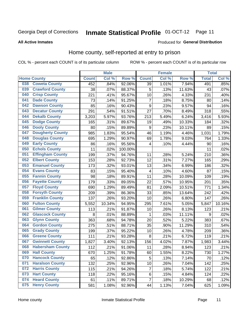# Inmate Statistical Profile 01-OCT-12 Page 11

**All Active Inmates** 

#### Produced for General Distribution

### Home county, self-reported at entry to prison

COL % - percent each COUNT is of its particular column

|     |                         |              | <b>Male</b> |                  |                | <b>Female</b> |                  | <b>Total</b> |        |
|-----|-------------------------|--------------|-------------|------------------|----------------|---------------|------------------|--------------|--------|
|     | <b>Home County</b>      | <b>Count</b> | Col %       | Row <sup>%</sup> | <b>Count</b>   | Col %         | Row <sup>%</sup> | <b>Total</b> | Col %  |
| 038 | <b>Coweta County</b>    | 452          | .84%        | 92.06%           | 39             | 1.01%         | 7.94%            | 491          | .85%   |
| 039 | <b>Crawford County</b>  | 38           | .07%        | 88.37%           | 5              | .13%          | 11.63%           | 43           | .07%   |
| 040 | <b>Crisp County</b>     | 221          | .41%        | 95.67%           | 10             | .26%          | 4.33%            | 231          | .40%   |
| 041 | <b>Dade County</b>      | 73           | .14%        | 91.25%           | $\overline{7}$ | .18%          | 8.75%            | 80           | .14%   |
| 042 | <b>Dawson County</b>    | 85           | .16%        | 90.43%           | 9              | .23%          | 9.57%            | 94           | .16%   |
| 043 | <b>Decatur County</b>   | 291          | .54%        | 91.51%           | 27             | .70%          | 8.49%            | 318          | .55%   |
| 044 | <b>Dekalb County</b>    | 3,203        | 5.97%       | 93.76%           | 213            | 5.49%         | 6.24%            | 3,416        | 5.93%  |
| 045 | <b>Dodge County</b>     | 165          | .31%        | 89.67%           | 19             | .49%          | 10.33%           | 184          | .32%   |
| 046 | <b>Dooly County</b>     | 80           | .15%        | 89.89%           | 9              | .23%          | 10.11%           | 89           | .15%   |
| 047 | <b>Dougherty County</b> | 985          | 1.83%       | 95.54%           | 46             | 1.19%         | 4.46%            | 1,031        | 1.79%  |
| 048 | <b>Douglas County</b>   | 695          | 1.29%       | 90.97%           | 69             | 1.78%         | 9.03%            | 764          | 1.33%  |
| 049 | <b>Early County</b>     | 86           | .16%        | 95.56%           | 4              | .10%          | 4.44%            | 90           | .16%   |
| 050 | <b>Echols County</b>    | 11           | .02%        | 100.00%          |                |               |                  | 11           | .02%   |
| 051 | <b>Effingham County</b> | 199          | .37%        | 94.76%           | 11             | .28%          | 5.24%            | 210          | .36%   |
| 052 | <b>Elbert County</b>    | 153          | .28%        | 92.73%           | 12             | .31%          | 7.27%            | 165          | .29%   |
| 053 | <b>Emanuel County</b>   | 173          | .32%        | 93.01%           | 13             | .34%          | 6.99%            | 186          | .32%   |
| 054 | <b>Evans County</b>     | 83           | .15%        | 95.40%           | 4              | .10%          | 4.60%            | 87           | .15%   |
| 055 | <b>Fannin County</b>    | 98           | .18%        | 89.91%           | 11             | .28%          | 10.09%           | 109          | .19%   |
| 056 | <b>Fayette County</b>   | 179          | .33%        | 89.05%           | 22             | .57%          | 10.95%           | 201          | .35%   |
| 057 | <b>Floyd County</b>     | 690          | 1.29%       | 89.49%           | 81             | 2.09%         | 10.51%           | 771          | 1.34%  |
| 058 | <b>Forsyth County</b>   | 209          | .39%        | 86.36%           | 33             | .85%          | 13.64%           | 242          | .42%   |
| 059 | <b>Franklin County</b>  | 137          | .26%        | 93.20%           | 10             | .26%          | 6.80%            | 147          | .26%   |
| 060 | <b>Fulton County</b>    | 5,552        | 10.34%      | 94.95%           | 295            | 7.61%         | 5.05%            | 5,847        | 10.16% |
| 061 | <b>Gilmer County</b>    | 113          | .21%        | 91.87%           | 10             | .26%          | 8.13%            | 123          | .21%   |
| 062 | <b>Glascock County</b>  | 8            | .01%        | 88.89%           | 1              | .03%          | 11.11%           | 9            | .02%   |
| 063 | <b>Glynn County</b>     | 363          | .68%        | 94.78%           | 20             | .52%          | 5.22%            | 383          | .67%   |
| 064 | <b>Gordon County</b>    | 275          | .51%        | 88.71%           | 35             | .90%          | 11.29%           | 310          | .54%   |
| 065 | <b>Grady County</b>     | 199          | .37%        | 95.22%           | 10             | .26%          | 4.78%            | 209          | .36%   |
| 066 | <b>Greene County</b>    | 111          | .21%        | 93.28%           | 8              | .21%          | 6.72%            | 119          | .21%   |
| 067 | <b>Gwinnett County</b>  | 1,827        | 3.40%       | 92.13%           | 156            | 4.02%         | 7.87%            | 1,983        | 3.44%  |
| 068 | <b>Habersham County</b> | 112          | .21%        | 91.06%           | 11             | .28%          | 8.94%            | 123          | .21%   |
| 069 | <b>Hall County</b>      | 670          | 1.25%       | 91.78%           | 60             | 1.55%         | 8.22%            | 730          | 1.27%  |
| 070 | <b>Hancock County</b>   | 65           | .12%        | 92.86%           | 5              | .13%          | 7.14%            | 70           | .12%   |
| 071 | <b>Haralson County</b>  | 132          | .25%        | 92.96%           | 10             | .26%          | 7.04%            | 142          | .25%   |
| 072 | <b>Harris County</b>    | 115          | .21%        | 94.26%           | 7              | .18%          | 5.74%            | 122          | .21%   |
| 073 | <b>Hart County</b>      | 118          | .22%        | 95.16%           | 6              | .15%          | 4.84%            | 124          | .22%   |
| 074 | <b>Heard County</b>     | 61           | .11%        | 89.71%           | $\overline{7}$ | .18%          | 10.29%           | 68           | .12%   |
| 075 | <b>Henry County</b>     | 581          | 1.08%       | 92.96%           | 44             | 1.13%         | 7.04%            | 625          | 1.09%  |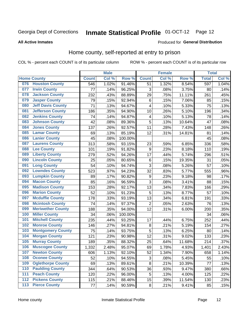# Inmate Statistical Profile 01-OCT-12 Page 12

### **All Active Inmates**

### Produced for General Distribution

### Home county, self-reported at entry to prison

COL % - percent each COUNT is of its particular column

|                  |                          |              | <b>Male</b> |                  |                          | <b>Female</b>     |        | <b>Total</b> |       |
|------------------|--------------------------|--------------|-------------|------------------|--------------------------|-------------------|--------|--------------|-------|
|                  | <b>Home County</b>       | <b>Count</b> | Col %       | Row <sup>%</sup> | <b>Count</b>             | Col %             | Row %  | <b>Total</b> | Col % |
| 076              | <b>Houston County</b>    | 546          | 1.02%       | 91.46%           | 51                       | 1.32%             | 8.54%  | 597          | 1.04% |
| 077              | <b>Irwin County</b>      | 77           | .14%        | 96.25%           | 3                        | .08%              | 3.75%  | 80           | .14%  |
| 078              | <b>Jackson County</b>    | 232          | .43%        | 88.89%           | 29                       | .75%              | 11.11% | 261          | .45%  |
| 079              | <b>Jasper County</b>     | 79           | .15%        | 92.94%           | $\,6$                    | .15%              | 7.06%  | 85           | .15%  |
| 080              | <b>Jeff Davis County</b> | 71           | .13%        | 94.67%           | $\overline{\mathcal{L}}$ | .10%              | 5.33%  | 75           | .13%  |
| 081              | <b>Jefferson County</b>  | 186          | .35%        | 94.90%           | 10                       | .26%              | 5.10%  | 196          | .34%  |
| 082              | <b>Jenkins County</b>    | 74           | .14%        | 94.87%           | 4                        | .10%              | 5.13%  | 78           | .14%  |
| 083              | <b>Johnson County</b>    | 42           | .08%        | 89.36%           | 5                        | .13%              | 10.64% | 47           | .08%  |
| 084              | <b>Jones County</b>      | 137          | .26%        | 92.57%           | 11                       | .28%              | 7.43%  | 148          | .26%  |
| 085              | <b>Lamar County</b>      | 69           | .13%        | 85.19%           | 12                       | .31%              | 14.81% | 81           | .14%  |
| 086              | <b>Lanier County</b>     | 45           | .08%        | 100.00%          |                          |                   |        | 45           | .08%  |
| 087              | <b>Laurens County</b>    | 313          | .58%        | 93.15%           | 23                       | .59%              | 6.85%  | 336          | .58%  |
| 088              | <b>Lee County</b>        | 101          | .19%        | 91.82%           | 9                        | $\overline{.}23%$ | 8.18%  | 110          | .19%  |
| 089              | <b>Liberty County</b>    | 279          | .52%        | 94.26%           | 17                       | .44%              | 5.74%  | 296          | .51%  |
| 090              | <b>Lincoln County</b>    | 25           | .05%        | 80.65%           | $\,6$                    | .15%              | 19.35% | 31           | .05%  |
| 091              | <b>Long County</b>       | 54           | .10%        | 94.74%           | 3                        | .08%              | 5.26%  | 57           | .10%  |
| 092              | <b>Lowndes County</b>    | 523          | .97%        | 94.23%           | 32                       | .83%              | 5.77%  | 555          | .96%  |
| 093              | <b>Lumpkin County</b>    | 89           | .17%        | 90.82%           | $\boldsymbol{9}$         | .23%              | 9.18%  | 98           | .17%  |
| 094              | <b>Macon County</b>      | 85           | .16%        | 96.59%           | 3                        | .08%              | 3.41%  | 88           | .15%  |
| 095              | <b>Madison County</b>    | 153          | .28%        | 92.17%           | 13                       | .34%              | 7.83%  | 166          | .29%  |
| 096              | <b>Marion County</b>     | 52           | .10%        | 91.23%           | 5                        | .13%              | 8.77%  | 57           | .10%  |
| 097              | <b>Mcduffie County</b>   | 178          | .33%        | 93.19%           | 13                       | .34%              | 6.81%  | 191          | .33%  |
| 098              | <b>Mcintosh County</b>   | 74           | .14%        | 97.37%           | $\overline{2}$           | .05%              | 2.63%  | 76           | .13%  |
| 099              | <b>Meriwether County</b> | 188          | .35%        | 94.00%           | 12                       | .31%              | 6.00%  | 200          | .35%  |
| 100              | <b>Miller County</b>     | 34           | .06%        | 100.00%          |                          |                   |        | 34           | .06%  |
| 101              | <b>Mitchell County</b>   | 235          | .44%        | 93.25%           | 17                       | .44%              | 6.75%  | 252          | .44%  |
| 102              | <b>Monroe County</b>     | 146          | .27%        | 94.81%           | $\bf 8$                  | .21%              | 5.19%  | 154          | .27%  |
| 103              | <b>Montgomery County</b> | 75           | .14%        | 93.75%           | 5                        | .13%              | 6.25%  | 80           | .14%  |
| 104              | <b>Morgan County</b>     | 121          | .23%        | 90.98%           | 12                       | .31%              | 9.02%  | 133          | .23%  |
| 105              | <b>Murray County</b>     | 189          | .35%        | 88.32%           | 25                       | .64%              | 11.68% | 214          | .37%  |
| 106              | <b>Muscogee County</b>   | 1,332        | 2.48%       | 95.07%           | 69                       | 1.78%             | 4.93%  | 1,401        | 2.43% |
| 107              | <b>Newton County</b>     | 606          | 1.13%       | 92.10%           | 52                       | 1.34%             | 7.90%  | 658          | 1.14% |
| 108              | <b>Oconee County</b>     | 52           | .10%        | 94.55%           | 3                        | .08%              | 5.45%  | 55           | .10%  |
| 109              | <b>Oglethorpe County</b> | 69           | .13%        | 89.61%           | 8                        | .21%              | 10.39% | 77           | .13%  |
| 110              | <b>Paulding County</b>   | 344          | .64%        | 90.53%           | 36                       | .93%              | 9.47%  | 380          | .66%  |
| 111              | <b>Peach County</b>      | 120          | .22%        | 96.00%           | 5                        | .13%              | 4.00%  | 125          | .22%  |
| $\overline{112}$ | <b>Pickens County</b>    | 115          | .21%        | 88.46%           | 15                       | .39%              | 11.54% | 130          | .23%  |
| 113              | <b>Pierce County</b>     | 77           | .14%        | 90.59%           | $\bf 8$                  | .21%              | 9.41%  | 85           | .15%  |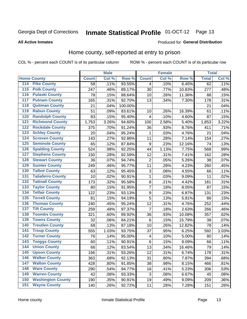# Inmate Statistical Profile 01-OCT-12 Page 13

### **All Active Inmates**

### Produced for General Distribution

### Home county, self-reported at entry to prison

COL % - percent each COUNT is of its particular column

|     |                          |              | <b>Male</b> |         |                  | <b>Female</b> |        | <b>Total</b> |       |
|-----|--------------------------|--------------|-------------|---------|------------------|---------------|--------|--------------|-------|
|     | <b>Home County</b>       | <b>Count</b> | Col %       | Row %   | <b>Count</b>     | Col %         | Row %  | <b>Total</b> | Col % |
| 114 | <b>Pike County</b>       | 58           | .11%        | 93.55%  | 4                | .10%          | 6.45%  | 62           | .11%  |
| 115 | <b>Polk County</b>       | 247          | .46%        | 89.17%  | 30               | .77%          | 10.83% | 277          | .48%  |
| 116 | <b>Pulaski County</b>    | 78           | .15%        | 88.64%  | 10               | .26%          | 11.36% | 88           | .15%  |
| 117 | <b>Putnam County</b>     | 165          | .31%        | 92.70%  | 13               | .34%          | 7.30%  | 178          | .31%  |
| 118 | <b>Quitman County</b>    | 21           | .04%        | 100.00% |                  |               |        | 21           | .04%  |
| 119 | <b>Rabun County</b>      | 51           | .09%        | 83.61%  | 10               | .26%          | 16.39% | 61           | .11%  |
| 120 | <b>Randolph County</b>   | 83           | .15%        | 95.40%  | 4                | .10%          | 4.60%  | 87           | .15%  |
| 121 | <b>Richmond County</b>   | 1,753        | 3.26%       | 94.60%  | 100              | 2.58%         | 5.40%  | 1,853        | 3.22% |
| 122 | <b>Rockdale County</b>   | 375          | .70%        | 91.24%  | 36               | .93%          | 8.76%  | 411          | .71%  |
| 123 | <b>Schley County</b>     | 20           | .04%        | 95.24%  | 1                | .03%          | 4.76%  | 21           | .04%  |
| 124 | <b>Screven County</b>    | 143          | .27%        | 92.86%  | 11               | .28%          | 7.14%  | 154          | .27%  |
| 125 | <b>Seminole County</b>   | 65           | .12%        | 87.84%  | $\boldsymbol{9}$ | .23%          | 12.16% | 74           | .13%  |
| 126 | <b>Spalding County</b>   | 524          | .98%        | 92.25%  | 44               | 1.13%         | 7.75%  | 568          | .99%  |
| 127 | <b>Stephens County</b>   | 150          | .28%        | 92.59%  | 12               | .31%          | 7.41%  | 162          | .28%  |
| 128 | <b>Stewart County</b>    | 36           | .07%        | 94.74%  | $\mathbf 2$      | .05%          | 5.26%  | 38           | .07%  |
| 129 | <b>Sumter County</b>     | 249          | .46%        | 95.77%  | 11               | .28%          | 4.23%  | 260          | .45%  |
| 130 | <b>Talbot County</b>     | 63           | .12%        | 95.45%  | 3                | .08%          | 4.55%  | 66           | .11%  |
| 131 | <b>Taliaferro County</b> | 10           | .02%        | 90.91%  | $\mathbf{1}$     | .03%          | 9.09%  | 11           | .02%  |
| 132 | <b>Tattnall County</b>   | 173          | .32%        | 95.58%  | $\bf 8$          | .21%          | 4.42%  | 181          | .31%  |
| 133 | <b>Taylor County</b>     | 80           | .15%        | 91.95%  | $\overline{7}$   | .18%          | 8.05%  | 87           | .15%  |
| 134 | <b>Telfair County</b>    | 122          | .23%        | 93.13%  | $\boldsymbol{9}$ | .23%          | 6.87%  | 131          | .23%  |
| 135 | <b>Terrell County</b>    | 81           | .15%        | 94.19%  | 5                | .13%          | 5.81%  | 86           | .15%  |
| 136 | <b>Thomas County</b>     | 240          | .45%        | 95.24%  | 12               | .31%          | 4.76%  | 252          | .44%  |
| 137 | <b>Tift County</b>       | 259          | .48%        | 97.37%  | $\overline{7}$   | .18%          | 2.63%  | 266          | .46%  |
| 138 | <b>Toombs County</b>     | 321          | .60%        | 89.92%  | 36               | .93%          | 10.08% | 357          | .62%  |
| 139 | <b>Towns County</b>      | 32           | .06%        | 84.21%  | $\,6$            | .15%          | 15.79% | 38           | .07%  |
| 140 | <b>Treutlen County</b>   | 68           | .13%        | 87.18%  | 10               | .26%          | 12.82% | 78           | .14%  |
| 141 | <b>Troup County</b>      | 555          | 1.03%       | 93.75%  | 37               | .95%          | 6.25%  | 592          | 1.03% |
| 142 | <b>Turner County</b>     | 76           | .14%        | 95.00%  | 4                | .10%          | 5.00%  | 80           | .14%  |
| 143 | <b>Twiggs County</b>     | 60           | .11%        | 90.91%  | $\,6$            | .15%          | 9.09%  | 66           | .11%  |
| 144 | <b>Union County</b>      | 66           | .12%        | 83.54%  | 13               | .34%          | 16.46% | 79           | .14%  |
| 145 | <b>Upson County</b>      | 166          | .31%        | 93.26%  | 12               | .31%          | 6.74%  | 178          | .31%  |
| 146 | <b>Walker County</b>     | 363          | .68%        | 92.13%  | 31               | .80%          | 7.87%  | 394          | .68%  |
| 147 | <b>Walton County</b>     | 428          | .80%        | 91.85%  | 38               | .98%          | 8.15%  | 466          | .81%  |
| 148 | <b>Ware County</b>       | 290          | .54%        | 94.77%  | 16               | .41%          | 5.23%  | 306          | .53%  |
| 149 | <b>Warren County</b>     | 42           | .08%        | 93.33%  | 3                | .08%          | 6.67%  | 45           | .08%  |
| 150 | <b>Washington County</b> | 190          | .35%        | 90.91%  | 19               | .49%          | 9.09%  | 209          | .36%  |
| 151 | <b>Wayne County</b>      | 140          | .26%        | 92.72%  | 11               | .28%          | 7.28%  | 151          | .26%  |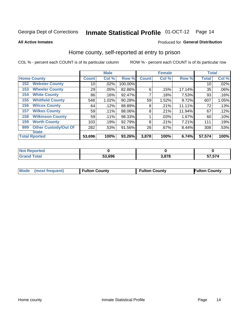# Inmate Statistical Profile 01-OCT-12 Page 14

**All Active Inmates** 

### Produced for General Distribution

### Home county, self-reported at entry to prison

COL % - percent each COUNT is of its particular column

|     |                             |              | <b>Male</b> |         |              | <b>Female</b> |        | <b>Total</b> |       |
|-----|-----------------------------|--------------|-------------|---------|--------------|---------------|--------|--------------|-------|
|     | <b>Home County</b>          | <b>Count</b> | Col %       | Row %   | <b>Count</b> | Col %         | Row %  | <b>Total</b> | Col % |
| 152 | <b>Webster County</b>       | 10           | .02%        | 100.00% |              |               |        | 10           | .02%  |
| 153 | <b>Wheeler County</b>       | 29           | .05%        | 82.86%  | 6            | .15%          | 17.14% | 35           | .06%  |
| 154 | <b>White County</b>         | 86           | .16%        | 92.47%  | 7            | .18%          | 7.53%  | 93           | .16%  |
| 155 | <b>Whitfield County</b>     | 548          | 1.02%       | 90.28%  | 59           | 1.52%         | 9.72%  | 607          | 1.05% |
| 156 | <b>Wilcox County</b>        | 64           | .12%        | 88.89%  | 8            | .21%          | 11.11% | 72           | .13%  |
| 157 | <b>Wilkes County</b>        | 59           | .11%        | 88.06%  | 8            | .21%          | 11.94% | 67           | .12%  |
| 158 | <b>Wilkinson County</b>     | 59           | $.11\%$     | 98.33%  |              | .03%          | 1.67%  | 60           | .10%  |
| 159 | <b>Worth County</b>         | 103          | .19%        | 92.79%  | 8            | .21%          | 7.21%  | 111          | .19%  |
| 999 | <b>Other Custody/Out Of</b> | 282          | .53%        | 91.56%  | 26           | .67%          | 8.44%  | 308          | .53%  |
|     | <b>State</b>                |              |             |         |              |               |        |              |       |
|     | <b>Total Rported</b>        | 53,696       | 100%        | 93.26%  | 3,878        | 100%          | 6.74%  | 57,574       | 100%  |

| ાલવ |            |     |                                                |
|-----|------------|-----|------------------------------------------------|
|     | .696<br>г^ | 070 | $F \rightarrow F \rightarrow A$<br>7. J 74<br> |

|  | Mode (most frequent) | <b>Fulton County</b> | <b>Fulton County</b> | <b>Fulton County</b> |
|--|----------------------|----------------------|----------------------|----------------------|
|--|----------------------|----------------------|----------------------|----------------------|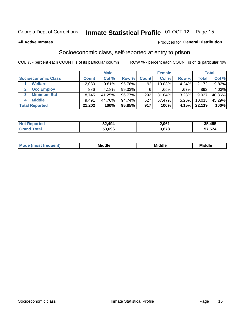# Inmate Statistical Profile 01-OCT-12 Page 15

#### **All Active Inmates**

### **Produced for General Distribution**

### Socioeconomic class, self-reported at entry to prison

COL % - percent each COUNT is of its particular column

|                       |              | <b>Male</b> |        |              | <b>Female</b> |         |        | <b>Total</b> |
|-----------------------|--------------|-------------|--------|--------------|---------------|---------|--------|--------------|
| Socioeconomic Class   | <b>Count</b> | Col %       | Row %  | <b>Count</b> | Col %         | Row %   | Total  | Col %        |
| <b>Welfare</b>        | 2,080        | 9.81%       | 95.76% | 92           | 10.03%        | 4.24%   | 2,172  | 9.82%        |
| <b>Occ Employ</b>     | 886          | 4.18%       | 99.33% | 6            | .65%          | $.67\%$ | 892    | 4.03%        |
| <b>Minimum Std</b>    | 8,745        | 41.25%      | 96.77% | 292          | 31.84%        | 3.23%   | 9,037  | 40.86%       |
| <b>Middle</b><br>4    | 9,491        | 44.76%      | 94.74% | 527          | 57.47%        | 5.26%   | 10,018 | 45.29%       |
| <b>Total Reported</b> | 21,202       | 100%        | 95.85% | 917          | 100%          | 4.15%   | 22,119 | 100%         |

| <b>Not Reported</b> | 32,494 | 2,961 | 35,455 |
|---------------------|--------|-------|--------|
| ™∩tal               | 53.696 | 3,878 | 57,574 |

| ____<br>____ |
|--------------|
|--------------|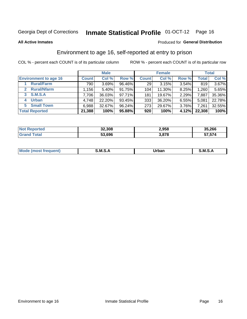# Inmate Statistical Profile 01-OCT-12 Page 16

**All Active Inmates** 

### **Produced for General Distribution**

## Environment to age 16, self-reported at entry to prison

COL % - percent each COUNT is of its particular column

|                              |              | <b>Male</b> |           |              | <b>Female</b> |       |              | <b>Total</b> |
|------------------------------|--------------|-------------|-----------|--------------|---------------|-------|--------------|--------------|
| <b>Environment to age 16</b> | <b>Count</b> | Col %       | Row %     | <b>Count</b> | Col %         | Row % | <b>Total</b> | Col %        |
| <b>Rural/Farm</b>            | 790          | 3.69%       | 96.46%    | 29           | 3.15%         | 3.54% | 819          | $3.67\%$     |
| <b>Rural/Nfarm</b>           | $.156+$      | 5.40%       | 91.75%    | 104          | 11.30%        | 8.25% | 1,260        | 5.65%        |
| S.M.S.A<br>3                 | 7,706        | 36.03%      | $97.71\%$ | 181          | 19.67%        | 2.29% | 7,887        | 35.36%       |
| <b>Urban</b><br>4            | 4,748        | 22.20%      | 93.45%    | 333          | 36.20%        | 6.55% | 5,081        | 22.78%       |
| <b>Small Town</b><br>5.      | 6,988        | 32.67%      | 96.24%    | 273          | 29.67%        | 3.76% | 7,261        | 32.55%       |
| <b>Total Reported</b>        | 21,388       | 100%        | 95.88%    | 920          | 100%          | 4.12% | 22,308       | 100%         |

| <b>Not Reported</b> | 32,308 | 2,958 | 35,266 |
|---------------------|--------|-------|--------|
| Total               | 53,696 | 3.878 | 57,574 |

| Mo | M<br>______ | Irhan<br>rva<br>_____ | M<br>______ |
|----|-------------|-----------------------|-------------|
|    |             |                       |             |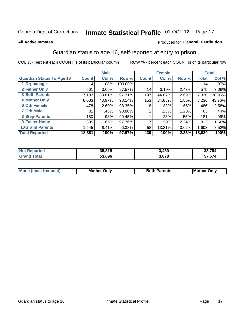# Inmate Statistical Profile 01-OCT-12 Page 17

#### **All Active Inmates**

### Produced for General Distribution

### Guardian status to age 16, self-reported at entry to prison

COL % - percent each COUNT is of its particular column

|                                  |              | <b>Male</b> |           |              | <b>Female</b> |       |                 | <b>Total</b> |
|----------------------------------|--------------|-------------|-----------|--------------|---------------|-------|-----------------|--------------|
| <b>Guardian Status To Age 16</b> | <b>Count</b> | Col %       | Row %     | <b>Count</b> | Col %         | Row % | Total           | Col %        |
| 1 Orphanage                      | 14           | $.08\%$     | 100.00%   |              |               |       | 14 <sub>1</sub> | $.07\%$      |
| 2 Father Only                    | 561          | 3.05%       | $97.57\%$ | 14           | 3.19%         | 2.43% | 575             | 3.06%        |
| <b>3 Both Parents</b>            | 7,133        | 38.81%      | 97.31%    | 197          | 44.87%        | 2.69% | 7,330           | 38.95%       |
| <b>4 Mother Only</b>             | 8,083        | 43.97%      | 98.14%    | 153          | 34.85%        | 1.86% | 8,236           | 43.76%       |
| <b>6 Oth Female</b>              | 478          | 2.60%       | 98.35%    | 8            | 1.82%         | 1.65% | 486             | 2.58%        |
| <b>7 Oth Male</b>                | 82           | .45%        | 98.80%    |              | .23%          | 1.20% | 83              | .44%         |
| 8 Step-Parents                   | 180          | .98%        | 99.45%    |              | .23%          | .55%  | 181             | .96%         |
| 9 Foster Home                    | 305          | 1.66%       | 97.76%    | 7            | 1.59%         | 2.24% | 312             | 1.66%        |
| <b>10 Grand Parents</b>          | 1,545        | 8.41%       | 96.38%    | 58           | 13.21%        | 3.62% | 1,603           | 8.52%        |
| <b>Total Reported</b>            | 18,381       | 100%        | 97.67%    | 439          | 100%          | 2.33% | 18,820          | 100%         |

| Reported<br><b>Not</b> | 35,315 | 3,439 | 38.754 |
|------------------------|--------|-------|--------|
| ⊺otaì                  | 53.696 | 3,878 | 57,574 |

| <b>Mode (most frequent)</b> | วทIv<br>- -<br>MΩ | <b>Roth</b><br>ີ <sup>ລ</sup> າrents | l Mc<br>Only<br>- - |
|-----------------------------|-------------------|--------------------------------------|---------------------|
|                             |                   |                                      |                     |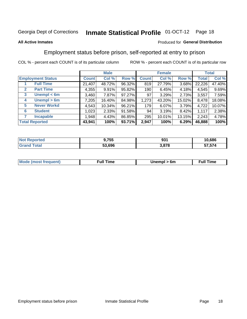#### **Inmate Statistical Profile 01-OCT-12** Page 18

### **All Active Inmates**

### Produced for General Distribution

### Employment status before prison, self-reported at entry to prison

COL % - percent each COUNT is of its particular column

|                                  |         | <b>Male</b> |        |              | <b>Female</b> |        |        | <b>Total</b> |
|----------------------------------|---------|-------------|--------|--------------|---------------|--------|--------|--------------|
| <b>Employment Status</b>         | Count l | Col %       | Row %  | <b>Count</b> | Col %         | Row %  | Total  | Col %        |
| <b>Full Time</b>                 | 21,407  | 48.72%      | 96.32% | 819          | 27.79%        | 3.68%  | 22,226 | 47.40%       |
| <b>Part Time</b><br>$\mathbf{2}$ | 4,355   | 9.91%       | 95.82% | 190          | 6.45%         | 4.18%  | 4,545  | 9.69%        |
| Unempl $<$ 6m<br>3               | 3,460   | 7.87%       | 97.27% | 97           | 3.29%         | 2.73%  | 3,557  | 7.59%        |
| Unempl > 6m<br>4                 | 7,205   | 16.40%      | 84.98% | 1,273        | 43.20%        | 15.02% | 8,478  | 18.08%       |
| <b>Never Workd</b><br>5          | 4,543   | 10.34%      | 96.21% | 179          | 6.07%         | 3.79%  | 4,722  | 10.07%       |
| <b>Student</b><br>6              | 1,023   | 2.33%       | 91.58% | 94           | 3.19%         | 8.42%  | 1,117  | 2.38%        |
| <b>Incapable</b>                 | 1,948   | 4.43%       | 86.85% | 295          | 10.01%        | 13.15% | 2,243  | 4.78%        |
| <b>Total Reported</b>            | 43,941  | 100%        | 93.71% | 2,947        | 100%          | 6.29%  | 46,888 | 100%         |

| <b>TEL</b><br>NO | 9,755  | ດາ<br>ືບ         | 10,686 |
|------------------|--------|------------------|--------|
| $\overline{a}$   | 53.696 | 2070<br>ه ، ه. د | 574    |

| <b>Mode (most frequent)</b> | full "<br>the contract of the contract of the contract of the contract of the contract of the contract of the contract of | 6m | ïme<br>้นเ<br>the contract of the contract of the contract of the contract of the contract of the contract of the contract of |
|-----------------------------|---------------------------------------------------------------------------------------------------------------------------|----|-------------------------------------------------------------------------------------------------------------------------------|
|                             |                                                                                                                           |    |                                                                                                                               |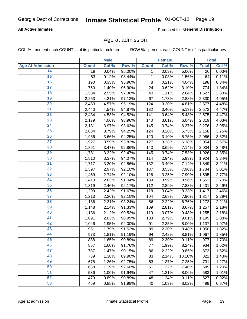# Inmate Statistical Profile 01-OCT-12 Page 19

### **All Active Inmates**

Produced for General Distribution

### Age at admission

COL % - percent each COUNT is of its particular column

|                         |              | <b>Male</b> |        |              | <b>Female</b> |        |              | <b>Total</b> |
|-------------------------|--------------|-------------|--------|--------------|---------------|--------|--------------|--------------|
| <b>Age At Admission</b> | <b>Count</b> | Col %       | Row %  | <b>Count</b> | Col %         | Row %  | <b>Total</b> | Col %        |
| 14                      | 19           | 0.04%       | 95.00% | 1            | 0.03%         | 5.00%  | 20           | 0.03%        |
| $\overline{15}$         | 63           | 0.12%       | 98.44% | $\mathbf 1$  | 0.03%         | 1.56%  | 64           | 0.11%        |
| 16                      | 190          | 0.35%       | 95.96% | 8            | 0.21%         | 4.04%  | 198          | 0.34%        |
| $\overline{17}$         | 750          | 1.40%       | 96.90% | 24           | 0.62%         | 3.10%  | 774          | 1.34%        |
| $\overline{18}$         | 1,584        | 2.95%       | 97.36% | 43           | 1.11%         | 2.64%  | 1,627        | 2.83%        |
| 19                      | 2,263        | 4.21%       | 97.12% | 67           | 1.73%         | 2.88%  | 2,330        | 4.05%        |
| $\overline{20}$         | 2,453        | 4.57%       | 95.19% | 124          | 3.20%         | 4.81%  | 2,577        | 4.48%        |
| $\overline{21}$         | 2,440        | 4.54%       | 94.87% | 132          | 3.40%         | 5.13%  | 2,572        | 4.47%        |
| $\overline{22}$         | 2,434        | 4.53%       | 94.52% | 141          | 3.64%         | 5.48%  | 2,575        | 4.47%        |
| 23                      | 2,179        | 4.06%       | 93.96% | 140          | 3.61%         | 6.04%  | 2,319        | 4.03%        |
| $\overline{24}$         | 2,131        | 3.97%       | 93.63% | 145          | 3.74%         | 6.37%  | 2,276        | 3.95%        |
| 25                      | 2,034        | 3.79%       | 94.25% | 124          | 3.20%         | 5.75%  | 2,158        | 3.75%        |
| $\overline{26}$         | 1,966        | 3.66%       | 94.25% | 120          | 3.10%         | 5.75%  | 2,086        | 3.62%        |
| $\overline{27}$         | 1,927        | 3.59%       | 93.82% | 127          | 3.28%         | 6.18%  | 2,054        | 3.57%        |
| 28                      | 1,861        | 3.47%       | 92.86% | 143          | 3.69%         | 7.14%  | 2,004        | 3.48%        |
| $\overline{29}$         | 1,781        | 3.32%       | 92.47% | 145          | 3.74%         | 7.53%  | 1,926        | 3.35%        |
| 30                      | 1,810        | 3.37%       | 94.07% | 114          | 2.94%         | 5.93%  | 1,924        | 3.34%        |
| $\overline{31}$         | 1,717        | 3.20%       | 92.86% | 132          | 3.40%         | 7.14%  | 1,849        | 3.21%        |
| 32                      | 1,597        | 2.97%       | 92.10% | 137          | 3.53%         | 7.90%  | 1,734        | 3.01%        |
| 33                      | 1,469        | 2.74%       | 92.10% | 126          | 3.25%         | 7.90%  | 1,595        | 2.77%        |
| 34                      | 1,413        | 2.63%       | 91.04% | 139          | 3.59%         | 8.96%  | 1,552        | 2.70%        |
| 35                      | 1,319        | 2.46%       | 92.17% | 112          | 2.89%         | 7.83%  | 1,431        | 2.49%        |
| 36                      | 1,299        | 2.42%       | 91.67% | 118          | 3.04%         | 8.33%  | 1,417        | 2.46%        |
| $\overline{37}$         | 1,213        | 2.26%       | 92.10% | 104          | 2.68%         | 7.90%  | 1,317        | 2.29%        |
| 38                      | 1,186        | 2.21%       | 93.24% | 86           | 2.22%         | 6.76%  | 1,272        | 2.21%        |
| 39                      | 1,148        | 2.14%       | 91.33% | 109          | 2.81%         | 8.67%  | 1,257        | 2.18%        |
| 40                      | 1,136        | 2.12%       | 90.52% | 119          | 3.07%         | 9.48%  | 1,255        | 2.18%        |
| 41                      | 1,091        | 2.03%       | 90.99% | 108          | 2.79%         | 9.01%  | 1,199        | 2.08%        |
| 42                      | 1,046        | 1.95%       | 92.00% | 91           | 2.35%         | 8.00%  | 1,137        | 1.97%        |
| 43                      | 961          | 1.79%       | 91.52% | 89           | 2.30%         | 8.48%  | 1,050        | 1.82%        |
| 44                      | 973          | 1.81%       | 91.19% | 94           | 2.42%         | 8.81%  | 1,067        | 1.85%        |
| 45                      | 888          | 1.65%       | 90.89% | 89           | 2.30%         | 9.11%  | 977          | 1.70%        |
| 46                      | 857          | 1.60%       | 91.76% | 77           | 1.99%         | 8.24%  | 934          | 1.62%        |
| 47                      | 787          | 1.47%       | 90.15% | 86           | 2.22%         | 9.85%  | 873          | 1.52%        |
| 48                      | 739          | 1.38%       | 89.90% | 83           | 2.14%         | 10.10% | 822          | 1.43%        |
| 49                      | 678          | 1.26%       | 92.75% | 53           | 1.37%         | 7.25%  | 731          | 1.27%        |
| 50                      | 638          | 1.19%       | 92.60% | 51           | 1.32%         | 7.40%  | 689          | 1.20%        |
| 51                      | 536          | 1.00%       | 91.94% | 47           | 1.21%         | 8.06%  | 583          | 1.01%        |
| 52                      | 479          | 0.89%       | 90.89% | 48           | 1.24%         | 9.11%  | 527          | 0.92%        |
| 53                      | 459          | 0.85%       | 91.98% | 40           | 1.03%         | 8.02%  | 499          | 0.87%        |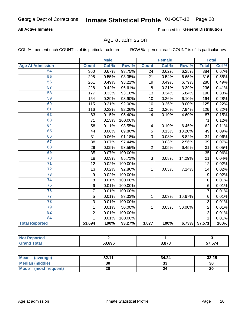# Inmate Statistical Profile 01-OCT-12 Page 20

### **All Active Inmates**

Produced for General Distribution

# Age at admission

COL % - percent each COUNT is of its particular column

|                         | <b>Male</b>    |       | <b>Female</b> |                |       | <b>Total</b> |                |       |
|-------------------------|----------------|-------|---------------|----------------|-------|--------------|----------------|-------|
| <b>Age At Admission</b> | <b>Count</b>   | Col % | Row %         | <b>Count</b>   | Col % | Row %        | <b>Total</b>   | Col % |
| 54                      | 360            | 0.67% | 93.75%        | 24             | 0.62% | 6.25%        | 384            | 0.67% |
| 55                      | 295            | 0.55% | 93.35%        | 21             | 0.54% | 6.65%        | 316            | 0.55% |
| 56                      | 261            | 0.49% | 93.21%        | 19             | 0.49% | 6.79%        | 280            | 0.49% |
| 57                      | 228            | 0.42% | 96.61%        | 8              | 0.21% | 3.39%        | 236            | 0.41% |
| 58                      | 177            | 0.33% | 93.16%        | 13             | 0.34% | 6.84%        | 190            | 0.33% |
| 59                      | 154            | 0.29% | 93.90%        | 10             | 0.26% | 6.10%        | 164            | 0.28% |
| 60                      | 115            | 0.21% | 92.00%        | 10             | 0.26% | 8.00%        | 125            | 0.22% |
| 61                      | 116            | 0.22% | 92.06%        | 10             | 0.26% | 7.94%        | 126            | 0.22% |
| 62                      | 83             | 0.15% | 95.40%        | 4              | 0.10% | 4.60%        | 87             | 0.15% |
| 63                      | 71             | 0.13% | 100.00%       |                |       |              | 71             | 0.12% |
| 64                      | 58             | 0.11% | 93.55%        | 4              | 0.10% | 6.45%        | 62             | 0.11% |
| 65                      | 44             | 0.08% | 89.80%        | 5              | 0.13% | 10.20%       | 49             | 0.09% |
| 66                      | 31             | 0.06% | 91.18%        | 3              | 0.08% | 8.82%        | 34             | 0.06% |
| 67                      | 38             | 0.07% | 97.44%        | 1              | 0.03% | 2.56%        | 39             | 0.07% |
| 68                      | 29             | 0.05% | 93.55%        | $\overline{2}$ | 0.05% | 6.45%        | 31             | 0.05% |
| 69                      | 35             | 0.07% | 100.00%       |                |       |              | 35             | 0.06% |
| 70                      | 18             | 0.03% | 85.71%        | $\overline{3}$ | 0.08% | 14.29%       | 21             | 0.04% |
| $\overline{71}$         | 12             | 0.02% | 100.00%       |                |       |              | 12             | 0.02% |
| $\overline{72}$         | 13             | 0.02% | 92.86%        | 1              | 0.03% | 7.14%        | 14             | 0.02% |
| $\overline{73}$         | 9              | 0.02% | 100.00%       |                |       |              | 9              | 0.02% |
| 74                      | 8              | 0.01% | 100.00%       |                |       |              | 8              | 0.01% |
| 75                      | $\,6$          | 0.01% | 100.00%       |                |       |              | 6              | 0.01% |
| 76                      | $\overline{7}$ | 0.01% | 100.00%       |                |       |              | $\overline{7}$ | 0.01% |
| 77                      | 5              | 0.01% | 83.33%        | 1              | 0.03% | 16.67%       | 6              | 0.01% |
| 78                      | $\overline{3}$ | 0.01% | 100.00%       |                |       |              | $\overline{3}$ | 0.01% |
| 79                      | 1              | 0.01% | 50.00%        | 1              | 0.03% | 50.00%       | $\overline{2}$ | 0.01% |
| 82                      | $\overline{2}$ | 0.01% | 100.00%       |                |       |              | $\overline{2}$ | 0.01% |
| 84                      | $\mathbf{1}$   | 0.01% | 100.00%       |                |       |              | 1              | 0.01% |
| <b>Total Reported</b>   | 53,694         | 100%  | 93.27%        | 3,877          | 100%  | 6.73%        | 57,571         | 100%  |

| 53,696 | 2070<br>1 C | $  -$<br>$-$ |
|--------|-------------|--------------|

| Mean (average)          | 32.11 | 34.24   | 32.25 |
|-------------------------|-------|---------|-------|
| <b>Median (middle)</b>  | 30    | ົ<br>აა | 30    |
| Mode<br>(most frequent) | 20    |         | 20    |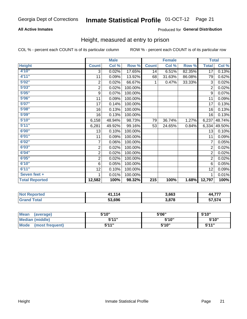# Inmate Statistical Profile 01-OCT-12 Page 21

### **All Active Inmates**

### Produced for General Distribution

### Height, measured at entry to prison

COL % - percent each COUNT is of its particular column

|                       |                         | <b>Male</b> |         |                  | <b>Female</b> |        | <b>Total</b>    |        |
|-----------------------|-------------------------|-------------|---------|------------------|---------------|--------|-----------------|--------|
| <b>Height</b>         | <b>Count</b>            | Col %       | Row %   | <b>Count</b>     | Col %         | Row %  | <b>Total</b>    | Col %  |
| 4'10"                 | 3                       | 0.02%       | 17.65%  | 14               | 6.51%         | 82.35% | $\overline{17}$ | 0.13%  |
| 4'11''                | 11                      | 0.09%       | 13.92%  | 68               | 31.63%        | 86.08% | 79              | 0.62%  |
| 5'02''                | $\sqrt{2}$              | 0.02%       | 66.67%  | 1                | 0.47%         | 33.33% | 3               | 0.02%  |
| 5'03''                | $\overline{\mathbf{c}}$ | 0.02%       | 100.00% |                  |               |        | $\overline{c}$  | 0.02%  |
| 5'05''                | $\boldsymbol{9}$        | 0.07%       | 100.00% |                  |               |        | 9               | 0.07%  |
| 5'06''                | 11                      | 0.09%       | 100.00% |                  |               |        | 11              | 0.09%  |
| 5'07''                | 17                      | 0.14%       | 100.00% |                  |               |        | 17              | 0.13%  |
| 5'08''                | 16                      | 0.13%       | 100.00% |                  |               |        | 16              | 0.13%  |
| 5'09''                | 16                      | 0.13%       | 100.00% |                  |               |        | 16              | 0.13%  |
| 5'10''                | 6,158                   | 48.94%      | 98.73%  | 79               | 36.74%        | 1.27%  | 6,237           | 48.74% |
| 5'11''                | 6,281                   | 49.92%      | 99.16%  | 53               | 24.65%        | 0.84%  | 6,334           | 49.50% |
| 6'00''                | 13                      | 0.10%       | 100.00% |                  |               |        | 13              | 0.10%  |
| 6'01''                | 11                      | 0.09%       | 100.00% |                  |               |        | 11              | 0.09%  |
| 6'02''                | 7                       | 0.06%       | 100.00% |                  |               |        | 7               | 0.05%  |
| 6'03''                | $\overline{\mathbf{c}}$ | 0.02%       | 100.00% |                  |               |        | $\overline{2}$  | 0.02%  |
| 6'04''                | $\overline{\mathbf{c}}$ | 0.02%       | 100.00% |                  |               |        | $\overline{2}$  | 0.02%  |
| 6'05''                | $\overline{c}$          | 0.02%       | 100.00% |                  |               |        | $\overline{2}$  | 0.02%  |
| 6'10''                | 6                       | 0.05%       | 100.00% |                  |               |        | 6               | 0.05%  |
| 6'11''                | 12                      | 0.10%       | 100.00% |                  |               |        | 12              | 0.09%  |
| Seven feet +          | 1                       | 0.01%       | 100.00% |                  |               |        | 1               | 0.01%  |
| <b>Total Reported</b> | 12,582                  | 100%        | 98.32%  | $\overline{215}$ | 100%          | 1.68%  | 12,797          | 100%   |

| <b>Not Reported</b> | 114<br>ี่ 41.า | 3,663 | ----<br>ΔA |
|---------------------|----------------|-------|------------|
| Гоtal               | 53,696         | , 070 | 57.574     |

| <b>Mean</b><br>(average) | 5'10" | 5'06" | 5'10''       |
|--------------------------|-------|-------|--------------|
| Median (middle)          | 544"  | 5'10" | 5'10''       |
| Mode<br>(most frequent)  | 5'11" | 5'10" | <b>5'44"</b> |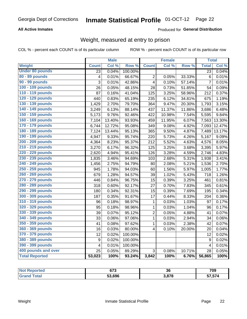#### Inmate Statistical Profile 01-OCT-12 Page 22

### **All Active Inmates**

### Produced for General Distribution

# Weight, measured at entry to prison

COL % - percent each COUNT is of its particular column

|                        |                         | <b>Male</b> |                  |                         | <b>Female</b> |                  | <b>Total</b>    |        |
|------------------------|-------------------------|-------------|------------------|-------------------------|---------------|------------------|-----------------|--------|
| Weight                 | <b>Count</b>            | Col %       | Row <sup>%</sup> | <b>Count</b>            | Col %         | Row <sup>%</sup> | <b>Total</b>    | Col %  |
| <b>Under 80 pounds</b> | 23                      | 0.04%       | 100.00%          |                         |               |                  | 23              | 0.04%  |
| 80 - 89 pounds         | 4                       | 0.01%       | 66.67%           | 2                       | 0.05%         | 33.33%           | $6\phantom{1}6$ | 0.01%  |
| 90 - 99 pounds         | $\overline{3}$          | 0.01%       | 42.86%           | 4                       | 0.10%         | 57.14%           | 7               | 0.01%  |
| 100 - 109 pounds       | 26                      | 0.05%       | 48.15%           | 28                      | 0.73%         | 51.85%           | 54              | 0.09%  |
| 110 - 119 pounds       | 87                      | 0.16%       | 41.04%           | 125                     | 3.25%         | 58.96%           | 212             | 0.37%  |
| 120 - 129 pounds       | 440                     | 0.83%       | 65.19%           | 235                     | 6.12%         | 34.81%           | 675             | 1.19%  |
| 130 - 139 pounds       | 1,429                   | 2.70%       | 79.70%           | 364                     | 9.47%         | 20.30%           | 1,793           | 3.15%  |
| 140 - 149 pounds       | 3,249                   | 6.13%       | 88.14%           | 437                     | 11.37%        | 11.86%           | 3,686           | 6.48%  |
| 150 - 159 pounds       | 5,173                   | 9.76%       | 92.46%           | 422                     | 10.98%        | 7.54%            | 5,595           | 9.84%  |
| 160 - 169 pounds       | 7,104                   | 13.40%      | 93.93%           | 459                     | 11.95%        | 6.07%            | 7,563           | 13.30% |
| 170 - 179 pounds       | 6,744                   | 12.72%      | 95.08%           | 349                     | 9.08%         | 4.92%            | 7,093           | 12.47% |
| 180 - 189 pounds       | 7,124                   | 13.44%      | 95.13%           | 365                     | 9.50%         | 4.87%            | 7,489           | 13.17% |
| 190 - 199 pounds       | 4,947                   | 9.33%       | 95.74%           | 220                     | 5.73%         | 4.26%            | 5,167           | 9.09%  |
| 200 - 209 pounds       | 4,364                   | 8.23%       | 95.37%           | 212                     | 5.52%         | 4.63%            | 4,576           | 8.05%  |
| 210 - 219 pounds       | 3,270                   | 6.17%       | 96.32%           | 125                     | 3.25%         | 3.68%            | 3,395           | 5.97%  |
| 220 - 229 pounds       | 2,620                   | 4.94%       | 95.41%           | 126                     | 3.28%         | 4.59%            | 2,746           | 4.83%  |
| 230 - 239 pounds       | 1,835                   | 3.46%       | 94.69%           | 103                     | 2.68%         | 5.31%            | 1,938           | 3.41%  |
| 240 - 249 pounds       | 1,456                   | 2.75%       | 94.79%           | 80                      | 2.08%         | 5.21%            | 1,536           | 2.70%  |
| 250 - 259 pounds       | 945                     | 1.78%       | 94.03%           | 60                      | 1.56%         | 5.97%            | 1,005           | 1.77%  |
| 260 - 269 pounds       | 679                     | 1.28%       | 94.57%           | 39                      | 1.02%         | 5.43%            | 718             | 1.26%  |
| 270 - 279 pounds       | 446                     | 0.84%       | 96.75%           | 15                      | 0.39%         | 3.25%            | 461             | 0.81%  |
| 280 - 289 pounds       | 318                     | 0.60%       | 92.17%           | 27                      | 0.70%         | 7.83%            | 345             | 0.61%  |
| 290 - 299 pounds       | 180                     | 0.34%       | 92.31%           | 15                      | 0.39%         | 7.69%            | 195             | 0.34%  |
| 300 - 309 pounds       | 187                     | 0.35%       | 91.67%           | 17                      | 0.44%         | 8.33%            | 204             | 0.36%  |
| 310 - 319 pounds       | 96                      | 0.18%       | 98.97%           | $\mathbf 1$             | 0.03%         | 1.03%            | 97              | 0.17%  |
| 320 - 329 pounds       | 95                      | 0.18%       | 98.96%           | $\mathbf{1}$            | 0.03%         | 1.04%            | 96              | 0.17%  |
| 330 - 339 pounds       | 39                      | 0.07%       | 95.12%           | $\overline{c}$          | 0.05%         | 4.88%            | 41              | 0.07%  |
| 340 - 349 pounds       | 33                      | 0.06%       | 97.06%           | $\mathbf{1}$            | 0.03%         | 2.94%            | 34              | 0.06%  |
| 350 - 359 pounds       | 41                      | 0.08%       | 97.62%           | $\mathbf 1$             | 0.03%         | 2.38%            | 42              | 0.07%  |
| 360 - 369 pounds       | 16                      | 0.03%       | 80.00%           | $\overline{\mathbf{4}}$ | 0.10%         | 20.00%           | 20              | 0.04%  |
| 370 - 379 pounds       | 12                      | 0.02%       | 100.00%          |                         |               |                  | 12              | 0.02%  |
| 380 - 389 pounds       | $\boldsymbol{9}$        | 0.02%       | 100.00%          |                         |               |                  | 9               | 0.02%  |
| 390 - 399 pounds       | $\overline{\mathbf{4}}$ | 0.01%       | 100.00%          |                         |               |                  | $\overline{4}$  | 0.01%  |
| 400 pounds and over    | 25                      | 0.05%       | 89.29%           | 3                       | 0.08%         | 10.71%           | 28              | 0.05%  |
| <b>Total Reported</b>  | 53,023                  | 100%        | 93.24%           | 3,842                   | 100%          | 6.76%            | 56,865          | 100%   |

| <b>Not</b><br>ported<br>NGI | 672<br>০ / ১ | 36   | 709    |
|-----------------------------|--------------|------|--------|
| <b>Total</b>                | 53.696       | 2070 | 57,574 |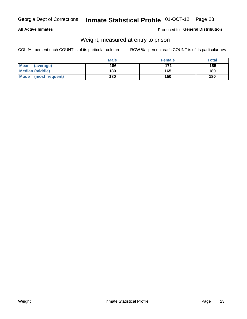#### Inmate Statistical Profile 01-OCT-12 Page 23

### **All Active Inmates**

### Produced for General Distribution

# Weight, measured at entry to prison

COL % - percent each COUNT is of its particular column

|                                | <b>Male</b> | <b>Female</b> | Total |
|--------------------------------|-------------|---------------|-------|
| Mean<br>(average)              | 186         | 171           | 185   |
| <b>Median (middle)</b>         | 180         | 165           | 180   |
| <b>Mode</b><br>(most frequent) | 180         | 150           | 180   |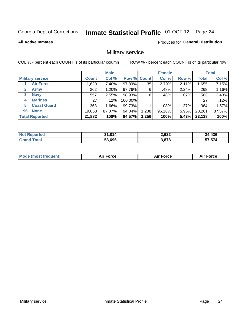# Inmate Statistical Profile 01-OCT-12 Page 24

**All Active Inmates** 

Produced for General Distribution

### Military service

COL % - percent each COUNT is of its particular column

|                          | <b>Male</b>  |         |             | <b>Female</b> |        |       | <b>Total</b> |        |
|--------------------------|--------------|---------|-------------|---------------|--------|-------|--------------|--------|
| <b>Military service</b>  | <b>Count</b> | Col %   | Row % Count |               | Col %  | Row % | <b>Total</b> | Col %  |
| <b>Air Force</b>         | ,620         | 7.40%   | 97.89%      | 35            | 2.79%  | 2.11% | 1,655        | 7.15%  |
| 2<br>Army                | 262          | 1.20%   | 97.76%      | 6             | .48%   | 2.24% | 268          | 1.16%  |
| <b>Navy</b><br>3         | 557          | 2.55%   | 98.93%      | 6             | .48%   | 1.07% | 563          | 2.43%  |
| <b>Marines</b><br>4      | 27           | $.12\%$ | 100.00%     |               |        |       | 27           | .12%   |
| <b>Coast Guard</b><br>5. | 363          | 1.66%   | 99.73%      |               | .08%   | .27%  | 364          | 1.57%  |
| <b>None</b><br>96        | 19,053       | 87.07%  | 94.04%      | .208          | 96.18% | 5.96% | 20,261       | 87.57% |
| <b>Total Reported</b>    | 21,882       | 100%    | 94.57%      | .256          | 100%   | 5.43% | 23,138       | 100%   |

| <b>Not Reported</b> | 31,814 | 2,622 | 34,436 |
|---------------------|--------|-------|--------|
| Total               | 53,696 | 3,878 | 57,574 |

| Mode (most frequent) | Force | <b>Force</b> | <b>orce</b> |
|----------------------|-------|--------------|-------------|
|                      |       |              |             |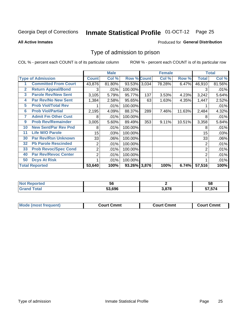# Inmate Statistical Profile 01-OCT-12 Page 25

**All Active Inmates** 

### Produced for General Distribution

### Type of admission to prison

COL % - percent each COUNT is of its particular column

|              |                             |                  | <b>Male</b> |                    |     | <b>Female</b> |        |                | <b>Total</b> |
|--------------|-----------------------------|------------------|-------------|--------------------|-----|---------------|--------|----------------|--------------|
|              | <b>Type of Admission</b>    | <b>Count</b>     | Col %       | <b>Row % Count</b> |     | Col %         | Row %  | <b>Total</b>   | Col %        |
|              | <b>Committed From Court</b> | 43,876           | 81.80%      | 93.53% 3,034       |     | 78.28%        | 6.47%  | 46,910         | 81.56%       |
| $\mathbf{2}$ | <b>Return Appeal/Bond</b>   | 3                | .01%        | 100.00%            |     |               |        |                | .01%         |
| 3            | <b>Parole Rev/New Sent</b>  | 3,105            | 5.79%       | 95.77%             | 137 | 3.53%         | 4.23%  | 3,242          | 5.64%        |
| 4            | <b>Par Rev/No New Sent</b>  | 1,384            | 2.58%       | 95.65%             | 63  | 1.63%         | 4.35%  | 1,447          | 2.52%        |
| 5            | <b>Prob Viol/Total Rev</b>  |                  | .01%        | 100.00%            |     |               |        |                | .01%         |
| 6            | <b>Prob Viol/Partial</b>    | 2,195            | 4.09%       | 88.37%             | 289 | 7.46%         | 11.63% | 2,484          | 4.32%        |
| 7            | <b>Admit Fm Other Cust</b>  | 8                | .01%        | 100.00%            |     |               |        | 8              | .01%         |
| 9            | <b>Prob Rev/Remainder</b>   | 3,005            | 5.60%       | 89.49%             | 353 | 9.11%         | 10.51% | 3,358          | 5.84%        |
| 10           | <b>New Sent/Par Rev Pnd</b> | 8                | .01%        | 100.00%            |     |               |        | 8              | .01%         |
| 11           | <b>Life W/O Parole</b>      | 15 <sub>15</sub> | .03%        | 100.00%            |     |               |        | 15             | .03%         |
| 30           | <b>Par Rev/Rsn Unknown</b>  | 33               | .06%        | 100.00%            |     |               |        | 33             | .06%         |
| 32           | <b>Pb Parole Rescinded</b>  | 2                | .01%        | 100.00%            |     |               |        | 2              | .01%         |
| 33           | <b>Prob Revoc/Spec Cond</b> | $\overline{2}$   | .01%        | 100.00%            |     |               |        | $\overline{2}$ | .01%         |
| 40           | <b>Par Rev/Revoc Center</b> | $\overline{2}$   | .01%        | 100.00%            |     |               |        | 2              | .01%         |
| 50           | <b>Dcys At Risk</b>         |                  | .01%        | 100.00%            |     |               |        |                | .01%         |
|              | <b>Total Reported</b>       | 53,640           | 100%        | 93.26% 3,876       |     | 100%          | 6.74%  | 57,516         | 100%         |

| rteo<br>w.            | 56     |      | 58                                        |
|-----------------------|--------|------|-------------------------------------------|
| $f \wedge f \wedge f$ | 53.696 | 2070 | $F \rightarrow F \rightarrow A$<br>57,574 |

| <b>Mode (most frequent)</b> | Court Cmmt | <b>Court Cmmt</b> | <b>Court Cmmt</b> |
|-----------------------------|------------|-------------------|-------------------|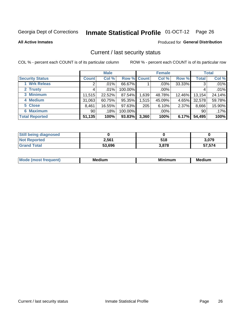# Inmate Statistical Profile 01-OCT-12 Page 26

**All Active Inmates** 

### Produced for General Distribution

### Current / last security status

COL % - percent each COUNT is of its particular column

|                        |                 | <b>Male</b> |                    |       | <b>Female</b> |        |                 | <b>Total</b> |
|------------------------|-----------------|-------------|--------------------|-------|---------------|--------|-----------------|--------------|
| <b>Security Status</b> | <b>Count</b>    | Col %       | <b>Row % Count</b> |       | Col %         | Row %  | <b>Total</b>    | Col %        |
| 1 Wrk Releas           | 2               | .01%        | 66.67%             |       | $.03\%$       | 33.33% | 3               | .01%         |
| 2 Trusty               |                 | $.01\%$     | 100.00%            |       | $.00\%$       |        |                 | .01%         |
| 3 Minimum              | 11,515          | 22.52%      | 87.54%             | 1,639 | 48.78%        | 12.46% | 13,154          | 24.14%       |
| 4 Medium               | 31,063          | 60.75%      | 95.35%             | 1,515 | 45.09%        | 4.65%  | 32,578          | 59.78%       |
| 5 Close                | 8,461           | 16.55%      | 97.63%             | 205   | 6.10%         | 2.37%  | 8,666           | 15.90%       |
| <b>6 Maximum</b>       | 90 <sub>1</sub> | .18%        | 100.00%            |       | .00%          |        | 90 <sub>1</sub> | .17%         |
| <b>Total Reported</b>  | 51,135          | 100%        | 93.83%             | 3,360 | 100%          | 6.17%  | 54,495          | 100%         |

| <b>Still being diagnosed</b> |        |       |        |
|------------------------------|--------|-------|--------|
| <b>Not Reported</b>          | 2,561  | 518   | 3.079  |
| <b>Grand Total</b>           | 53,696 | 3.878 | 57,574 |

| M<br>эш. | NЛ<br>dium | ---<br>. | - -<br>dium<br>Meo |
|----------|------------|----------|--------------------|
|          |            |          |                    |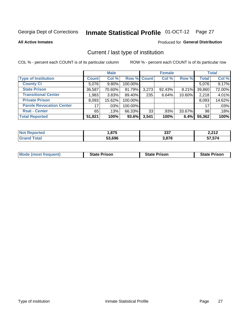# Inmate Statistical Profile 01-OCT-12 Page 27

**All Active Inmates** 

### Produced for General Distribution

# Current / last type of institution

COL % - percent each COUNT is of its particular column

|                                 |                 | <b>Male</b> |             |       | <b>Female</b> |        |              | <b>Total</b> |
|---------------------------------|-----------------|-------------|-------------|-------|---------------|--------|--------------|--------------|
| <b>Type of Institution</b>      | <b>Count</b>    | Col %       | Row % Count |       | Col %         | Row %  | <b>Total</b> | Col %        |
| <b>County Ci</b>                | 5,076           | $9.80\%$    | 100.00%     |       |               |        | 5,076        | 9.17%        |
| <b>State Prison</b>             | 36,587          | 70.60%      | $91.79\%$   | 3,273 | 92.43%        | 8.21%  | 39,860       | 72.00%       |
| <b>Transitional Center</b>      | 1,983           | 3.83%       | 89.40%      | 235   | 6.64%         | 10.60% | 2,218        | 4.01%        |
| <b>Private Prison</b>           | 8,093           | 15.62%      | 100.00%     |       |               |        | 8,093        | 14.62%       |
| <b>Parole Revocation Center</b> | 17 <sub>1</sub> | $.03\%$     | 100.00%     |       |               |        | 17           | .03%         |
| <b>Rsat - Center</b>            | 65              | .13%        | 66.33%      | 33    | .93%          | 33.67% | 98           | .18%         |
| <b>Total Reported</b>           | 51,821          | 100%        | 93.6%       | 3,541 | 100%          | 6.4%   | 55,362       | 100%         |

| ted. | .07E   | 227              | 2.242           |
|------|--------|------------------|-----------------|
|      | טו     | - 991            | 2.Z I Z         |
|      | 53,696 | s 070<br>J.O / O | -- -- 1<br>ו ט. |

|  |  | <b>Mode (most frequent)</b> | <b>State Prison</b> | <b>State Prison</b> | <b>State Prison</b> |
|--|--|-----------------------------|---------------------|---------------------|---------------------|
|--|--|-----------------------------|---------------------|---------------------|---------------------|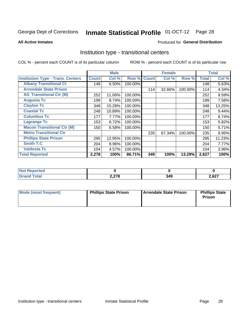#### **Inmate Statistical Profile 01-OCT-12** Page 28

#### **All Active Inmates**

### **Produced for General Distribution**

### Institution type - transitional centers

COL % - percent each COUNT is of its particular column

|                                          |              | <b>Male</b> |         |              | <b>Female</b> |         |              | <b>Total</b> |
|------------------------------------------|--------------|-------------|---------|--------------|---------------|---------|--------------|--------------|
| <b>Institution Type - Trans. Centers</b> | <b>Count</b> | Col %       | Row %   | <b>Count</b> | Col %         | Row %   | <b>Total</b> | Col %        |
| <b>Albany Transitional Ct</b>            | 148          | 6.50%       | 100.00% |              |               |         | 148          | 5.63%        |
| <b>Arrendale State Prison</b>            |              |             |         | 114          | 32.66%        | 100.00% | 114          | 4.34%        |
| <b>Atl. Transitional Ctr (M)</b>         | 252          | 11.06%      | 100.00% |              |               |         | 252          | 9.59%        |
| <b>Augusta Tc</b>                        | 199          | 8.74%       | 100.00% |              |               |         | 199          | 7.58%        |
| <b>Clayton Tc</b>                        | 348          | 15.28%      | 100.00% |              |               |         | 348          | 13.25%       |
| <b>Coastal Tc</b>                        | 248          | 10.89%      | 100.00% |              |               |         | 248          | 9.44%        |
| <b>Columbus Tc</b>                       | 177          | 7.77%       | 100.00% |              |               |         | 177          | 6.74%        |
| <b>Lagrange Tc</b>                       | 153          | 6.72%       | 100.00% |              |               |         | 153          | 5.82%        |
| <b>Macon Transitional Ctr (M)</b>        | 150          | 6.58%       | 100.00% |              |               |         | 150          | 5.71%        |
| <b>Metro Transitional Ctr</b>            |              |             |         | 235          | 67.34%        | 100.00% | 235          | 8.95%        |
| <b>Phillips State Prison</b>             | 295          | 12.95%      | 100.00% |              |               |         | 295          | 11.23%       |
| <b>Smith T.C</b>                         | 204          | 8.96%       | 100.00% |              |               |         | 204          | 7.77%        |
| <b>Valdosta Tc</b>                       | 104          | 4.57%       | 100.00% |              |               |         | 104          | 3.96%        |
| <b>Total Reported</b>                    | 2,278        | 100%        | 86.71%  | 349          | 100%          | 13.29%  | 2,627        | 100%         |

| --<br>ncea |                |            |                    |  |  |
|------------|----------------|------------|--------------------|--|--|
|            | 0.070<br>2,270 | . п<br>J4J | 027<br>'.o∠.<br>-- |  |  |

| Mode (most frequent) | <b>Phillips State Prison</b> | Arrendale State Prison | <b>Phillips State</b><br>Prison |
|----------------------|------------------------------|------------------------|---------------------------------|
|                      |                              |                        |                                 |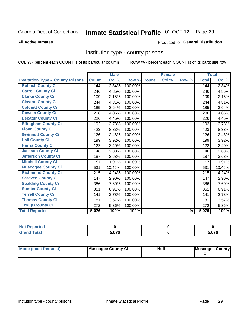# Inmate Statistical Profile 01-OCT-12 Page 29

#### **All Active Inmates**

### Produced for General Distribution

### Institution type - county prisons

COL % - percent each COUNT is of its particular column

|                                          |              | <b>Male</b> |         |              | <b>Female</b> |               |              | <b>Total</b> |
|------------------------------------------|--------------|-------------|---------|--------------|---------------|---------------|--------------|--------------|
| <b>Institution Type - County Prisons</b> | <b>Count</b> | Col %       | Row %   | <b>Count</b> | Col %         | Row %         | <b>Total</b> | Col %        |
| <b>Bulloch County Ci</b>                 | 144          | 2.84%       | 100.00% |              |               |               | 144          | 2.84%        |
| <b>Carroll County Ci</b>                 | 246          | 4.85%       | 100.00% |              |               |               | 246          | 4.85%        |
| <b>Clarke County Ci</b>                  | 109          | 2.15%       | 100.00% |              |               |               | 109          | 2.15%        |
| <b>Clayton County Ci</b>                 | 244          | 4.81%       | 100.00% |              |               |               | 244          | 4.81%        |
| <b>Colquitt County Ci</b>                | 185          | 3.64%       | 100.00% |              |               |               | 185          | 3.64%        |
| <b>Coweta County Ci</b>                  | 206          | 4.06%       | 100.00% |              |               |               | 206          | 4.06%        |
| <b>Decatur County Ci</b>                 | 226          | 4.45%       | 100.00% |              |               |               | 226          | 4.45%        |
| <b>Effingham County Ci</b>               | 192          | 3.78%       | 100.00% |              |               |               | 192          | 3.78%        |
| <b>Floyd County Ci</b>                   | 423          | 8.33%       | 100.00% |              |               |               | 423          | 8.33%        |
| <b>Gwinnett County Ci</b>                | 126          | 2.48%       | 100.00% |              |               |               | 126          | 2.48%        |
| <b>Hall County Ci</b>                    | 199          | 3.92%       | 100.00% |              |               |               | 199          | 3.92%        |
| <b>Harris County Ci</b>                  | 122          | 2.40%       | 100.00% |              |               |               | 122          | 2.40%        |
| <b>Jackson County Ci</b>                 | 146          | 2.88%       | 100.00% |              |               |               | 146          | 2.88%        |
| <b>Jefferson County Ci</b>               | 187          | 3.68%       | 100.00% |              |               |               | 187          | 3.68%        |
| <b>Mitchell County Ci</b>                | 97           | 1.91%       | 100.00% |              |               |               | 97           | 1.91%        |
| <b>Muscogee County Ci</b>                | 531          | 10.46%      | 100.00% |              |               |               | 531          | 10.46%       |
| <b>Richmond County Ci</b>                | 215          | 4.24%       | 100.00% |              |               |               | 215          | 4.24%        |
| <b>Screven County Ci</b>                 | 147          | 2.90%       | 100.00% |              |               |               | 147          | 2.90%        |
| <b>Spalding County Ci</b>                | 386          | 7.60%       | 100.00% |              |               |               | 386          | 7.60%        |
| <b>Sumter County Ci</b>                  | 351          | 6.91%       | 100.00% |              |               |               | 351          | 6.91%        |
| <b>Terrell County Ci</b>                 | 141          | 2.78%       | 100.00% |              |               |               | 141          | 2.78%        |
| <b>Thomas County Ci</b>                  | 181          | 3.57%       | 100.00% |              |               |               | 181          | 3.57%        |
| <b>Troup County Ci</b>                   | 272          | 5.36%       | 100.00% |              |               |               | 272          | 5.36%        |
| <b>Total Reported</b>                    | 5,076        | 100%        | 100%    |              |               | $\frac{9}{6}$ | 5,076        | 100%         |

| <b>Not</b><br>Reported       |     |       |  |
|------------------------------|-----|-------|--|
| <b>Total</b><br><b>Grand</b> | ^"^ | 5,076 |  |

| Mode (most frequent) | Muscogee County Ci | <b>Null</b> | Muscogee County |
|----------------------|--------------------|-------------|-----------------|
|                      |                    |             |                 |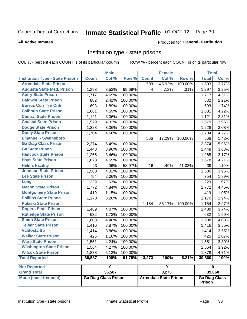#### **Inmate Statistical Profile 01-OCT-12** Page 30

#### **All Active Inmates**

### Produced for General Distribution

### Institution type - state prisons

COL % - percent each COUNT is of its particular column

ROW % - percent each COUNT is of its particular row

|                                         |              | <b>Male</b>                                                                          |         |                | <b>Female</b> |         | <b>Total</b>            |       |
|-----------------------------------------|--------------|--------------------------------------------------------------------------------------|---------|----------------|---------------|---------|-------------------------|-------|
| <b>Institution Type - State Prisons</b> | <b>Count</b> | Col %                                                                                | Row %   | <b>Count</b>   | Col %         | Row %   | <b>Total</b>            | Col % |
| <b>Arrendale State Prison</b>           |              |                                                                                      |         | 1,503          | 45.92%        | 100.00% | 1,503                   | 3.77% |
| <b>Augusta State Med. Prison</b>        | 1,293        | 3.53%                                                                                | 99.69%  | $\overline{4}$ | .12%          | .31%    | 1,297                   | 3.25% |
| <b>Autry State Prison</b>               | 1,717        | 4.69%                                                                                | 100.00% |                |               |         | 1,717                   | 4.31% |
| <b>Baldwin State Prison</b>             | 882          | 2.41%                                                                                | 100.00% |                |               |         | 882                     | 2.21% |
| <b>Burrus Corr Trn Cntr</b>             | 693          | 1.89%                                                                                | 100.00% |                |               |         | 693                     | 1.74% |
| <b>Calhoun State Prison</b>             | 1,681        | 4.59%                                                                                | 100.00% |                |               |         | 1,681                   | 4.22% |
| <b>Central State Prison</b>             | 1,121        | 3.06%                                                                                | 100.00% |                |               |         | 1,121                   | 2.81% |
| <b>Coastal State Prison</b>             | 1,579        | 4.32%                                                                                | 100.00% |                |               |         | 1,579                   | 3.96% |
| <b>Dodge State Prison</b>               | 1,228        | 3.36%                                                                                | 100.00% |                |               |         | 1,228                   | 3.08% |
| <b>Dooly State Prison</b>               | 1,704        | 4.66%                                                                                | 100.00% |                |               |         | 1,704                   | 4.27% |
| <b>Emanuel - Swainsboro</b>             |              |                                                                                      |         | 566            | 17.29%        | 100.00% | 566                     | 1.42% |
| <b>Ga Diag Class Prison</b>             | 2,374        | 6.49%                                                                                | 100.00% |                |               |         | 2,374                   | 5.96% |
| <b>Ga State Prison</b>                  | 1,448        | 3.96%                                                                                | 100.00% |                |               |         | 1,448                   | 3.63% |
| <b>Hancock State Prison</b>             | 1,265        | 3.46%                                                                                | 100.00% |                |               |         | 1,265                   | 3.17% |
| <b>Hays State Prison</b>                | 1,678        | 4.59%                                                                                | 100.00% |                |               |         | 1,678                   | 4.21% |
| <b>Helms Facility</b>                   | 23           | .06%                                                                                 | 58.97%  | 16             | .49%          | 41.03%  | 39                      | .10%  |
| <b>Johnson State Prison</b>             | 1,580        | 4.32%                                                                                | 100.00% |                |               |         | 1,580                   | 3.96% |
| <b>Lee State Prison</b>                 | 754          | 2.06%                                                                                | 100.00% |                |               |         | 754                     | 1.89% |
| Long                                    | 229          | .63%                                                                                 | 100.00% |                |               |         | 229                     | .57%  |
| <b>Macon State Prison</b>               | 1,772        | 4.84%                                                                                | 100.00% |                |               |         | 1,772                   | 4.45% |
| <b>Montgomery State Prison</b>          | 419          | 1.15%                                                                                | 100.00% |                |               |         | 419                     | 1.05% |
| <b>Phillips State Prison</b>            | 1,170        | 3.20%                                                                                | 100.00% |                |               |         | 1,170                   | 2.94% |
| <b>Pulaski State Prison</b>             |              |                                                                                      |         | 1,184          | 36.17%        | 100.00% | 1,184                   | 2.97% |
| <b>Rogers State Prison</b>              | 1,489        | 4.07%                                                                                | 100.00% |                |               |         | 1,489                   | 3.74% |
| <b>Rutledge State Prison</b>            | 632          | 1.73%                                                                                | 100.00% |                |               |         | 632                     | 1.59% |
| <b>Smith State Prison</b>               | 1,608        | 4.40%                                                                                | 100.00% |                |               |         | 1,608                   | 4.03% |
| <b>Telfair State Prison</b>             | 1,416        | 3.87%                                                                                | 100.00% |                |               |         | 1,416                   | 3.55% |
| <b>Valdosta Sp</b>                      | 1,414        | 3.86%                                                                                | 100.00% |                |               |         | 1,414                   | 3.55% |
| <b>Walker State Prison</b>              | 425          | 1.16%                                                                                | 100.00% |                |               |         | 425                     | 1.07% |
| <b>Ware State Prison</b>                | 1,551        | 4.24%                                                                                | 100.00% |                |               |         | 1,551                   | 3.89% |
| <b>Washington State Prison</b>          | 1,564        | 4.27%                                                                                | 100.00% |                |               |         | 1,564                   | 3.92% |
| <b>Wilcox State Prison</b>              | 1,878        | 5.13%                                                                                | 100.00% |                |               |         | 1,878                   | 4.71% |
| <b>Total Reported</b>                   | 36,587       | 100%                                                                                 | 91.79%  | 3,273          | 100%          | 8.21%   | 39,860                  | 100%  |
| <b>Not Reported</b>                     |              | $\overline{\mathbf{0}}$                                                              |         |                | $\pmb{0}$     |         | $\overline{\mathbf{0}}$ |       |
| <b>Grand Total</b>                      |              | 36,587                                                                               |         |                | 3,273         |         | 39,860                  |       |
| <b>Mode (most frequent)</b>             |              | <b>Ga Diag Class Prison</b><br><b>Arrendale State Prison</b><br><b>Ga Diag Class</b> |         |                |               |         |                         |       |

Prison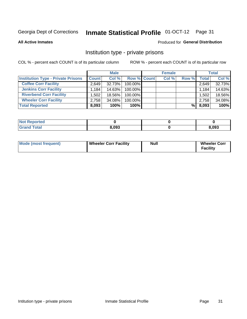# Inmate Statistical Profile 01-OCT-12 Page 31

**All Active Inmates** 

### Produced for General Distribution

### Institution type - private prisons

COL % - percent each COUNT is of its particular column

|                                           |              | <b>Male</b> |             | <b>Female</b> |       |       | <b>Total</b> |
|-------------------------------------------|--------------|-------------|-------------|---------------|-------|-------|--------------|
| <b>Institution Type - Private Prisons</b> | <b>Count</b> | Col %       | Row % Count | Col %         | Row % | Total | Col %        |
| <b>Coffee Corr Facility</b>               | 2.649        | 32.73%      | 100.00%     |               |       | 2,649 | 32.73%       |
| <b>Jenkins Corr Facility</b>              | 1,184        | 14.63%      | 100.00%     |               |       | 1,184 | 14.63%       |
| <b>Riverbend Corr Facility</b>            | 1,502        | 18.56%      | 100.00%     |               |       | 1,502 | 18.56%       |
| <b>Wheeler Corr Facility</b>              | 2,758        | 34.08%      | 100.00%     |               |       | 2,758 | 34.08%       |
| <b>Total Reported</b>                     | 8,093        | 100%        | 100%        |               | %     | 8,093 | 100%         |

| <b>Not</b><br>Reported |       |       |
|------------------------|-------|-------|
| <b>otal</b>            | 8,093 | 8,093 |

| <b>Mode (most frequent)</b> | <b>Wheeler Corr Facility</b> | Null | <b>Wheeler Corr</b><br>Facility |
|-----------------------------|------------------------------|------|---------------------------------|
|-----------------------------|------------------------------|------|---------------------------------|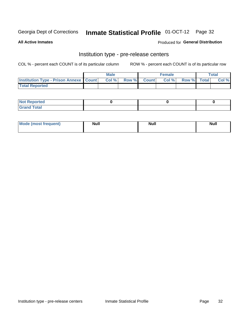# Inmate Statistical Profile 01-OCT-12 Page 32

**All Active Inmates** 

### **Produced for General Distribution**

# Institution type - pre-release centers

COL % - percent each COUNT is of its particular column

|                                                   | <b>Male</b> |             | <b>Female</b> |             | <b>Total</b> |
|---------------------------------------------------|-------------|-------------|---------------|-------------|--------------|
| <b>Institution Type - Prison Annexe   Count  </b> | Col%        | Row % Count | Col%          | Row % Total | Col %        |
| <b>Total Reported</b>                             |             |             |               |             |              |

| <b>Reported</b><br>I NOT |  |  |
|--------------------------|--|--|
| <b>Total</b><br>$C$ ren  |  |  |

| $^{\circ}$ Mo<br>frequent)<br>⊥(mos* | <b>Null</b> | Noll<br><b>vull</b> | <b>Null</b> |
|--------------------------------------|-------------|---------------------|-------------|
|                                      |             |                     |             |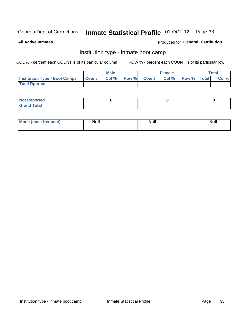# Inmate Statistical Profile 01-OCT-12 Page 33

**All Active Inmates** 

### Produced for General Distribution

## Institution type - inmate boot camp

COL % - percent each COUNT is of its particular column

|                                      |                  | <b>Male</b> |              |              | <b>Female</b> |             | <b>Total</b> |
|--------------------------------------|------------------|-------------|--------------|--------------|---------------|-------------|--------------|
| <b>Institution Type - Boot Camps</b> | <b>I</b> Count I | Col %       | <b>Row %</b> | <b>Count</b> | Col %         | Row % Total | Col %        |
| <b>Total Rported</b>                 |                  |             |              |              |               |             |              |

| <b>Not Reported</b>                   |  |  |
|---------------------------------------|--|--|
| <b>Total</b><br><b>C HAM</b><br>_____ |  |  |

| <b>I Mode (most frequent)</b> | <b>Null</b> | <b>Null</b> | <b>Null</b> |
|-------------------------------|-------------|-------------|-------------|
|                               |             |             |             |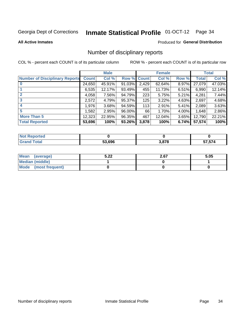# Inmate Statistical Profile 01-OCT-12 Page 34

#### **All Active Inmates**

### Produced for General Distribution

### Number of disciplinary reports

COL % - percent each COUNT is of its particular column

|                                       |              | <b>Male</b> |        |       | <b>Female</b> |          |              | <b>Total</b> |
|---------------------------------------|--------------|-------------|--------|-------|---------------|----------|--------------|--------------|
| <b>Number of Disciplinary Reports</b> | <b>Count</b> | Col %       | Row %  | Count | Col %         | Row %    | <b>Total</b> | Col %        |
| $\bf{0}$                              | 24,650       | 45.91%      | 91.03% | 2,429 | 62.64%        | 8.97%    | 27,079       | 47.03%       |
|                                       | 6,535        | 12.17%      | 93.49% | 455   | 11.73%        | $6.51\%$ | 6,990        | 12.14%       |
| $\overline{2}$                        | 4,058        | 7.56%       | 94.79% | 223   | 5.75%         | $5.21\%$ | 4,281        | 7.44%        |
| 3                                     | 2,572        | 4.79%       | 95.37% | 125   | 3.22%         | 4.63%    | 2,697        | 4.68%        |
| 4                                     | 1,976        | 3.68%       | 94.59% | 113   | 2.91%         | 5.41%    | 2,089        | 3.63%        |
| 5                                     | 1,582        | 2.95%       | 96.00% | 66    | 1.70%         | $4.00\%$ | 1,648        | 2.86%        |
| <b>More Than 5</b>                    | 12,323       | 22.95%      | 96.35% | 467   | 12.04%        | 3.65%    | 12,790       | 22.21%       |
| <b>Total Reported</b>                 | 53,696       | 100%        | 93.26% | 3,878 | 100%          | 6.74%    | 57,574       | 100%         |

| <b>oorted</b><br>NO. |        |      |                |
|----------------------|--------|------|----------------|
| <b>Total</b>         | 53.696 | 2070 | E7 E74<br>,574 |

| Mean (average)         | רר ה<br>3.ZZ | 2.67 | 5.05 |
|------------------------|--------------|------|------|
| <b>Median (middle)</b> |              |      |      |
| Mode (most frequent)   |              |      |      |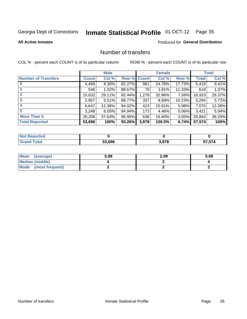# Inmate Statistical Profile 01-OCT-12 Page 35

#### **All Active Inmates**

### **Produced for General Distribution**

## Number of transfers

COL % - percent each COUNT is of its particular column

|                            |         | <b>Male</b> |        |              | <b>Female</b> |           |              | <b>Total</b> |
|----------------------------|---------|-------------|--------|--------------|---------------|-----------|--------------|--------------|
| <b>Number of Transfers</b> | Count l | Col %       | Row %  | <b>Count</b> | Col %         | Row %     | <b>Total</b> | Col %        |
|                            | 4,458   | $8.30\%$    | 82.27% | 961          | 24.78%        | 17.73%    | 5,419        | 9.41%        |
|                            | 548     | 1.02%       | 88.67% | 70           | 1.81%         | $11.33\%$ | 618          | 1.07%        |
| $\mathbf{2}$               | 15,632  | 29.11%      | 92.44% | 1,278        | 32.96%        | 7.56%     | 16,910       | 29.37%       |
| 3                          | 2,957   | 5.51%       | 89.77% | 337          | 8.69%         | 10.23%    | 3,294        | 5.72%        |
| 4                          | 6,647   | 12.38%      | 94.02% | 423          | 10.91%        | 5.98%     | 7,070        | 12.28%       |
| 5                          | 3,248   | 6.05%       | 94.94% | 173          | 4.46%         | $5.06\%$  | 3,421        | 5.94%        |
| <b>More Than 5</b>         | 20,206  | 37.63%      | 96.95% | 636          | 16.40%        | $3.05\%$  | 20,842       | 36.20%       |
| <b>Total Reported</b>      | 53,696  | 100%        | 93.26% | 3,878        | 100.0%        | 6.74%     | 57,574       | 100%         |

| <b>Not Reported</b> |        |       |            |
|---------------------|--------|-------|------------|
| <b>Total</b>        | 53.696 | 3,878 | ,574<br>JI |

| Mean (average)       | 5.89 | 2.99 | 5.69 |
|----------------------|------|------|------|
| Median (middle)      |      |      |      |
| Mode (most frequent) |      |      |      |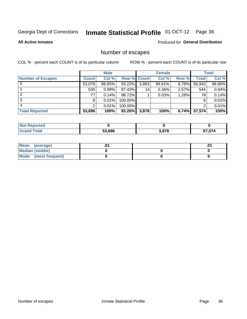# Inmate Statistical Profile 01-OCT-12 Page 36

**All Active Inmates** 

### Produced for General Distribution

# Number of escapes

COL % - percent each COUNT is of its particular column

|                          |              | <b>Male</b> |             |       | <b>Female</b> |       |        | <b>Total</b> |
|--------------------------|--------------|-------------|-------------|-------|---------------|-------|--------|--------------|
| <b>Number of Escapes</b> | <b>Count</b> | Col %       | Row % Count |       | Col %         | Row % | Total  | Col %        |
|                          | 53,079       | 98.85%      | 93.22%      | 3,863 | 99.61%        | 6.78% | 56,942 | 98.90%       |
|                          | 530          | 0.99%       | 97.43%      | 14    | $0.36\%$      | 2.57% | 544    | 0.94%        |
|                          | 77           | 0.14%       | 98.72%      |       | 0.03%         | 1.28% | 78     | 0.14%        |
|                          | 8            | 0.01%       | 100.00%     |       |               |       |        | 0.01%        |
|                          |              | 0.01%       | 100.00%     |       |               |       |        | 0.01%        |
| <b>Total Reported</b>    | 53,696       | 100%        | 93.26%      | 3,878 | 100%          | 6.74% | 57,574 | 100%         |

| <b>orted</b> |        |       |                         |
|--------------|--------|-------|-------------------------|
| Total        | 53.696 | 3,878 | <b>ET ETA</b><br>51.514 |

| Mean (average)       |  | ו ש. |
|----------------------|--|------|
| Median (middle)      |  |      |
| Mode (most frequent) |  |      |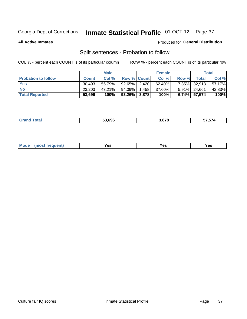# Inmate Statistical Profile 01-OCT-12 Page 37

**All Active Inmates** 

### Produced for General Distribution

## Split sentences - Probation to follow

COL % - percent each COUNT is of its particular column

|                            |              | <b>Male</b> |                    |       | <b>Female</b> |       |              | <b>Total</b> |
|----------------------------|--------------|-------------|--------------------|-------|---------------|-------|--------------|--------------|
| <b>Probation to follow</b> | <b>Count</b> | Col%        | <b>Row % Count</b> |       | Col %         | Row % | <b>Total</b> | Col %        |
| <b>Yes</b>                 | 30.493       | 56.79%      | $92.65\%$ 2.420    |       | 62.40%        |       | 7.35% 32,913 | 57.17%       |
| <b>No</b>                  | 23,203       | 43.21%      | 94.09%             | 1.458 | 37.60%        |       | 5.91% 24,661 | 42.83%       |
| <b>Total Reported</b>      | 53,696       | 100%        | $93.26\%$ 3,878    |       | 100%          |       | 6.74% 57,574 | 100%         |

|  |  | 53.696 | 8.878 | -- -- -<br>,,<br>، ب |
|--|--|--------|-------|----------------------|
|--|--|--------|-------|----------------------|

| M<br>reauent)<br>/٥<br>$\sim$<br>v.,<br>.<br>$\ddotsc$<br>$\cdot$ - $\cdot$ |
|-----------------------------------------------------------------------------|
|-----------------------------------------------------------------------------|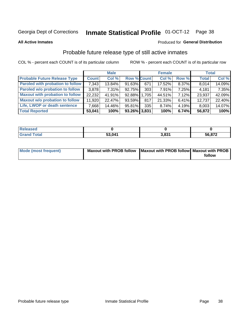# Inmate Statistical Profile 01-OCT-12 Page 38

**All Active Inmates** 

### Produced for General Distribution

## Probable future release type of still active inmates

COL % - percent each COUNT is of its particular column

|                                         |              | <b>Male</b> |                    |     | <b>Female</b> |          | <b>Total</b> |        |
|-----------------------------------------|--------------|-------------|--------------------|-----|---------------|----------|--------------|--------|
| <b>Probable Future Release Type</b>     | <b>Count</b> | Col%        | <b>Row % Count</b> |     | Col %         | Row %    | <b>Total</b> | Col %  |
| <b>Paroled with probation to follow</b> | 7,343        | 13.84%      | 91.63%             | 671 | 17.52%        | $8.37\%$ | 8,014        | 14.09% |
| Paroled w/o probation to follow         | 3,878        | 7.31%       | 92.75%             | 303 | 7.91%         | 7.25%    | 4,181        | 7.35%  |
| <b>Maxout with probation to follow</b>  | 22,232       | 41.91%      | 92.88% 1,705       |     | 44.51%        | 7.12%    | 23,937       | 42.09% |
| <b>Maxout w/o probation to follow</b>   | 11,920       | 22.47%      | $93.59\%$          | 817 | 21.33%        | 6.41%    | 12,737       | 22.40% |
| Life, LWOP or death sentence            | 7,668        | 14.46%      | 95.81%             | 335 | 8.74%         | $4.19\%$ | 8,003        | 14.07% |
| <b>Total Reported</b>                   | 53,041       | 100%        | 93.26% 3,831       |     | 100%          | 6.74%    | 56,872       | 100%   |

| eleased     |        |                 |        |
|-------------|--------|-----------------|--------|
| <b>otal</b> | 53,041 | 9 0 2 1<br>J.OJ | 56,872 |

| <b>Mode (most frequent)</b> | Maxout with PROB follow   Maxout with PROB follow   Maxout with PROB |        |
|-----------------------------|----------------------------------------------------------------------|--------|
|                             |                                                                      | follow |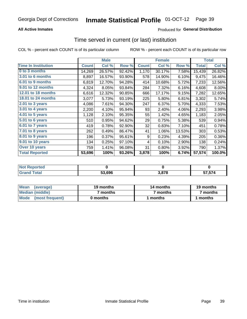## **All Active Inmates**

## Produced for General Distribution

## Time served in current (or last) institution

COL % - percent each COUNT is of its particular column

|                            |              | <b>Male</b> |        |              | <b>Female</b> |        |              | <b>Total</b> |
|----------------------------|--------------|-------------|--------|--------------|---------------|--------|--------------|--------------|
| <b>Time In Institution</b> | <b>Count</b> | Col %       | Row %  | <b>Count</b> | Col %         | Row %  | <b>Total</b> | Col %        |
| 0 to 3 months              | 14,269       | 26.57%      | 92.42% | 1,170        | 30.17%        | 7.58%  | 15,439       | 26.82%       |
| <b>3.01 to 6 months</b>    | 8,897        | 16.57%      | 93.90% | 578          | 14.90%        | 6.10%  | 9,475        | 16.46%       |
| 6.01 to 9 months           | 6,819        | 12.70%      | 94.28% | 414          | 10.68%        | 5.72%  | 7,233        | 12.56%       |
| 9.01 to 12 months          | 4,324        | 8.05%       | 93.84% | 284          | 7.32%         | 6.16%  | 4,608        | 8.00%        |
| 12.01 to 18 months         | 6,616        | 12.32%      | 90.85% | 666          | 17.17%        | 9.15%  | 7,282        | 12.65%       |
| <b>18.01 to 24 months</b>  | 3,077        | 5.73%       | 93.19% | 225          | 5.80%         | 6.81%  | 3,302        | 5.74%        |
| $2.01$ to 3 years          | 4,086        | 7.61%       | 94.30% | 247          | 6.37%         | 5.70%  | 4,333        | 7.53%        |
| $3.01$ to 4 years          | 2,200        | 4.10%       | 95.94% | 93           | 2.40%         | 4.06%  | 2,293        | 3.98%        |
| $4.01$ to 5 years          | 1,128        | 2.10%       | 95.35% | 55           | 1.42%         | 4.65%  | 1,183        | 2.05%        |
| 5.01 to 6 years            | 510          | 0.95%       | 94.62% | 29           | 0.75%         | 5.38%  | 539          | 0.94%        |
| 6.01 to 7 years            | 419          | 0.78%       | 92.90% | 32           | 0.83%         | 7.10%  | 451          | 0.78%        |
| 7.01 to 8 years            | 262          | 0.49%       | 86.47% | 41           | 1.06%         | 13.53% | 303          | 0.53%        |
| 8.01 to 9 years            | 196          | 0.37%       | 95.61% | 9            | 0.23%         | 4.39%  | 205          | 0.36%        |
| 9.01 to 10 years           | 134          | 0.25%       | 97.10% | 4            | 0.10%         | 2.90%  | 138          | 0.24%        |
| Over 10 years              | 759          | 1.41%       | 96.08% | 31           | 0.80%         | 3.92%  | 790          | 1.37%        |
| <b>Total Reported</b>      | 53,696       | 100%        | 93.26% | 3,878        | 100%          | 6.74%  | 57,574       | 100.0%       |

| neo<br><b>NOT</b> |        |     |                   |
|-------------------|--------|-----|-------------------|
|                   | 53.696 | 070 | -- 1<br>، ن<br>J, |

| <b>Mean</b><br>(average) | 19 months | 14 months | 19 months |  |
|--------------------------|-----------|-----------|-----------|--|
| Median (middle)          | ' months  | 7 months  | 7 months  |  |
| Mode (most frequent)     | 0 months  | months    | l months  |  |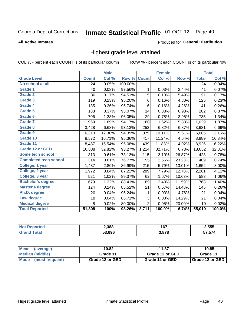#### Inmate Statistical Profile 01-OCT-12 Page 40

#### **All Active Inmates**

### Produced for General Distribution

## Highest grade level attained

COL % - percent each COUNT is of its particular column

|                              |              | <b>Male</b> |         |                | <b>Female</b> |        |              | <b>Total</b> |
|------------------------------|--------------|-------------|---------|----------------|---------------|--------|--------------|--------------|
| <b>Grade Level</b>           | <b>Count</b> | Col %       | Row %   | <b>Count</b>   | Col %         | Row %  | <b>Total</b> | Col %        |
| No school at all             | 24           | 0.05%       | 100.00% |                |               |        | 24           | 0.04%        |
| Grade 1                      | 40           | 0.08%       | 97.56%  | 1              | 0.03%         | 2.44%  | 41           | 0.07%        |
| Grade 2                      | 86           | 0.17%       | 94.51%  | 5              | 0.13%         | 5.49%  | 91           | 0.17%        |
| Grade 3                      | 119          | 0.23%       | 95.20%  | $\,6$          | 0.16%         | 4.80%  | 125          | 0.23%        |
| Grade 4                      | 135          | 0.26%       | 95.74%  | $\,6\,$        | 0.16%         | 4.26%  | 141          | 0.26%        |
| <b>Grade 5</b>               | 188          | 0.37%       | 93.07%  | 14             | 0.38%         | 6.93%  | 202          | 0.37%        |
| Grade 6                      | 706          | 1.38%       | 96.05%  | 29             | 0.78%         | 3.95%  | 735          | 1.34%        |
| <b>Grade 7</b>               | 969          | 1.89%       | 94.17%  | 60             | 1.62%         | 5.83%  | 1,029        | 1.87%        |
| Grade 8                      | 3,428        | 6.68%       | 93.13%  | 253            | 6.82%         | 6.87%  | 3,681        | 6.69%        |
| <b>Grade 9</b>               | 6,310        | 12.30%      | 94.39%  | 375            | 10.11%        | 5.61%  | 6,685        | 12.15%       |
| Grade 10                     | 8,572        | 16.71%      | 95.36%  | 417            | 11.24%        | 4.64%  | 8,989        | 16.34%       |
| Grade 11                     | 8,487        | 16.54%      | 95.08%  | 439            | 11.83%        | 4.92%  | 8,926        | 16.22%       |
| <b>Grade 12 or GED</b>       | 16,838       | 32.82%      | 93.27%  | 1,214          | 32.71%        | 6.73%  | 18,052       | 32.81%       |
| <b>Some tech school</b>      | 313          | 0.61%       | 73.13%  | 115            | 3.10%         | 26.87% | 428          | 0.78%        |
| <b>Completed tech school</b> | 314          | 0.61%       | 76.77%  | 95             | 2.56%         | 23.23% | 409          | 0.74%        |
| College, 1 year              | 1,437        | 2.80%       | 86.99%  | 215            | 5.79%         | 13.01% | 1,652        | 3.00%        |
| College, 2 year              | 1,972        | 3.84%       | 87.22%  | 289            | 7.79%         | 12.78% | 2,261        | 4.11%        |
| College, 3 year              | 521          | 1.02%       | 89.37%  | 62             | 1.67%         | 10.63% | 583          | 1.06%        |
| <b>Bachelor's degree</b>     | 679          | 1.32%       | 88.41%  | 89             | 2.40%         | 11.59% | 768          | 1.40%        |
| <b>Master's degree</b>       | 124          | 0.24%       | 85.52%  | 21             | 0.57%         | 14.48% | 145          | 0.26%        |
| Ph.D. degree                 | 20           | 0.04%       | 95.24%  | 1              | 0.03%         | 4.76%  | 21           | 0.04%        |
| Law degree                   | 18           | 0.04%       | 85.71%  | $\mathbf{3}$   | 0.08%         | 14.29% | 21           | 0.04%        |
| <b>Medical degree</b>        | 8            | 0.02%       | 80.00%  | $\overline{2}$ | 0.05%         | 20.00% | 10           | 0.02%        |
| <b>Total Reported</b>        | 51,308       | 100%        | 93.26%  | 3,711          | 100.0%        | 6.74%  | 55,019       | 100.0%       |

| 2,388  | 167<br>$\sim$ | 2,555  |
|--------|---------------|--------|
| 53.696 | .878          | - -- - |

| <b>Mean</b><br>(average)       | 10.82           | 11.37           | 10.85             |
|--------------------------------|-----------------|-----------------|-------------------|
| Median (middle)                | Grade 11        | Grade 12 or GED | Grade 11          |
| <b>Mode</b><br>(most frequent) | Grade 12 or GED | Grade 12 or GED | I Grade 12 or GED |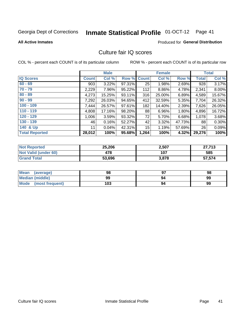# Inmate Statistical Profile 01-OCT-12 Page 41

#### **All Active Inmates**

## **Produced for General Distribution**

## Culture fair IQ scores

COL % - percent each COUNT is of its particular column

|                       |              | <b>Male</b> |        |              | <b>Female</b> |          |              | <b>Total</b> |
|-----------------------|--------------|-------------|--------|--------------|---------------|----------|--------------|--------------|
| <b>IQ Scores</b>      | <b>Count</b> | Col %       | Row %  | <b>Count</b> | Col %         | Row %    | <b>Total</b> | Col %        |
| $60 - 69$             | 903          | 3.22%       | 97.31% | 25           | 1.98%         | 2.69%    | 928          | 3.17%        |
| $70 - 79$             | 2,229        | 7.96%       | 95.22% | 112          | 8.86%         | 4.78%    | 2,341        | 8.00%        |
| $80 - 89$             | 4,273        | 15.25%      | 93.11% | 316          | 25.00%        | 6.89%    | 4,589        | 15.67%       |
| $90 - 99$             | 7,292        | 26.03%      | 94.65% | 412          | 32.59%        | 5.35%    | 7,704        | 26.32%       |
| $100 - 109$           | 7,444        | 26.57%      | 97.61% | 182          | 14.40%        | 2.39%    | 7,626        | 26.05%       |
| $110 - 119$           | 4,808        | 17.16%      | 98.20% | 88           | 6.96%         | $1.80\%$ | 4,896        | 16.72%       |
| $120 - 129$           | 1,006        | 3.59%       | 93.32% | 72           | 5.70%         | 6.68%    | 1,078        | 3.68%        |
| $130 - 139$           | 46           | 0.16%       | 52.27% | 42           | 3.32%         | 47.73%   | 88           | 0.30%        |
| 140 & Up              | 11           | 0.04%       | 42.31% | 15           | 1.19%         | 57.69%   | 26           | 0.09%        |
| <b>Total Reported</b> | 28,012       | 100%        | 95.68% | 1,264        | 100%          | 4.32%    | 29,276       | 100%         |

| <b>Not Reported</b>         | 25,206 | 2,507 | 27,713 |
|-----------------------------|--------|-------|--------|
| <b>Not Valid (under 60)</b> | 478    | 107   | 585    |
| <b>Grand Total</b>          | 53,696 | 3,878 | 57,574 |

| <b>Mean</b><br>(average) | 98  | רח | 98 |
|--------------------------|-----|----|----|
| Median (middle)          | 99  | 94 | 99 |
| Mode<br>(most frequent)  | 103 | 94 | 99 |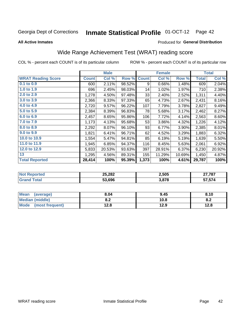#### **Inmate Statistical Profile 01-OCT-12** Page 42

#### **All Active Inmates**

## Produced for General Distribution

## Wide Range Achievement Test (WRAT) reading score

COL % - percent each COUNT is of its particular column

|                           |              | <b>Male</b> |        |              | <b>Female</b> |        |              | <b>Total</b> |
|---------------------------|--------------|-------------|--------|--------------|---------------|--------|--------------|--------------|
| <b>WRAT Reading Score</b> | <b>Count</b> | Col %       | Row %  | <b>Count</b> | Col %         | Row %  | <b>Total</b> | Col %        |
| $0.1$ to $0.9$            | 600          | 2.11%       | 98.52% | 9            | 0.66%         | 1.48%  | 609          | 2.04%        |
| 1.0 to 1.9                | 696          | 2.45%       | 98.03% | 14           | 1.02%         | 1.97%  | 710          | 2.38%        |
| 2.0 to 2.9                | 1,278        | 4.50%       | 97.48% | 33           | 2.40%         | 2.52%  | 1,311        | 4.40%        |
| 3.0 to 3.9                | 2,366        | 8.33%       | 97.33% | 65           | 4.73%         | 2.67%  | 2,431        | 8.16%        |
| 4.0 to 4.9                | 2,720        | 9.57%       | 96.22% | 107          | 7.79%         | 3.78%  | 2,827        | 9.49%        |
| 5.0 to 5.9                | 2,384        | 8.39%       | 96.83% | 78           | 5.68%         | 3.17%  | 2,462        | 8.27%        |
| 6.0 to 6.9                | 2,457        | 8.65%       | 95.86% | 106          | 7.72%         | 4.14%  | 2,563        | 8.60%        |
| 7.0 to 7.9                | 1,173        | 4.13%       | 95.68% | 53           | 3.86%         | 4.32%  | 1,226        | 4.12%        |
| 8.0 to 8.9                | 2,292        | 8.07%       | 96.10% | 93           | 6.77%         | 3.90%  | 2,385        | 8.01%        |
| 9.0 to 9.9                | 1,821        | 6.41%       | 96.71% | 62           | 4.52%         | 3.29%  | 1,883        | 6.32%        |
| 10.0 to 10.9              | 1,554        | 5.47%       | 94.81% | 85           | 6.19%         | 5.19%  | 1,639        | 5.50%        |
| 11.0 to 11.9              | 1,945        | 6.85%       | 94.37% | 116          | 8.45%         | 5.63%  | 2,061        | 6.92%        |
| 12.0 to 12.9              | 5,833        | 20.53%      | 93.63% | 397          | 28.91%        | 6.37%  | 6,230        | 20.92%       |
| 13                        | 1,295        | 4.56%       | 89.31% | 155          | 11.29%        | 10.69% | 1,450        | 4.87%        |
| <b>Total Reported</b>     | 28,414       | 100%        | 95.39% | 1,373        | 100%          | 4.61%  | 29,787       | 100%         |

| тец<br>w. | 25,282 | 2,505 | 27.707<br>101   |
|-----------|--------|-------|-----------------|
|           | 53.696 | 3,878 | -- -- -<br>. טי |

| <b>Mean</b><br>(average) | 8.04       | 9.45 | 8.10 |
|--------------------------|------------|------|------|
| <b>Median (middle)</b>   | י ה<br>0.Z | 10.8 | o.z  |
| Mode<br>(most frequent)  | 12.8       | 12.9 | 12.8 |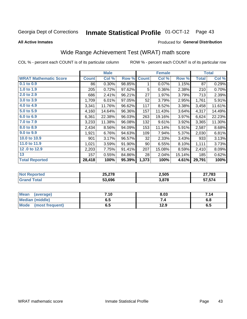#### **Inmate Statistical Profile 01-OCT-12** Page 43

**All Active Inmates** 

### Produced for General Distribution

## Wide Range Achievement Test (WRAT) math score

COL % - percent each COUNT is of its particular column

|                              |              | <b>Male</b> |        |              | <b>Female</b> |        |              | <b>Total</b> |
|------------------------------|--------------|-------------|--------|--------------|---------------|--------|--------------|--------------|
| <b>WRAT Mathematic Score</b> | <b>Count</b> | Col %       | Row %  | <b>Count</b> | Col %         | Row %  | <b>Total</b> | Col %        |
| $0.1$ to $0.9$               | 86           | 0.30%       | 98.85% | 1            | 0.07%         | 1.15%  | 87           | 0.29%        |
| 1.0 to 1.9                   | 205          | 0.72%       | 97.62% | 5            | 0.36%         | 2.38%  | 210          | 0.70%        |
| 2.0 to 2.9                   | 686          | 2.41%       | 96.21% | 27           | 1.97%         | 3.79%  | 713          | 2.39%        |
| 3.0 to 3.9                   | 1,709        | 6.01%       | 97.05% | 52           | 3.79%         | 2.95%  | 1,761        | 5.91%        |
| 4.0 to 4.9                   | 3,341        | 11.76%      | 96.62% | 117          | 8.52%         | 3.38%  | 3,458        | 11.61%       |
| 5.0 to 5.9                   | 4,160        | 14.64%      | 96.36% | 157          | 11.43%        | 3.64%  | 4,317        | 14.49%       |
| 6.0 to 6.9                   | 6,361        | 22.38%      | 96.03% | 263          | 19.16%        | 3.97%  | 6,624        | 22.23%       |
| 7.0 to 7.9                   | 3,233        | 11.38%      | 96.08% | 132          | 9.61%         | 3.92%  | 3,365        | 11.30%       |
| 8.0 to 8.9                   | 2,434        | 8.56%       | 94.09% | 153          | 11.14%        | 5.91%  | 2,587        | 8.68%        |
| 9.0 to 9.9                   | 1,921        | 6.76%       | 94.63% | 109          | 7.94%         | 5.37%  | 2,030        | 6.81%        |
| 10.0 to 10.9                 | 901          | 3.17%       | 96.57% | 32           | 2.33%         | 3.43%  | 933          | 3.13%        |
| 11.0 to 11.9                 | 1,021        | 3.59%       | 91.90% | 90           | 6.55%         | 8.10%  | 1,111        | 3.73%        |
| 12.0 to 12.9                 | 2,203        | 7.75%       | 91.41% | 207          | 15.08%        | 8.59%  | 2,410        | 8.09%        |
| 13                           | 157          | 0.55%       | 84.86% | 28           | 2.04%         | 15.14% | 185          | 0.62%        |
| <b>Total Reported</b>        | 28,418       | 100%        | 95.39% | 1,373        | 100%          | 4.61%  | 29,791       | 100%         |
|                              |              |             |        |              |               |        |              |              |

| <b>Reported</b><br>' NOt | 25,278 | 2,505 | 27,783            |
|--------------------------|--------|-------|-------------------|
| <b>c</b> otal            | 53.696 | 3,878 | -- -- 4<br>57,574 |

| <b>Mean</b><br>(average)       | 7.10 | 8.03 | 7.14 |
|--------------------------------|------|------|------|
| <b>Median (middle)</b>         | כ.ס  |      | υ.ο  |
| <b>Mode</b><br>(most frequent) | ხ. J | 12.9 | ხ.Ე  |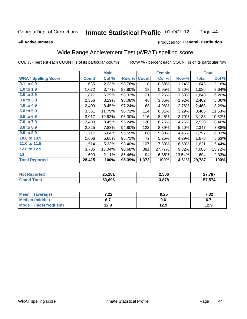#### **Inmate Statistical Profile 01-OCT-12** Page 44

#### **All Active Inmates**

## Produced for General Distribution

## Wide Range Achievement Test (WRAT) spelling score

COL % - percent each COUNT is of its particular column

| <b>WRAT Spelling Score</b><br>Col %<br><b>Count</b><br>Row %<br>Col %<br>Row %<br><b>Total</b><br><b>Count</b><br>$0.1$ to $0.9$<br>2.23%<br>98.76%<br>635<br>0.58%<br>1.24%<br>8<br>643<br>1.0 to 1.9<br>1,072<br>3.77%<br>98.80%<br>13<br>0.95%<br>1.20%<br>1,085<br>2.0 to 2.9<br>31<br>1,817<br>6.39%<br>98.32%<br>2.26%<br>1.68%<br>1,848<br>3.0 to 3.9<br>2,356<br>2,402<br>8.29%<br>98.08%<br>46<br>3.35%<br>1.92%<br>4.0 to 4.9<br>2,468<br>2,400<br>8.45%<br>97.24%<br>4.96%<br>2.76%<br>68<br>5.0 to 5.9<br>3,465<br>3,351<br>96.71%<br>8.31%<br>3.29%<br>11.79%<br>114<br>6.0 to 6.9<br>3,017<br>10.62%<br>96.30%<br>116<br>8.45%<br>3,133<br>3.70%<br>7.0 to 7.9<br>2,400<br>8.45%<br>95.24%<br>120<br>8.75%<br>2,520<br>4.76%<br>8.0 to 8.9<br>2,225<br>7.83%<br>94.80%<br>122<br>8.89%<br>5.20%<br>2,347<br>9.0 to 9.9<br>6.04%<br>95.55%<br>80<br>5.83%<br>4.45%<br>1,717<br>1,797<br>10.0 to 10.9<br>1,606<br>5.65%<br>95.71%<br>72<br>5.25%<br>4.29%<br>1,678<br>11.0 to 11.9<br>5.33%<br>93.40%<br>107<br>7.80%<br>6.60%<br>1,621<br>1,514<br>12.0 to 12.9<br>381<br>9.32%<br>3,705<br>13.04%<br>90.68%<br>27.77%<br>4,086 |  | <b>Male</b> |  | <b>Female</b> |  | <b>Total</b> |
|----------------------------------------------------------------------------------------------------------------------------------------------------------------------------------------------------------------------------------------------------------------------------------------------------------------------------------------------------------------------------------------------------------------------------------------------------------------------------------------------------------------------------------------------------------------------------------------------------------------------------------------------------------------------------------------------------------------------------------------------------------------------------------------------------------------------------------------------------------------------------------------------------------------------------------------------------------------------------------------------------------------------------------------------------------------------------------------------------------------------------------------------|--|-------------|--|---------------|--|--------------|
|                                                                                                                                                                                                                                                                                                                                                                                                                                                                                                                                                                                                                                                                                                                                                                                                                                                                                                                                                                                                                                                                                                                                              |  |             |  |               |  | Col %        |
|                                                                                                                                                                                                                                                                                                                                                                                                                                                                                                                                                                                                                                                                                                                                                                                                                                                                                                                                                                                                                                                                                                                                              |  |             |  |               |  | 2.16%        |
|                                                                                                                                                                                                                                                                                                                                                                                                                                                                                                                                                                                                                                                                                                                                                                                                                                                                                                                                                                                                                                                                                                                                              |  |             |  |               |  | 3.64%        |
|                                                                                                                                                                                                                                                                                                                                                                                                                                                                                                                                                                                                                                                                                                                                                                                                                                                                                                                                                                                                                                                                                                                                              |  |             |  |               |  | 6.20%        |
|                                                                                                                                                                                                                                                                                                                                                                                                                                                                                                                                                                                                                                                                                                                                                                                                                                                                                                                                                                                                                                                                                                                                              |  |             |  |               |  | $8.06\%$     |
|                                                                                                                                                                                                                                                                                                                                                                                                                                                                                                                                                                                                                                                                                                                                                                                                                                                                                                                                                                                                                                                                                                                                              |  |             |  |               |  | 8.29%        |
|                                                                                                                                                                                                                                                                                                                                                                                                                                                                                                                                                                                                                                                                                                                                                                                                                                                                                                                                                                                                                                                                                                                                              |  |             |  |               |  | 11.63%       |
|                                                                                                                                                                                                                                                                                                                                                                                                                                                                                                                                                                                                                                                                                                                                                                                                                                                                                                                                                                                                                                                                                                                                              |  |             |  |               |  | 10.52%       |
|                                                                                                                                                                                                                                                                                                                                                                                                                                                                                                                                                                                                                                                                                                                                                                                                                                                                                                                                                                                                                                                                                                                                              |  |             |  |               |  | 8.46%        |
|                                                                                                                                                                                                                                                                                                                                                                                                                                                                                                                                                                                                                                                                                                                                                                                                                                                                                                                                                                                                                                                                                                                                              |  |             |  |               |  | 7.88%        |
|                                                                                                                                                                                                                                                                                                                                                                                                                                                                                                                                                                                                                                                                                                                                                                                                                                                                                                                                                                                                                                                                                                                                              |  |             |  |               |  | 6.03%        |
|                                                                                                                                                                                                                                                                                                                                                                                                                                                                                                                                                                                                                                                                                                                                                                                                                                                                                                                                                                                                                                                                                                                                              |  |             |  |               |  | 5.63%        |
|                                                                                                                                                                                                                                                                                                                                                                                                                                                                                                                                                                                                                                                                                                                                                                                                                                                                                                                                                                                                                                                                                                                                              |  |             |  |               |  | 5.44%        |
|                                                                                                                                                                                                                                                                                                                                                                                                                                                                                                                                                                                                                                                                                                                                                                                                                                                                                                                                                                                                                                                                                                                                              |  |             |  |               |  | 13.72%       |
| 13<br>2.11%<br>694<br>600<br>86.46%<br>94<br>6.85%<br>13.54%                                                                                                                                                                                                                                                                                                                                                                                                                                                                                                                                                                                                                                                                                                                                                                                                                                                                                                                                                                                                                                                                                 |  |             |  |               |  | 2.33%        |
| 1,372<br><b>Total Reported</b><br>28,415<br>100%<br>4.61%<br>29,787<br>95.39%<br>100%                                                                                                                                                                                                                                                                                                                                                                                                                                                                                                                                                                                                                                                                                                                                                                                                                                                                                                                                                                                                                                                        |  |             |  |               |  | 100%         |

| <b>Reported</b><br><b>NO</b> t | 25,281 | 2,506 | 27,787            |
|--------------------------------|--------|-------|-------------------|
| <b>c</b> otal                  | 53.696 | 3,878 | -- -- 4<br>57,574 |

| <b>Mean</b><br>(average) | ר ה<br>$\mathbf{z}$ | 9.25 | 7. 22.<br>∡د. ا |
|--------------------------|---------------------|------|-----------------|
| Median (middle)          | ν.,                 | 9.6  | ν.,             |
| Mode<br>(most frequent)  | 12.9                | 12.9 | 12.9            |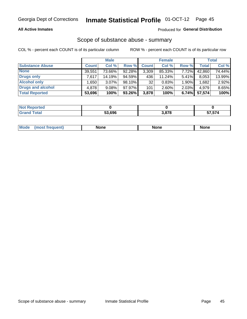### **All Active Inmates**

## Produced for General Distribution

# Scope of substance abuse - summary

COL % - percent each COUNT is of its particular column

|                        |              | <b>Male</b> |           |              | <b>Female</b> |       |              | <b>Total</b> |
|------------------------|--------------|-------------|-----------|--------------|---------------|-------|--------------|--------------|
| <b>Substance Abuse</b> | <b>Count</b> | Col %       | Row %     | <b>Count</b> | Col %         | Row % | <b>Total</b> | Col %        |
| <b>None</b>            | 39,551       | 73.66%      | 92.28%    | 3,309        | 85.33%        | 7.72% | 42,860       | 74.44%       |
| <b>Drugs only</b>      | 7.617        | 14.19%      | $94.59\%$ | 436          | $11.24\%$     | 5.41% | 8,053        | 13.99%       |
| <b>Alcohol only</b>    | .650         | $3.07\%$    | 98.10%    | 32           | 0.83%         | 1.90% | .682         | 2.92%        |
| Drugs and alcohol      | 4,878        | $9.08\%$    | 97.97%    | 101          | $2.60\%$      | 2.03% | 4,979        | 8.65%        |
| <b>Total Reported</b>  | 53,696       | 100%        | $93.26\%$ | 3,878        | 100%          | 6.74% | 57,574       | 100%         |

| <b>Not Reported</b> |        |       |        |
|---------------------|--------|-------|--------|
| <b>Grand Total</b>  | 53.696 | 3.878 | 57,574 |

| <b>Mod</b><br>'one<br>None<br><b>None</b> |
|-------------------------------------------|
|-------------------------------------------|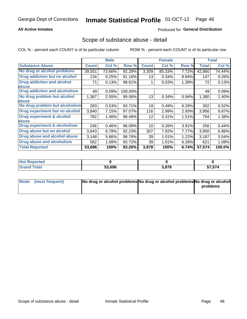## **All Active Inmates**

## Produced for General Distribution

## Scope of substance abuse - detail

COL % - percent each COUNT is of its particular column

|                                      |              | <b>Male</b> |         |              | <b>Female</b> |       |                     | <b>Total</b> |
|--------------------------------------|--------------|-------------|---------|--------------|---------------|-------|---------------------|--------------|
| <b>Substance Abuse</b>               | <b>Count</b> | Col %       | Row %   | <b>Count</b> | Col %         | Row % | <b>Total</b>        | Col %        |
| No drug or alcohol problems          | 39,551       | 73.66%      | 92.28%  | 3,309        | 85.33%        | 7.72% | 42,860              | 74.44%       |
| Drug addiction but no alcohol        | 134          | 0.25%       | 91.16%  | 13           | 0.34%         | 8.84% | 147                 | 0.26%        |
| <b>Drug addiction and alcohol</b>    | 71           | 0.13%       | 98.61%  |              | 0.03%         | 1.39% | 72                  | 0.13%        |
| <b>labuse</b>                        |              |             |         |              |               |       |                     |              |
| <b>Drug addiction and alcoholism</b> | 49           | 0.09%       | 100.00% |              |               |       | 49                  | 0.09%        |
| No drug problem but alcohol          | 1,367        | 2.55%       | 99.06%  | 13           | 0.34%         | 0.94% | 1,380               | 2.40%        |
| <b>labuse</b>                        |              |             |         |              |               |       |                     |              |
| No drug problem but alcoholism       | 283          | 0.53%       | 93.71%  | 19           | 0.49%         | 6.29% | 302                 | 0.52%        |
| Drug experiment but no alcohol       | 3,840        | 7.15%       | 97.07%  | 116          | 2.99%         | 2.93% | 3,956               | 6.87%        |
| <b>Drug experiment &amp; alcohol</b> | 782          | 1.46%       | 98.49%  | 12           | 0.31%         | 1.51% | 794                 | 1.38%        |
| <b>labuse</b>                        |              |             |         |              |               |       |                     |              |
| Drug experiment & alcoholism         | 246          | 0.46%       | 96.09%  | 10           | 0.26%         | 3.91% | 256                 | 0.44%        |
| Drug abuse but no alcohol            | 3,643        | 6.78%       | 92.23%  | 307          | 7.92%         | 7.77% | 3,950               | 6.86%        |
| Drug abuse and alcohol abuse         | 3,148        | 5.86%       | 98.78%  | 39           | 1.01%         | 1.22% | 3,187               | 5.54%        |
| <b>Drug abuse and alcoholism</b>     | 582          | 1.08%       | 93.72%  | 39           | 1.01%         | 6.28% | 621                 | 1.08%        |
| <b>Total Reported</b>                | 53,696       | 100%        | 93.26%  | 3,878        | 100%          | 6.74% | $\overline{57,574}$ | 100.0%       |

| oorted<br>NOT |        |       |        |
|---------------|--------|-------|--------|
| otal          | 53,696 | 3,878 | 57,574 |

| Mode (most frequent) | No drug or alcohol problems No drug or alcohol problems No drug or alcohol |          |
|----------------------|----------------------------------------------------------------------------|----------|
|                      |                                                                            | problems |
|                      |                                                                            |          |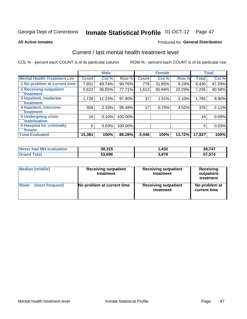# Inmate Statistical Profile 01-OCT-12 Page 47

#### **All Active Inmates**

### **Produced for General Distribution**

## Current / last mental health treatment level

COL % - percent each COUNT is of its particular column

|                                    |              | <b>Male</b> |         |              | <b>Female</b> |        |              | <b>Total</b> |
|------------------------------------|--------------|-------------|---------|--------------|---------------|--------|--------------|--------------|
| <b>Mental Health Treatment Lev</b> | <b>Count</b> | Col %       | Row %   | <b>Count</b> | Col %         | Row %  | <b>Total</b> | Col %        |
| 1 No problem at current time       | 7,651        | 49.74%      | 90.76%  | 779          | 31.85%        | 9.24%  | 8,430        | 47.29%       |
| 2 Receiving outpatient             | 5,622        | 36.55%      | 77.71%  | 1,613        | 65.94%        | 22.29% | 7,235        | 40.58%       |
| <b>Treatment</b>                   |              |             |         |              |               |        |              |              |
| 3 Inpatient, moderate              | 1,728        | 11.23%      | 97.90%  | 37           | 1.51%         | 2.10%  | 1,765        | 9.90%        |
| Treatment                          |              |             |         |              |               |        |              |              |
| 4 Inpatient, intensive             | 359          | 2.33%       | 95.48%  | 17           | 0.70%         | 4.52%  | 376          | 2.11%        |
| <b>Treatment</b>                   |              |             |         |              |               |        |              |              |
| <b>5 Undergoing crisis</b>         | 16           | 0.10%       | 100.00% |              |               |        | 16           | 0.09%        |
| <b>stabilization</b>               |              |             |         |              |               |        |              |              |
| <b>6 Hospital for criminally</b>   | 5            | 0.03%       | 100.00% |              |               |        | 5            | 0.03%        |
| <b>Tinsane</b>                     |              |             |         |              |               |        |              |              |
| <b>Total Evaluated</b>             | 15,381       | 100%        | 86.28%  | 2,446        | 100%          | 13.72% | 17,827       | 100%         |

| Never had MH evaluation | 38,315 | 1,432 | 39,747 |
|-------------------------|--------|-------|--------|
| <b>Grand Total</b>      | 53,696 | 3,878 | 57,574 |

| Median (middle) | <b>Receiving outpatient</b><br>treatment | <b>Receiving outpatient</b><br>treatment | <b>Receiving</b><br>outpatient<br>treatment |  |  |
|-----------------|------------------------------------------|------------------------------------------|---------------------------------------------|--|--|
| <b>Mode</b>     | No problem at current time               | <b>Receiving outpatient</b>              | No problem at                               |  |  |
| (most frequent) |                                          | treatment                                | current time                                |  |  |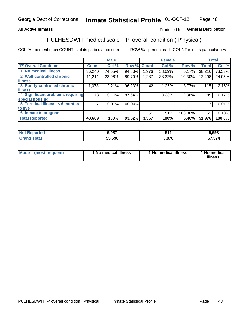## **All Active Inmates**

## Produced for General Distribution

## PULHESDWIT medical scale - 'P' overall condition ('P'hysical)

COL % - percent each COUNT is of its particular column

|                                        | <b>Male</b> |        |              |                                      |       |                                                     | <b>Total</b>     |
|----------------------------------------|-------------|--------|--------------|--------------------------------------|-------|-----------------------------------------------------|------------------|
| <b>Count</b>                           | Col %       |        | <b>Count</b> | Col %                                |       | <b>Total</b>                                        | Col %            |
| 36,240                                 | 74.55%      | 94.83% | 1,976        | 58.69%                               |       | 38,216                                              | 73.53%           |
| 11,211                                 | 23.06%      | 89.70% | 1,287        | 38.22%                               |       | 12,498                                              | 24.05%           |
|                                        |             |        |              |                                      |       |                                                     |                  |
| 1,073                                  | 2.21%       |        | 42           | 1.25%                                |       | 1,115                                               | 2.15%            |
|                                        |             |        |              |                                      |       |                                                     |                  |
| 4 Significant problems requiring<br>78 | 0.16%       |        | 11           | 0.33%                                |       | 89'                                                 | 0.17%            |
|                                        |             |        |              |                                      |       |                                                     |                  |
| 7                                      | 0.01%       |        |              |                                      |       | 7                                                   | 0.01%            |
|                                        |             |        |              |                                      |       |                                                     |                  |
|                                        |             |        | 51           | 1.51%                                |       | 51                                                  | 0.10%            |
| 48,609                                 | 100%        | 93.52% | 3,367        | 100%                                 | 6.48% | 51,976                                              | 100.0%           |
|                                        |             |        |              | Row %<br>96.23%<br>87.64%<br>100.00% |       | <b>Female</b><br>Row %<br>5.17%<br>10.30%<br>12.36% | 3.77%<br>100.00% |

| rtea | 5,087  | <b>RAA</b><br><b></b> | 5.598   |
|------|--------|-----------------------|---------|
|      | 53.696 | 070<br>c              | .<br>-- |

| Mode | (most frequent) | 1 No medical illness | 1 No medical illness | 1 No medical<br>illness |
|------|-----------------|----------------------|----------------------|-------------------------|
|------|-----------------|----------------------|----------------------|-------------------------|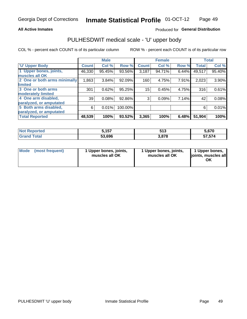### **All Active Inmates**

## Produced for General Distribution

# PULHESDWIT medical scale - 'U' upper body

COL % - percent each COUNT is of its particular column

|                              |              | <b>Male</b> |         |              | <b>Female</b> |       |              | <b>Total</b> |
|------------------------------|--------------|-------------|---------|--------------|---------------|-------|--------------|--------------|
| <b>U' Upper Body</b>         | <b>Count</b> | Col %       | Row %   | <b>Count</b> | Col %         | Row % | <b>Total</b> | Col %        |
| 1 Upper bones, joints,       | 46,330       | 95.45%      | 93.56%  | 3,187        | 94.71%        | 6.44% | 49,517       | 95.40%       |
| muscles all OK               |              |             |         |              |               |       |              |              |
| 2 One or both arms minimally | 1,863        | 3.84%       | 92.09%  | 160          | 4.75%         | 7.91% | 2,023        | 3.90%        |
| limited                      |              |             |         |              |               |       |              |              |
| 3 One or both arms           | 301          | 0.62%       | 95.25%  | 15           | 0.45%         | 4.75% | 316          | 0.61%        |
| <b>moderately limited</b>    |              |             |         |              |               |       |              |              |
| 4 One arm disabled,          | 39           | 0.08%       | 92.86%  | 3            | 0.09%         | 7.14% | 42           | 0.08%        |
| paralyzed, or amputated      |              |             |         |              |               |       |              |              |
| 5 Both arms disabled,        | 6            | 0.01%       | 100.00% |              |               |       | 6            | 0.01%        |
| paralyzed, or amputated      |              |             |         |              |               |       |              |              |
| <b>Total Reported</b>        | 48,539       | 100%        | 93.52%  | 3,365        | 100%          | 6.48% | 51,904       | 100%         |

| <b>Not Reported</b>          | こ イ スフ<br><b>U.IJ.</b> | 513                   | 5,670  |
|------------------------------|------------------------|-----------------------|--------|
| <b>Total</b><br><b>Grand</b> | 53,696                 | - 070<br><b>J.OLO</b> | 57,574 |

| Mode (most frequent) | 1 Upper bones, joints,<br>muscles all OK | 1 Upper bones, joints,<br>muscles all OK | 1 Upper bones,<br>joints, muscles all<br>ΟK |
|----------------------|------------------------------------------|------------------------------------------|---------------------------------------------|
|----------------------|------------------------------------------|------------------------------------------|---------------------------------------------|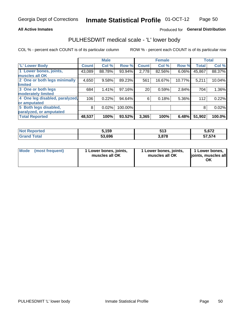### **All Active Inmates**

## Produced for General Distribution

## PULHESDWIT medical scale - 'L' lower body

COL % - percent each COUNT is of its particular column

|                                |              | <b>Male</b> |         |              | <b>Female</b> |        |              | <b>Total</b> |
|--------------------------------|--------------|-------------|---------|--------------|---------------|--------|--------------|--------------|
| 'L' Lower Body                 | <b>Count</b> | Col %       | Row %   | <b>Count</b> | Col %         | Row %  | <b>Total</b> | Col %        |
| 1 Lower bones, joints,         | 43,089       | 88.78%      | 93.94%  | 2,778        | 82.56%        | 6.06%  | 45,867       | 88.37%       |
| muscles all OK                 |              |             |         |              |               |        |              |              |
| 2 One or both legs minimally   | 4,650        | 9.58%       | 89.23%  | 561          | 16.67%        | 10.77% | 5,211        | 10.04%       |
| limited                        |              |             |         |              |               |        |              |              |
| 3 One or both legs             | 684          | 1.41%       | 97.16%  | 20           | 0.59%         | 2.84%  | 704          | 1.36%        |
| moderately limited             |              |             |         |              |               |        |              |              |
| 4 One leg disabled, paralyzed, | 106          | 0.22%       | 94.64%  | 6            | 0.18%         | 5.36%  | 112          | 0.22%        |
| or amputated                   |              |             |         |              |               |        |              |              |
| 5 Both legs disabled,          | 8            | 0.02%       | 100.00% |              |               |        | 8            | 0.02%        |
| paralyzed, or amputated        |              |             |         |              |               |        |              |              |
| <b>Total Reported</b>          | 48,537       | 100%        | 93.52%  | 3,365        | 100%          | 6.48%  | 51,902       | 100.0%       |

| <b>Not Reported</b>          | 5,159  | 513                   | 5,672  |
|------------------------------|--------|-----------------------|--------|
| <b>Total</b><br><b>Grand</b> | 53,696 | - 070<br><b>J.OLO</b> | 57,574 |

|  | Mode (most frequent) | 1 Lower bones, joints,<br>muscles all OK | 1 Lower bones, joints,<br>muscles all OK | 1 Lower bones,<br>joints, muscles all<br>ΟK |
|--|----------------------|------------------------------------------|------------------------------------------|---------------------------------------------|
|--|----------------------|------------------------------------------|------------------------------------------|---------------------------------------------|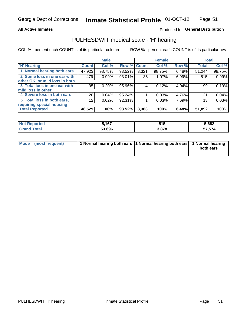### **All Active Inmates**

## Produced for General Distribution

## PULHESDWIT medical scale - 'H' hearing

COL % - percent each COUNT is of its particular column

|                                |                 | <b>Male</b> |                    |       | <b>Female</b> |       | <b>Total</b> |        |
|--------------------------------|-----------------|-------------|--------------------|-------|---------------|-------|--------------|--------|
| <b>'H' Hearing</b>             | <b>Count</b>    | Col %       | <b>Row % Count</b> |       | Col %         | Row % | <b>Total</b> | Col %  |
| 1 Normal hearing both ears     | 47,923          | 98.75%      | 93.52%             | 3,321 | 98.75%        | 6.48% | 51,244       | 98.75% |
| 2 Some loss in one ear with    | 479             | 0.99%       | 93.01%             | 36    | 1.07%         | 6.99% | 515          | 0.99%  |
| other OK, or mild loss in both |                 |             |                    |       |               |       |              |        |
| 3 Total loss in one ear with   | 95              | 0.20%       | 95.96%             | 4     | 0.12%         | 4.04% | 99           | 0.19%  |
| mild loss in other             |                 |             |                    |       |               |       |              |        |
| 4 Severe loss in both ears     | 20 <sub>1</sub> | 0.04%       | 95.24%             |       | 0.03%         | 4.76% | 21           | 0.04%  |
| 5 Total loss in both ears,     | 12              | 0.02%       | 92.31%             |       | 0.03%         | 7.69% | 13           | 0.03%  |
| requiring special housing      |                 |             |                    |       |               |       |              |        |
| <b>Total Reported</b>          | 48,529          | 100%        | 93.52%             | 3,363 | 100%          | 6.48% | 51,892       | 100%   |

| ాorted<br>NOT RADO | 5,167  | .<br>JIJ | 5.682  |
|--------------------|--------|----------|--------|
| Total              | 53.696 | 3,878    | 57,574 |

| Mode (most frequent) | 1 Normal hearing both ears 1 Normal hearing both ears 1 Normal hearing | both ears |
|----------------------|------------------------------------------------------------------------|-----------|
|                      |                                                                        |           |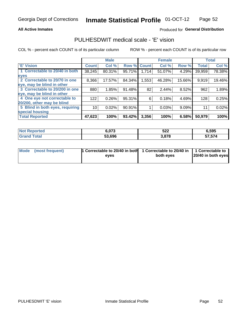### **All Active Inmates**

## Produced for General Distribution

## PULHESDWIT medical scale - 'E' vision

COL % - percent each COUNT is of its particular column

|                                 |                 | <b>Male</b> |        |              | <b>Female</b> |        |              | <b>Total</b> |
|---------------------------------|-----------------|-------------|--------|--------------|---------------|--------|--------------|--------------|
| <b>E' Vision</b>                | <b>Count</b>    | Col %       | Row %  | <b>Count</b> | Col %         | Row %  | <b>Total</b> | Col %        |
| 1 Correctable to 20/40 in both  | 38,245          | 80.31%      | 95.71% | 1,714        | 51.07%        | 4.29%  | 39,959       | 78.38%       |
| eyes                            |                 |             |        |              |               |        |              |              |
| 2 Correctable to 20/70 in one   | 8,366           | 17.57%      | 84.34% | 1,553        | 46.28%        | 15.66% | 9,919        | 19.46%       |
| eye, may be blind in other      |                 |             |        |              |               |        |              |              |
| 3 Correctable to 20/200 in one  | 880             | 1.85%       | 91.48% | 82           | 2.44%         | 8.52%  | 962          | 1.89%        |
| eye, may be blind in other      |                 |             |        |              |               |        |              |              |
| 4 One eye not correctable to    | 122             | 0.26%       | 95.31% | 6            | 0.18%         | 4.69%  | 128          | 0.25%        |
| 20/200, other may be blind      |                 |             |        |              |               |        |              |              |
| 5 Blind in both eyes, requiring | 10 <sup>1</sup> | 0.02%       | 90.91% |              | 0.03%         | 9.09%  | 11           | 0.02%        |
| special housing                 |                 |             |        |              |               |        |              |              |
| <b>Total Reported</b>           | 47,623          | 100%        | 93.42% | 3,356        | 100%          | 6.58%  | 50,979       | 100%         |

| <b>Not Reported</b> | מדה י<br>0.U / J | 522   | 6,595  |
|---------------------|------------------|-------|--------|
| Гоtal               | 53,696           | 3,878 | 57,574 |

| Mode (most frequent) | 1 Correctable to 20/40 in both<br>eves | 1 Correctable to 20/40 in   1 Correctable to  <br>both eves | 20/40 in both eyes |
|----------------------|----------------------------------------|-------------------------------------------------------------|--------------------|
|                      |                                        |                                                             |                    |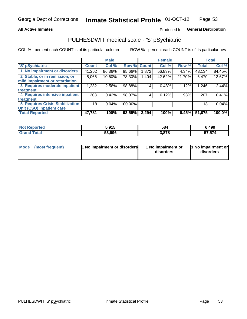### **All Active Inmates**

## Produced for General Distribution

## PULHESDWIT medical scale - 'S' pSychiatric

COL % - percent each COUNT is of its particular column

|                                        |              | <b>Male</b> |         |             | <b>Female</b> |        |              | <b>Total</b> |
|----------------------------------------|--------------|-------------|---------|-------------|---------------|--------|--------------|--------------|
| 'S' pSychiatric                        | <b>Count</b> | Col %       |         | Row % Count | Col %         | Row %  | <b>Total</b> | Col %        |
| 1 No impairment or disorders           | 41,262       | 86.36%      | 95.66%  | 1,872       | 56.83%        | 4.34%  | 43,134       | 84.45%       |
| 2 Stable, or in remission, or          | 5,066        | 10.60%      | 78.30%  | 1,404       | 42.62%        | 21.70% | 6,470        | 12.67%       |
| mild impairment or retardation         |              |             |         |             |               |        |              |              |
| 3 Requires moderate inpatient          | 1,232        | 2.58%       | 98.88%  | 14          | 0.43%         | 1.12%  | 1,246        | 2.44%        |
| treatment                              |              |             |         |             |               |        |              |              |
| 4 Requires intensive inpatient         | 203          | 0.42%       | 98.07%  |             | 0.12%         | 1.93%  | 207          | 0.41%        |
| treatment                              |              |             |         |             |               |        |              |              |
| <b>5 Requires Crisis Stabilization</b> | 18           | 0.04%       | 100.00% |             |               |        | 18           | 0.04%        |
| Unit (CSU) inpatient care              |              |             |         |             |               |        |              |              |
| <b>Total Reported</b>                  | 47,781       | 100%        | 93.55%  | 3,294       | 100%          | 6.45%  | 51,075       | 100.0%       |

| <b>Not Reported</b> | J.J I J | 584   | 6,499             |
|---------------------|---------|-------|-------------------|
| $\mathsf{Total}$    | 53,696  | 3,878 | -- -- 1<br>57,574 |

| Mode            | <b>1 No impairment or disorders</b> | 1 No impairment or | 1 No impairment or |
|-----------------|-------------------------------------|--------------------|--------------------|
| (most frequent) |                                     | disorders          | disorders          |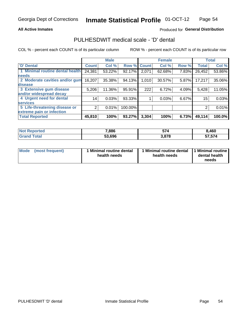### **All Active Inmates**

## Produced for General Distribution

## PULHESDWIT medical scale - 'D' dental

COL % - percent each COUNT is of its particular column

|                                 |              | <b>Male</b> |         |              | <b>Female</b> |       |              | <b>Total</b> |
|---------------------------------|--------------|-------------|---------|--------------|---------------|-------|--------------|--------------|
| 'D' Dental                      | <b>Count</b> | Col %       | Row %   | <b>Count</b> | Col %         | Row % | <b>Total</b> | Col %        |
| 1 Minimal routine dental health | 24,381       | 53.22%      | 92.17%  | 2,071        | 62.68%        | 7.83% | 26,452       | 53.86%       |
| <b>needs</b>                    |              |             |         |              |               |       |              |              |
| 2 Moderate cavities and/or gum  | 16,207       | 35.38%      | 94.13%  | 1,010        | 30.57%        | 5.87% | 17,217       | 35.06%       |
| disease                         |              |             |         |              |               |       |              |              |
| 3 Extensive gum disease         | 5,206        | 11.36%      | 95.91%  | 222          | 6.72%         | 4.09% | 5,428        | 11.05%       |
| and/or widespread decay         |              |             |         |              |               |       |              |              |
| 4 Urgent need for dental        | 14           | 0.03%       | 93.33%  |              | 0.03%         | 6.67% | 15           | 0.03%        |
| <b>services</b>                 |              |             |         |              |               |       |              |              |
| 5 Life-threatening disease or   | 2            | 0.01%       | 100.00% |              |               |       | 2            | 0.01%        |
| extreme pain or infection       |              |             |         |              |               |       |              |              |
| <b>Total Reported</b>           | 45,810       | 100%        | 93.27%  | 3,304        | 100%          | 6.73% | 49,114       | 100.0%       |

| <b>Not Reported</b> | 7,886  | τт.<br>OI. | 8,460  |
|---------------------|--------|------------|--------|
| Total<br>Grand      | 53,696 | 3,878      | 57,574 |

| 1 Minimal routine dental<br>Mode<br>(most frequent)<br>health needs | 1 Minimal routine dental 1 Minimal routine<br>health needs | dental health<br>needs |
|---------------------------------------------------------------------|------------------------------------------------------------|------------------------|
|---------------------------------------------------------------------|------------------------------------------------------------|------------------------|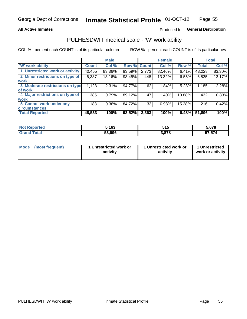### **All Active Inmates**

## Produced for General Distribution

## PULHESDWIT medical scale - 'W' work ability

COL % - percent each COUNT is of its particular column

|                                 |              | <b>Male</b> |        |             | <b>Female</b> |        |              | <b>Total</b> |
|---------------------------------|--------------|-------------|--------|-------------|---------------|--------|--------------|--------------|
| <b>W' work ability</b>          | <b>Count</b> | Col %       |        | Row % Count | Col %         | Row %  | <b>Total</b> | Col %        |
| 1 Unrestricted work or activity | 40,455       | 83.36%      | 93.59% | 2,773       | 82.46%        | 6.41%  | 43,228       | 83.30%       |
| 2 Minor restrictions on type of | 6,387        | 13.16%      | 93.45% | 448         | 13.32%        | 6.55%  | 6,835        | 13.17%       |
| <b>work</b>                     |              |             |        |             |               |        |              |              |
| 3 Moderate restrictions on type | 1,123        | 2.31%       | 94.77% | 62          | 1.84%         | 5.23%  | 1,185        | 2.28%        |
| lof work                        |              |             |        |             |               |        |              |              |
| 4 Major restrictions on type of | 385          | 0.79%       | 89.12% | 47          | 1.40%         | 10.88% | 432          | 0.83%        |
| <b>work</b>                     |              |             |        |             |               |        |              |              |
| 5 Cannot work under any         | 183          | 0.38%       | 84.72% | 33          | 0.98%         | 15.28% | 216          | 0.42%        |
| <b>circumstances</b>            |              |             |        |             |               |        |              |              |
| <b>Total Reported</b>           | 48,533       | 100%        | 93.52% | 3,363       | 100%          | 6.48%  | 51,896       | 100%         |

| <b>Not Reported</b> | 5,163  | E4 E<br>ъ.<br>JIJ | $\sim$<br>১.৮/୪   |
|---------------------|--------|-------------------|-------------------|
| Total               | 53,696 | 3,878             | -- -- 1<br>57,574 |

| Mode            | 1 Unrestricted work or | 1 Unrestricted work or | 1 Unrestricted   |
|-----------------|------------------------|------------------------|------------------|
| (most frequent) | activity               | activity               | work or activity |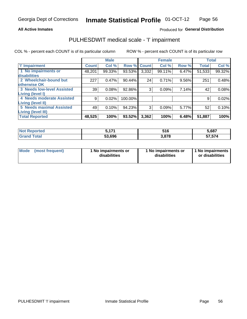### **All Active Inmates**

## Produced for General Distribution

## PULHESDWIT medical scale - 'I' impairment

COL % - percent each COUNT is of its particular column

|                                                              |              | <b>Male</b> |             |       | <b>Female</b> |       |              | <b>Total</b> |
|--------------------------------------------------------------|--------------|-------------|-------------|-------|---------------|-------|--------------|--------------|
| <b>T' Impairment</b>                                         | <b>Count</b> | Col %       | Row % Count |       | Col %         | Row % | <b>Total</b> | Col %        |
| 1 No impairments or<br>disabilities                          | 48,201       | 99.33%      | 93.53%      | 3,332 | 99.11%        | 6.47% | 51,533       | 99.32%       |
| 2 Wheelchair-bound but<br>otherwise OK                       | 227          | 0.47%       | 90.44%      | 24    | 0.71%         | 9.56% | 251          | 0.48%        |
| <b>3 Needs low-level Assisted</b>                            | 39           | 0.08%       | 92.86%      | 3     | 0.09%         | 7.14% | 42           | 0.08%        |
| Living (level I)<br>4 Needs moderate Assisted                | 9            | 0.02%       | 100.00%     |       |               |       | 9            | 0.02%        |
| Living (level II)                                            |              |             |             |       |               |       |              |              |
| <b>5 Needs maximal Assisted</b><br><b>Living (level III)</b> | 49           | 0.10%       | 94.23%      | 3     | 0.09%         | 5.77% | 52           | 0.10%        |
| <b>Total Reported</b>                                        | 48,525       | 100%        | 93.52%      | 3,362 | 100%          | 6.48% | 51,887       | 100%         |

| <b>Not</b><br>Reported | : 4 7 4 | 516   | 5,687                                     |
|------------------------|---------|-------|-------------------------------------------|
| Total                  | 53.696  | 3.878 | $F \rightarrow F \rightarrow A$<br>57.574 |

| Mode | (most frequent) | 1 No impairments or<br>disabilities | 1 No impairments or<br>disabilities | 1 No impairments<br>or disabilities |
|------|-----------------|-------------------------------------|-------------------------------------|-------------------------------------|
|------|-----------------|-------------------------------------|-------------------------------------|-------------------------------------|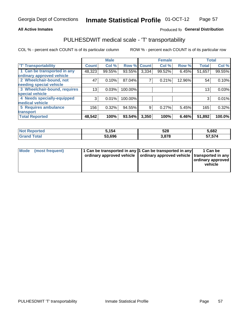### **All Active Inmates**

## Produced fo General Distribution

## PULHESDWIT medical scale - 'T' transportability

COL % - percent each COUNT is of its particular column

|                              |                    | <b>Male</b> |         |              | <b>Female</b> |        |              | <b>Total</b> |
|------------------------------|--------------------|-------------|---------|--------------|---------------|--------|--------------|--------------|
| <b>T' Transportability</b>   | Count <sup>!</sup> | Col %       | Row %   | <b>Count</b> | Col %         | Row %  | <b>Total</b> | Col %        |
| 1 Can be transported in any  | 48,323             | 99.55%      | 93.55%  | 3,334        | 99.52%        | 6.45%  | 51,657       | 99.55%       |
| ordinary approved vehicle    |                    |             |         |              |               |        |              |              |
| 2 Wheelchair-bound, not      | 47                 | 0.10%       | 87.04%  | 7            | 0.21%         | 12.96% | 54           | 0.10%        |
| needing special vehicle      |                    |             |         |              |               |        |              |              |
| 3 Wheelchair-bound, requires | 13                 | 0.03%       | 100.00% |              |               |        | 13           | 0.03%        |
| special vehicle              |                    |             |         |              |               |        |              |              |
| 4 Needs specially-equipped   | 3                  | 0.01%       | 100.00% |              |               |        | 3            | 0.01%        |
| medical vehicle              |                    |             |         |              |               |        |              |              |
| <b>5 Requires ambulance</b>  | 156                | 0.32%       | 94.55%  | 9            | 0.27%         | 5.45%  | 165          | 0.32%        |
| transport                    |                    |             |         |              |               |        |              |              |
| <b>Total Reported</b>        | 48,542             | 100%        | 93.54%  | 3,350        | 100%          | 6.46%  | 51,892       | 100.0%       |

| <b>Not</b><br>Reported | 5,154  | 528   | 5,682             |
|------------------------|--------|-------|-------------------|
| Total                  | 53.696 | 3.878 | -- -- 1<br>51,514 |

|  | Mode (most frequent) | 1 Can be transported in any 1 Can be transported in any<br>ordinary approved vehicle   ordinary approved vehicle   transported in any |  | 1 Can be<br>  ordinary approved  <br>vehicle |
|--|----------------------|---------------------------------------------------------------------------------------------------------------------------------------|--|----------------------------------------------|
|--|----------------------|---------------------------------------------------------------------------------------------------------------------------------------|--|----------------------------------------------|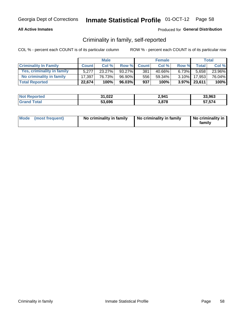## **All Active Inmates**

## Produced for General Distribution

## Criminality in family, self-reported

COL % - percent each COUNT is of its particular column

|                              |              | <b>Male</b> |        |              | <b>Female</b> |          |              | Total  |
|------------------------------|--------------|-------------|--------|--------------|---------------|----------|--------------|--------|
| <b>Criminality In Family</b> | <b>Count</b> | Col%        | Row %  | <b>Count</b> | Col %         | Row %    | <b>Total</b> | Col %  |
| Yes, criminality in family   | 5.277        | $23.27\%$   | 93.27% | 381          | 40.66%        | $6.73\%$ | 5,658        | 23.96% |
| No criminality in family     | 17.397       | 76.73%      | 96.90% | 556          | 59.34%        | $3.10\%$ | 17,953       | 76.04% |
| <b>Total Reported</b>        | 22,674       | 100%        | 96.03% | 937          | 100%          |          | 3.97% 23,611 | 100%   |

| <b>Not Reported</b> | 31,022 | 2,941 | 33,963 |
|---------------------|--------|-------|--------|
| Tota                | 53,696 | 3,878 | 57,574 |

|  | Mode (most frequent) | No criminality in family | No criminality in family | No criminality in<br>family |
|--|----------------------|--------------------------|--------------------------|-----------------------------|
|--|----------------------|--------------------------|--------------------------|-----------------------------|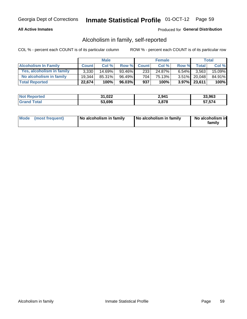## **All Active Inmates**

## Produced for General Distribution

## Alcoholism in family, self-reported

COL % - percent each COUNT is of its particular column

|                             |              | <b>Male</b> |           |              | <b>Female</b> |          |                 | Total   |
|-----------------------------|--------------|-------------|-----------|--------------|---------------|----------|-----------------|---------|
| <b>Alcoholism In Family</b> | <b>Count</b> | Col%        | Row %     | <b>Count</b> | Col%          | Row %    | <b>Total</b>    | Col %   |
| Yes, alcoholism in family   | 3.330        | $14.69\%$   | 93.46%    | 233          | 24.87%        | $6.54\%$ | 3.563           | 15.09%  |
| No alcoholism in family     | 19.344       | 85.31%      | 96.49%    | 704          | 75.13%        |          | 3.51% 20,048    | 84.91%  |
| <b>Total Reported</b>       | 22,674       | 100%        | $96.03\%$ | 937          | 100%          |          | $3.97\%$ 23,611 | $100\%$ |

| <b>Not Reported</b> | 31,022 | 2,941 | 33.963        |
|---------------------|--------|-------|---------------|
| <b>Srand Total</b>  | 53,696 | 3,878 | <b>57,574</b> |

|  | Mode (most frequent) | No alcoholism in family | No alcoholism in family | No alcoholism in<br>family |
|--|----------------------|-------------------------|-------------------------|----------------------------|
|--|----------------------|-------------------------|-------------------------|----------------------------|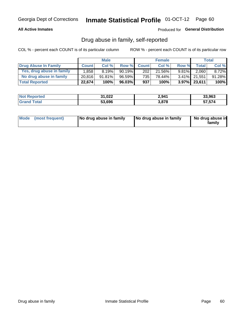## **All Active Inmates**

## Produced for General Distribution

## Drug abuse in family, self-reported

COL % - percent each COUNT is of its particular column

|                           |              | <b>Male</b> |           |              | <b>Female</b> |          |              | <b>Total</b> |
|---------------------------|--------------|-------------|-----------|--------------|---------------|----------|--------------|--------------|
| Drug Abuse In Family      | <b>Count</b> | Col%        | Row %     | <b>Count</b> | Col%          | Row %    | Total        | Col %        |
| Yes, drug abuse in family | 1,858        | 8.19%       | $90.19\%$ | 202          | 21.56%        | $9.81\%$ | 2,060        | $8.72\%$     |
| No drug abuse in family   | 20.816       | 91.81%      | $96.59\%$ | 735 l        | 78.44%        |          | 3.41% 21,551 | 91.28%       |
| <b>Total Reported</b>     | 22,674       | 100%        | 96.03%    | 937          | 100%          |          | 3.97% 23,611 | $100\%$      |

| <b>Not Reported</b> | 31,022<br>21 | 2,941 | 33,963 |
|---------------------|--------------|-------|--------|
| Total               | 53,696       | 3,878 | 57.574 |

|  | Mode (most frequent) | No drug abuse in family | No drug abuse in family | No drug abuse in<br>familv |
|--|----------------------|-------------------------|-------------------------|----------------------------|
|--|----------------------|-------------------------|-------------------------|----------------------------|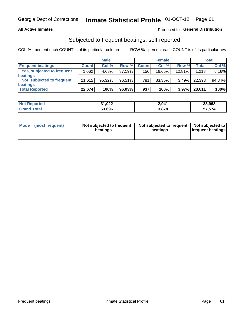## **All Active Inmates**

## Produced for General Distribution

## Subjected to frequent beatings, self-reported

COL % - percent each COUNT is of its particular column

|                            |              | <b>Male</b> |        |                  | <b>Female</b> |          |              | Total  |
|----------------------------|--------------|-------------|--------|------------------|---------------|----------|--------------|--------|
| <b>Frequent beatings</b>   | <b>Count</b> | Col %       | Row %  | <b>Count</b>     | Col %         | Row %    | <b>Total</b> | Col%   |
| Yes, subjected to frequent | ا 062. ا     | 4.68%       | 87.19% | 156 <sub>1</sub> | 16.65%        | 12.81%   | 1,218        | 5.16%  |
| <b>beatings</b>            |              |             |        |                  |               |          |              |        |
| Not subjected to frequent  | 21.612       | 95.32%      | 96.51% | 781              | 83.35%        | $3.49\%$ | 22,393       | 94.84% |
| <b>beatings</b>            |              |             |        |                  |               |          |              |        |
| <b>Total Reported</b>      | 22,674       | 100%        | 96.03% | 937              | 100%          | $3.97\%$ | 23,611       | 100%   |

| <b>Not</b><br>Reported | 31,022 | 2,941 | 33,963 |
|------------------------|--------|-------|--------|
| <b>Grand Total</b>     | 53,696 | 3,878 | 57,574 |

| Mode (most frequent) | Not subjected to frequent<br>beatings | Not subjected to frequent<br>beatings | Not subjected to<br><b>frequent beatings</b> |
|----------------------|---------------------------------------|---------------------------------------|----------------------------------------------|
|                      |                                       |                                       |                                              |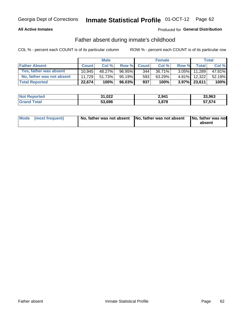## **All Active Inmates**

## Produced for General Distribution

## Father absent during inmate's childhood

COL % - percent each COUNT is of its particular column

|                           |              | <b>Male</b> |                 |              | <b>Female</b> |          |              | Total  |
|---------------------------|--------------|-------------|-----------------|--------------|---------------|----------|--------------|--------|
| <b>Father Absent</b>      | <b>Count</b> | Col%        | Row %           | <b>Count</b> | Col %         | Row %    | <b>Total</b> | Col %  |
| Yes, father was absent    | 10.945       | 48.27%      | 96.95%          | 344          | 36.71%        | $3.05\%$ | 11.289       | 47.81% |
| No, father was not absent | 11.729       | 51.73%      | 95.19% <b>I</b> | 593          | 63.29%        | $4.81\%$ | 12,322       | 52.19% |
| <b>Total Reported</b>     | 22,674       | 100%        | $96.03\%$       | 937          | 100%          |          | 3.97% 23,611 | 100%   |

| <b>Not Reported</b> | 31,022 | 2,941 | 33,963 |
|---------------------|--------|-------|--------|
| <b>Grand Total</b>  | 53,696 | 3,878 | 57,574 |

|  | Mode (most frequent) | No, father was not absent No, father was not absent |  | No, father was not<br>absent |
|--|----------------------|-----------------------------------------------------|--|------------------------------|
|--|----------------------|-----------------------------------------------------|--|------------------------------|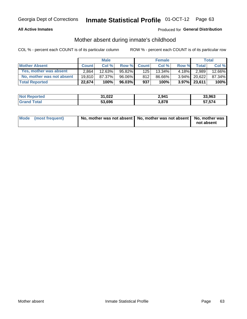## **All Active Inmates**

## Produced for General Distribution

## Mother absent during inmate's childhood

COL % - percent each COUNT is of its particular column

|                           |              | <b>Male</b> |           |              | <b>Female</b> |          |                 | <b>Total</b> |
|---------------------------|--------------|-------------|-----------|--------------|---------------|----------|-----------------|--------------|
| <b>Mother Absent</b>      | <b>Count</b> | Col%        | Row %     | <b>Count</b> | Col%          | Row %    | <b>Total</b> I  | Col %        |
| Yes, mother was absent    | 2.864        | $12.63\%$   | $95.82\%$ | 125          | 13.34%        | $4.18\%$ | 2,989           | 12.66%       |
| No, mother was not absent | 19.810       | 87.37%      | 96.06%    | 812          | 86.66%        | $3.94\%$ | 20.622          | 87.34%       |
| <b>Total Reported</b>     | 22,674       | 100%        | $96.03\%$ | 937          | 100%          |          | $3.97\%$ 23,611 | 100%         |

| <b>Not Reported</b> | 31,022 | 2,941 | 33,963 |
|---------------------|--------|-------|--------|
| <b>Srand Total</b>  | 53,696 | 3,878 | 57,574 |

| Mode (most frequent) | No, mother was not absent   No, mother was not absent   No, mother was | not absent |
|----------------------|------------------------------------------------------------------------|------------|
|                      |                                                                        |            |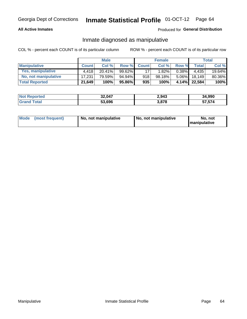## **All Active Inmates**

## Produced for General Distribution

## Inmate diagnosed as manipulative

COL % - percent each COUNT is of its particular column

|                       |              | <b>Male</b> |        |              | <b>Female</b> |          |              | Total  |
|-----------------------|--------------|-------------|--------|--------------|---------------|----------|--------------|--------|
| <b>Manipulative</b>   | <b>Count</b> | Col %       | Row %  | <b>Count</b> | Col%          | Row %    | <b>Total</b> | Col %  |
| Yes, manipulative     | 4.418        | 20.41%      | 99.62% | 17           | 1.82%         | $0.38\%$ | 4.435        | 19.64% |
| No, not manipulative  | 17.231       | 79.59%      | 94.94% | 918          | 98.18%        | $5.06\%$ | 18.149       | 80.36% |
| <b>Total Reported</b> | 21,649       | 100%        | 95.86% | 935          | 100%          | 4.14%    | 22.584       | 100%   |

| <b>Not Reported</b>   | 32,047 | 2,943 | 34,990 |
|-----------------------|--------|-------|--------|
| <b>Srand</b><br>Γotal | 53,696 | 3,878 | 57,574 |

|  | Mode (most frequent) | No, not manipulative | No, not manipulative | No. not<br><b>I</b> manipulative |
|--|----------------------|----------------------|----------------------|----------------------------------|
|--|----------------------|----------------------|----------------------|----------------------------------|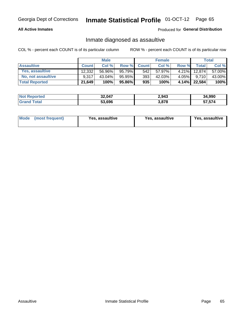## **All Active Inmates**

## Produced for General Distribution

## Inmate diagnosed as assaultive

COL % - percent each COUNT is of its particular column

|                           |              | <b>Male</b> |        |              | <b>Female</b> |          |              | Total  |
|---------------------------|--------------|-------------|--------|--------------|---------------|----------|--------------|--------|
| <b>Assaultive</b>         | <b>Count</b> | Col%        | Row %  | <b>Count</b> | Col %         | Row %    | Total        | Col %  |
| Yes, assaultive           | 12.332       | 56.96%      | 95.79% | 542          | 57.97%        | $4.21\%$ | 12.874       | 57.00% |
| <b>No, not assaultive</b> | 9.317        | $43.04\%$   | 95.95% | 393          | 42.03%        | 4.05%    | 9.710        | 43.00% |
| <b>Total Reported</b>     | 21,649       | 100%        | 95.86% | 935          | 100%          |          | 4.14% 22,584 | 100%   |

| <b>Not Reported</b> | 32,047 | 2,943 | 34,990 |
|---------------------|--------|-------|--------|
| <b>Total</b>        | 53,696 | 3,878 | 57.574 |

| Mode (most frequent)<br>Yes, assaultive | Yes, assaultive | <b>Yes, assaultive</b> |
|-----------------------------------------|-----------------|------------------------|
|-----------------------------------------|-----------------|------------------------|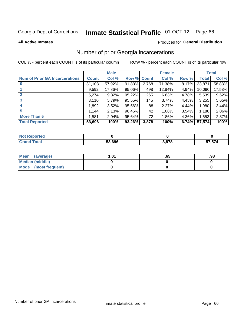#### **Inmate Statistical Profile 01-OCT-12** Page 66

**All Active Inmates** 

## Produced for General Distribution

## Number of prior Georgia incarcerations

COL % - percent each COUNT is of its particular column

|                                       |              | <b>Male</b> |             |       | <b>Female</b> |       |        | <b>Total</b> |
|---------------------------------------|--------------|-------------|-------------|-------|---------------|-------|--------|--------------|
| <b>Num of Prior GA Incarcerations</b> | <b>Count</b> | Col %       | Row % Count |       | Col %         | Row % | Total  | Col %        |
|                                       | 31,103       | 57.92%      | 91.83%      | 2,768 | 71.38%        | 8.17% | 33,871 | 58.83%       |
|                                       | 9,592        | 17.86%      | 95.06%      | 498   | 12.84%        | 4.94% | 10,090 | 17.53%       |
| $\overline{2}$                        | 5,274        | 9.82%       | 95.22%      | 265   | 6.83%         | 4.78% | 5,539  | 9.62%        |
| 3                                     | 3,110        | 5.79%       | 95.55%      | 145   | 3.74%         | 4.45% | 3,255  | 5.65%        |
| $\boldsymbol{4}$                      | 1,892        | 3.52%       | 95.56%      | 88    | 2.27%         | 4.44% | 1,980  | 3.44%        |
| 5                                     | 1,144        | 2.13%       | 96.46%      | 42    | 1.08%         | 3.54% | 1,186  | 2.06%        |
| <b>More Than 5</b>                    | 1,581        | 2.94%       | $95.64\%$   | 72    | 1.86%         | 4.36% | 1,653  | 2.87%        |
| <b>Total Reported</b>                 | 53,696       | 100%        | $93.26\%$   | 3,878 | 100%          | 6.74% | 57,574 | 100%         |

| orted<br>NO. |        |       |     |
|--------------|--------|-------|-----|
| <b>otal</b>  | 53.696 | l 878 | 574 |

| Mean (average)       | l.01 | .oa | .98 |
|----------------------|------|-----|-----|
| Median (middle)      |      |     |     |
| Mode (most frequent) |      |     |     |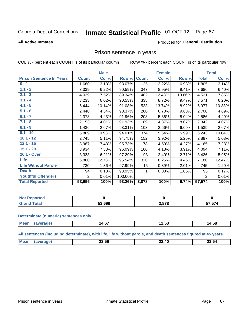#### Inmate Statistical Profile 01-OCT-12 Page 67

#### **All Active Inmates**

### Produced for General Distribution

## Prison sentence in years

COL % - percent each COUNT is of its particular column

ROW % - percent each COUNT is of its particular row

|                                 |                | <b>Male</b> |         |              | <b>Female</b> |        |                | <b>Total</b> |
|---------------------------------|----------------|-------------|---------|--------------|---------------|--------|----------------|--------------|
| <b>Prison Sentence In Years</b> | <b>Count</b>   | Col %       | Row %   | <b>Count</b> | Col %         | Row %  | <b>Total</b>   | Col %        |
| $0 - 1$                         | 1,680          | 3.13%       | 93.07%  | 125          | 3.22%         | 6.93%  | 1,805          | 3.14%        |
| $1.1 - 2$                       | 3,339          | 6.22%       | 90.59%  | 347          | 8.95%         | 9.41%  | 3,686          | 6.40%        |
| $2.1 - 3$                       | 4,039          | 7.52%       | 89.34%  | 482          | 12.43%        | 10.66% | 4,521          | 7.85%        |
| $3.1 - 4$                       | 3,233          | 6.02%       | 90.53%  | 338          | 8.72%         | 9.47%  | 3,571          | 6.20%        |
| $4.1 - 5$                       | 5,444          | 10.14%      | 91.08%  | 533          | 13.74%        | 8.92%  | 5,977          | 10.38%       |
| $5.1 - 6$                       | 2,440          | 4.54%       | 90.37%  | 260          | 6.70%         | 9.63%  | 2,700          | 4.69%        |
| $6.1 - 7$                       | 2,378          | 4.43%       | 91.96%  | 208          | 5.36%         | 8.04%  | 2,586          | 4.49%        |
| $7.1 - 8$                       | 2,153          | 4.01%       | 91.93%  | 189          | 4.87%         | 8.07%  | 2,342          | 4.07%        |
| $8.1 - 9$                       | 1,436          | 2.67%       | 93.31%  | 103          | 2.66%         | 6.69%  | 1,539          | 2.67%        |
| $9.1 - 10$                      | 5,869          | 10.93%      | 94.01%  | 374          | 9.64%         | 5.99%  | 6,243          | 10.84%       |
| $10.1 - 12$                     | 2,745          | 5.11%       | 94.75%  | 152          | 3.92%         | 5.25%  | 2,897          | 5.03%        |
| $12.1 - 15$                     | 3,987          | 7.43%       | 95.73%  | 178          | 4.59%         | 4.27%  | 4,165          | 7.23%        |
| $15.1 - 20$                     | 3,934          | 7.33%       | 96.09%  | 160          | 4.13%         | 3.91%  | 4,094          | 7.11%        |
| 20.1 - Over                     | 3,333          | 6.21%       | 97.29%  | 93           | 2.40%         | 2.71%  | 3,426          | 5.95%        |
| <b>Life</b>                     | 6,860          | 12.78%      | 95.54%  | 320          | 8.25%         | 4.46%  | 7,180          | 12.47%       |
| <b>Life Without Parole</b>      | 730            | 1.36%       | 97.99%  | 15           | 0.39%         | 2.01%  | 745            | 1.29%        |
| <b>Death</b>                    | 94             | 0.18%       | 98.95%  |              | 0.03%         | 1.05%  | 95             | 0.17%        |
| <b>Youthful Offenders</b>       | $\overline{2}$ | 0.01%       | 100.00% |              |               |        | $\overline{2}$ | 0.01%        |
| <b>Total Reported</b>           | 53,696         | 100%        | 93.26%  | 3,878        | 100%          | 6.74%  | 57,574         | 100%         |

| Reported<br>I NOT |      |     |                 |
|-------------------|------|-----|-----------------|
|                   | .696 | 070 | <b>7574</b><br> |

#### **Determinate (numeric) sentences only**

| <b>Mean</b> | $\sim$<br>14.6. | .<br>14.JJ | 14.58 |
|-------------|-----------------|------------|-------|
|             |                 |            |       |

All sentences (including determinate), with life, life without parole, and death sentences figured at 45 years

| $\sim$ $\sim$<br><br>Me<br>Λſ<br>ົ<br>–3.54<br>-3.59<br>---<br>____<br>______ |  |  |  |
|-------------------------------------------------------------------------------|--|--|--|
|                                                                               |  |  |  |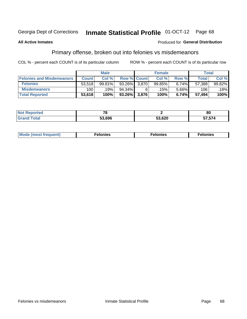#### **Inmate Statistical Profile 01-OCT-12** Page 68

### **All Active Inmates**

### **Produced for General Distribution**

## Primary offense, broken out into felonies vs misdemeanors

COL % - percent each COUNT is of its particular column

|                                  |              | <b>Male</b> |              |                    | <b>Female</b> |       | Total        |        |
|----------------------------------|--------------|-------------|--------------|--------------------|---------------|-------|--------------|--------|
| <b>Felonies and Misdemeanors</b> | <b>Count</b> | Col%        |              | <b>Row % Count</b> | Col%          | Row % | <b>Total</b> | Col %  |
| <b>Felonies</b>                  | 53,518       | 99.81%      | 93.26%       | 3.870              | 99.85%        | 6.74% | 57,388       | 99.82% |
| <b>Misdemeanors</b>              | 100          | .19%        | 94.34%       |                    | .15%          | 5.66% | 106          | 18%    |
| <b>Total Reported</b>            | 53,618       | 100%        | 93.26% 3,876 |                    | 100%          | 6.74% | 57.494       | 100%   |

| <b>Not</b><br><b>eported</b> | $\overline{ }$ |        | 80                   |
|------------------------------|----------------|--------|----------------------|
| Grar<br>™otar                | 53.696         | 53,620 | ---<br>74<br>ד וט ונ |

| <b>Mo</b><br>requent)<br>$\sim$ | nıes | າເes | elonies |
|---------------------------------|------|------|---------|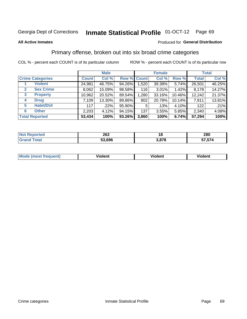#### **All Active Inmates**

### Produced for **General Distribution**

## Primary offense, broken out into six broad crime categories

|                                  |              | <b>Male</b> |        |             | <b>Female</b> |          |              | <b>Total</b> |  |
|----------------------------------|--------------|-------------|--------|-------------|---------------|----------|--------------|--------------|--|
| <b>Crime Categories</b>          | <b>Count</b> | Col %       |        | Row % Count | Col %         | Row %    | <b>Total</b> | Col %        |  |
| <b>Violent</b>                   | 24,981       | 46.75%      | 94.26% | 1,520       | 39.38%        | 5.74%    | 26,501       | 46.25%       |  |
| <b>Sex Crime</b><br>$\mathbf{2}$ | 8,062        | 15.09%      | 98.58% | 116         | $3.01\%$      | $1.42\%$ | 8,178        | 14.27%       |  |
| 3<br><b>Property</b>             | 10,962       | 20.52%      | 89.54% | 1,280       | 33.16%        | 10.46%   | 12,242       | 21.37%       |  |
| <b>Drug</b><br>4                 | 7,109        | 13.30%      | 89.86% | 802         | 20.78%        | 10.14%   | 7,911        | 13.81%       |  |
| <b>Habit/DUI</b><br>5            | 117          | .22%        | 95.90% | 5           | .13%          | 4.10%    | 122          | .21%         |  |
| <b>Other</b><br>6                | 2,203        | 4.12%       | 94.15% | 137         | 3.55%         | 5.85%    | 2,340        | 4.08%        |  |
| <b>Total Reported</b>            | 53,434       | 100%        | 93.26% | 3,860       | 100%          | 6.74%    | 57,294       | 100%         |  |

| <b>Not</b><br><b>Reported</b> | 262    | 18               | 280         |
|-------------------------------|--------|------------------|-------------|
| <b>cotal</b>                  | 53,696 | 2 272<br>J.V / U | 7,574<br>-- |

| Mode<br>freauent)<br>anst tr | .<br>/iolent | <br>Violent | .<br><b>Tiolent</b> |
|------------------------------|--------------|-------------|---------------------|
|                              |              |             |                     |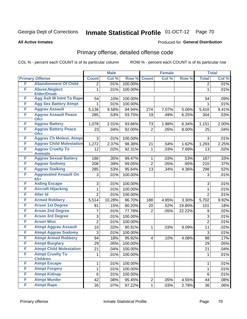#### **All Active Inmates**

### Produced for **General Distribution**

## Primary offense, detailed offense code

|   |                                             |                 | <b>Male</b> |         |                         | <b>Female</b> |        |                | <b>Total</b> |
|---|---------------------------------------------|-----------------|-------------|---------|-------------------------|---------------|--------|----------------|--------------|
|   | <b>Primary Offense</b>                      | <b>Count</b>    | Col %       | Row %   | <b>Count</b>            | Col %         | Row %  | <b>Total</b>   | Col %        |
| F | <b>Abandonment Of Child</b>                 | 2               | .01%        | 100.00% |                         |               |        | $\overline{2}$ | .01%         |
| F | <b>Abuse, Neglect</b><br><b>Elder/Disab</b> | 1               | .01%        | 100.00% |                         |               |        | $\mathbf{1}$   | .01%         |
| F | <b>Agg Aslt W Intnt To Rape</b>             | 54              | .10%        | 100.00% |                         |               |        | 54             | .09%         |
| F | <b>Agg Sex Battery Atmpt</b>                |                 | .01%        | 100.00% |                         |               |        |                | .01%         |
| F | <b>Aggrav Assault</b>                       | 5,136           | 9.58%       | 94.94%  | 274                     | 7.07%         | 5.06%  | 5,410          | 9.41%        |
| F | <b>Aggrav Assault Peace</b><br><b>Ofcr</b>  | 285             | .53%        | 93.75%  | 19                      | .49%          | 6.25%  | 304            | .53%         |
| F | <b>Aggrav Battery</b>                       | 1,078           | 2.01%       | 93.66%  | 73                      | 1.88%         | 6.34%  | 1,151          | 2.00%        |
| F | <b>Aggrav Battery Peace</b><br><b>Ofcr</b>  | 23              | .04%        | 92.00%  | $\overline{2}$          | .05%          | 8.00%  | 25             | .04%         |
| F | <b>Aggrav Ch Molest, Atmpt</b>              | 3               | .01%        | 100.00% |                         |               |        | 3              | .01%         |
| F | <b>Aggrav Child Molestation</b>             | 1,272           | 2.37%       | 98.38%  | 21                      | .54%          | 1.62%  | 1,293          | 2.25%        |
| F | <b>Aggrav Cruelty To</b><br><b>Animals</b>  | 12              | .02%        | 92.31%  | 1                       | .03%          | 7.69%  | 13             | .02%         |
| F | <b>Aggrav Sexual Battery</b>                | 186             | .35%        | 99.47%  | 1                       | .03%          | .53%   | 187            | .33%         |
| F | <b>Aggrav Sodomy</b>                        | 208             | .39%        | 99.05%  | $\overline{2}$          | .05%          | .95%   | 210            | .37%         |
| F | <b>Aggrav Stalking</b>                      | 285             | .53%        | 95.64%  | 13                      | .34%          | 4.36%  | 298            | .52%         |
| F | <b>Aggravated Assault On</b><br>$65+$       | 3               | .01%        | 100.00% |                         |               |        | 3              | .01%         |
| F | <b>Aiding Escape</b>                        | 3               | .01%        | 100.00% |                         |               |        | 3              | .01%         |
| F | <b>Aircraft Hijacking</b>                   | 1               | .01%        | 100.00% |                         |               |        | 1              | .01%         |
| F | <b>Alter Id</b>                             | $\overline{2}$  | .01%        | 100.00% |                         |               |        | $\overline{2}$ | .01%         |
| F | <b>Armed Robbery</b>                        | 5,514           | 10.28%      | 96.70%  | 188                     | 4.85%         | 3.30%  | 5,702          | 9.92%        |
| F | <b>Arson 1st Degree</b>                     | 81              | .15%        | 80.20%  | 20                      | .52%          | 19.80% | 101            | .18%         |
| F | <b>Arson 2nd Degree</b>                     | 7               | .01%        | 77.78%  | $\overline{2}$          | .05%          | 22.22% | 9              | .02%         |
| F | <b>Arson 3rd Degree</b>                     | 3               | .01%        | 100.00% |                         |               |        | 3              | .01%         |
| F | <b>Arson Misc</b>                           | $\overline{2}$  | .01%        | 100.00% |                         |               |        | $\overline{2}$ | .01%         |
| F | <b>Atmpt Aggrav Assault</b>                 | 10              | .02%        | 90.91%  | $\mathbf{1}$            | .03%          | 9.09%  | 11             | .02%         |
| F | <b>Atmpt Aggrav Sodomy</b>                  | 3               | .01%        | 100.00% |                         |               |        | 3              | .01%         |
| F | <b>Atmpt Armed Robbery</b>                  | 94              | .18%        | 95.92%  | $\overline{\mathbf{4}}$ | .10%          | 4.08%  | 98             | .17%         |
| F | <b>Atmpt Burglary</b>                       | 29              | .05%        | 100.00% |                         |               |        | 29             | .05%         |
| F | <b>Atmpt Child Molestation</b>              | $\overline{21}$ | .04%        | 100.00% |                         |               |        | 21             | .04%         |
| F | <b>Atmpt Cruelty To</b><br><b>Children</b>  | 1               | .01%        | 100.00% |                         |               |        | $\mathbf{1}$   | .01%         |
| F | <b>Atmpt Escape</b>                         | 1               | .01%        | 100.00% |                         |               |        | $\mathbf{1}$   | .01%         |
| F | <b>Atmpt Forgery</b>                        | 1               | .01%        | 100.00% |                         |               |        | 1              | .01%         |
| F | <b>Atmpt Kidnap</b>                         | 6               | .01%        | 100.00% |                         |               |        | 6              | .01%         |
| F | <b>Atmpt Murder</b>                         | 42              | .08%        | 95.45%  | $\overline{2}$          | .05%          | 4.55%  | 44             | .08%         |
| F | <b>Atmpt Rape</b>                           | 35              | .07%        | 97.22%  | $\mathbf{1}$            | .03%          | 2.78%  | 36             | .06%         |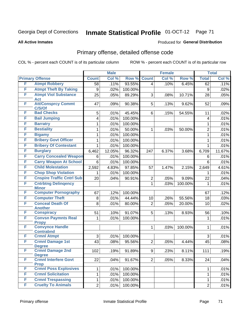**All Active Inmates**

### Produced for **General Distribution**

## Primary offense, detailed offense code

|        |                                            |                | <b>Male</b> |         |                | <b>Female</b> |         |                         | <b>Total</b> |
|--------|--------------------------------------------|----------------|-------------|---------|----------------|---------------|---------|-------------------------|--------------|
|        | <b>Primary Offense</b>                     | <b>Count</b>   | Col %       | Row %   | <b>Count</b>   | Col %         | Row %   | <b>Total</b>            | Col %        |
| F      | <b>Atmpt Robbery</b>                       | 58             | .11%        | 93.55%  | $\overline{4}$ | .10%          | 6.45%   | 62                      | .11%         |
| F      | <b>Atmpt Theft By Taking</b>               | 9              | .02%        | 100.00% |                |               |         | 9                       | .02%         |
| F      | <b>Atmpt Viol Substance</b>                | 25             | .05%        | 89.29%  | 3              | .08%          | 10.71%  | 28                      | .05%         |
| F      | <b>Act</b>                                 |                |             |         |                |               |         |                         |              |
|        | <b>Att/Consprcy Commt</b><br>C/S/Of        | 47             | .09%        | 90.38%  | 5              | .13%          | 9.62%   | 52                      | .09%         |
| F      | <b>Bad Checks</b>                          | 5              | .01%        | 45.45%  | 6              | .15%          | 54.55%  | 11                      | .02%         |
| F      | <b>Bail Jumping</b>                        | 4              | .01%        | 100.00% |                |               |         | $\overline{\mathbf{4}}$ | .01%         |
| F      | <b>Barratry</b>                            | 1              | .01%        | 100.00% |                |               |         | 1                       | .01%         |
| F      | <b>Bestiality</b>                          | 1              | .01%        | 50.00%  | $\mathbf{1}$   | .03%          | 50.00%  | $\overline{2}$          | .01%         |
| F      | <b>Bigamy</b>                              | 1              | .01%        | 100.00% |                |               |         | $\mathbf{1}$            | .01%         |
| F      | <b>Bribery Govt Officer</b>                | 1              | .01%        | 100.00% |                |               |         | 1                       | .01%         |
| F      | <b>Bribery Of Contestant</b>               | 1              | .01%        | 100.00% |                |               |         | 1                       | .01%         |
| F      | <b>Burglary</b>                            | 6,462          | 12.05%      | 96.32%  | 247            | 6.37%         | 3.68%   | 6,709                   | 11.67%       |
| F      | <b>Carry Concealed Weapon</b>              | 6              | .01%        | 100.00% |                |               |         | 6                       | .01%         |
| F      | <b>Carry Weapon At School</b>              | 6              | .01%        | 100.00% |                |               |         | $6\phantom{1}$          | .01%         |
| F      | <b>Child Molestation</b>                   | 2,592          | 4.83%       | 97.85%  | 57             | 1.47%         | 2.15%   | 2,649                   | 4.61%        |
| F      | <b>Chop Shop Violation</b>                 | 1              | .01%        | 100.00% |                |               |         | 1                       | .01%         |
| F      | <b>Cnspire Traffic Cntrl Sub</b>           | 20             | .04%        | 90.91%  | $\overline{2}$ | .05%          | 9.09%   | 22                      | .04%         |
| F      | <b>Cntrbtng Delingency</b><br><b>Minor</b> |                |             |         | $\mathbf 1$    | .03%          | 100.00% | $\mathbf 1$             | .01%         |
| F      | <b>Computer Pornography</b>                | 67             | .12%        | 100.00% |                |               |         | 67                      | .12%         |
| F      | <b>Computer Theft</b>                      | 8              | .01%        | 44.44%  | 10             | .26%          | 55.56%  | 18                      | .03%         |
| F      | <b>Conceal Death Of</b>                    | 8              | .01%        | 80.00%  | $\overline{2}$ | .05%          | 20.00%  | 10                      | .02%         |
|        | <b>Another</b>                             |                |             |         |                |               |         |                         |              |
| F<br>F | <b>Conspiracy</b>                          | 51             | .10%        | 91.07%  | 5              | .13%          | 8.93%   | 56                      | .10%         |
|        | <b>Convsn Paymnts Real</b><br><b>Propy</b> | $\mathbf{1}$   | .01%        | 100.00% |                |               |         | $\mathbf{1}$            | .01%         |
| F      | <b>Convynce Handle</b><br><b>Contrabnd</b> |                |             |         | $\mathbf{1}$   | .03%          | 100.00% | 1                       | .01%         |
| F      | <b>Crmnl Atmpt</b>                         | 3              | .01%        | 100.00% |                |               |         | 3                       | .01%         |
| F      | <b>Crmnl Damage 1st</b>                    | 43             | .08%        | 95.56%  | $\overline{2}$ | .05%          | 4.44%   | 45                      | .08%         |
|        | <b>Degree</b>                              |                |             |         |                |               |         |                         |              |
| F      | <b>Crmnl Damage 2nd</b><br><b>Degree</b>   | 102            | .19%        | 91.89%  | 9              | .23%          | 8.11%   | 111                     | .19%         |
| F      | <b>Crmnl Interfere Govt</b><br><b>Prop</b> | 22             | .04%        | 91.67%  | 2 <sup>1</sup> | .05%          | 8.33%   | 24                      | .04%         |
| F      | <b>Crmnl Poss Explosives</b>               | 1              | .01%        | 100.00% |                |               |         | $\mathbf 1$             | .01%         |
| F      | <b>Crmnl Solicitation</b>                  | $\mathbf{1}$   | .01%        | 100.00% |                |               |         | $\mathbf 1$             | .01%         |
| F      | <b>Crmnl Trespassing</b>                   | $\mathbf{1}$   | .01%        | 100.00% |                |               |         | $\mathbf{1}$            | .01%         |
| F      | <b>Cruelty To Animals</b>                  | $\overline{2}$ | .01%        | 100.00% |                |               |         | $\overline{2}$          | .01%         |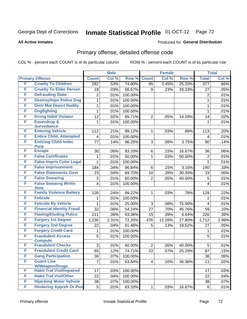#### **All Active Inmates**

### Produced for **General Distribution**

## Primary offense, detailed offense code

|   |                                            |                | <b>Male</b> |         |                 | <b>Female</b> |        |                  | <b>Total</b> |
|---|--------------------------------------------|----------------|-------------|---------|-----------------|---------------|--------|------------------|--------------|
|   | <b>Primary Offense</b>                     | <b>Count</b>   | Col %       | Row %   | <b>Count</b>    | Col %         | Row %  | <b>Total</b>     | Col %        |
| F | <b>Cruelty To Children</b>                 | 282            | .53%        | 74.80%  | 95              | 2.45%         | 25.20% | $\overline{377}$ | .66%         |
| F | <b>Cruelty To Elder Person</b>             | 18             | .03%        | 66.67%  | 9               | .23%          | 33.33% | 27               | .05%         |
| F | <b>Defrauding State</b>                    | $\overline{2}$ | .01%        | 100.00% |                 |               |        | $\overline{2}$   | .01%         |
| F | <b>Destroy/Injur Police Dog</b>            | $\mathbf{1}$   | .01%        | 100.00% |                 |               |        | 1                | .01%         |
| F | <b>Distr Mat Depict Nudity</b>             | 1              | .01%        | 100.00% |                 |               |        | $\mathbf{1}$     | .01%         |
| F | <b>Dogfighting</b>                         | 1              | .01%        | 100.00% |                 |               |        | 1                | .01%         |
| F | <b>Drvng Habtl Violator</b>                | 12             | .02%        | 85.71%  | $\overline{2}$  | .05%          | 14.29% | 14               | .02%         |
| F | <b>Eavesdrop &amp;</b>                     | 1              | .01%        | 100.00% |                 |               |        | 1                | .01%         |
|   | <b>Surveillance</b>                        |                |             |         |                 |               |        |                  |              |
| F | <b>Entering Vehicle</b>                    | 112            | .21%        | 99.12%  | 1               | .03%          | .88%   | 113              | .20%         |
| F | <b>Entice Child, Attempted</b>             | 4              | .01%        | 100.00% |                 |               |        | 4                | .01%         |
| F | <b>Enticing Child-Indec</b><br><b>Purp</b> | 77             | .14%        | 96.25%  | 3               | .08%          | 3.75%  | 80               | .14%         |
| F | <b>Escape</b>                              | 30             | .06%        | 83.33%  | 6               | .15%          | 16.67% | 36               | .06%         |
| F | <b>False Certificates</b>                  | 1              | .01%        | 50.00%  | 1               | .03%          | 50.00% | $\overline{2}$   | .01%         |
| F | <b>False Impris Color Legal</b>            | 1              | .01%        | 100.00% |                 |               |        | 1                | .01%         |
| F | <b>False Imprisonment</b>                  | 184            | .34%        | 96.84%  | $\,6$           | .15%          | 3.16%  | 190              | .33%         |
| F | <b>False Statements Govt</b>               | 23             | .04%        | 69.70%  | 10              | .26%          | 30.30% | 33               | .06%         |
| F | <b>False Swearing</b>                      | 3              | .01%        | 60.00%  | $\overline{2}$  | .05%          | 40.00% | 5                | .01%         |
| F | <b>False Swearng Writtn</b>                | 4              | .01%        | 100.00% |                 |               |        | 4                | .01%         |
|   | <b>Stmt</b>                                |                |             |         |                 |               |        |                  |              |
| F | <b>Family Violence Battery</b>             | 128            | .24%        | 99.22%  | 1               | .03%          | .78%   | 129              | .22%         |
| F | <b>Feticide</b>                            | 1              | .01%        | 100.00% |                 |               |        | 1                | .01%         |
| F | <b>Feticide By Vehicle</b>                 | 1              | .01%        | 25.00%  | 3               | .08%          | 75.00% | 4                | .01%         |
| F | <b>Financial Identity Fraud</b>            | 32             | .06%        | 54.24%  | 27              | .70%          | 45.76% | 59               | .10%         |
| F | <b>Fleeing/Eluding Police</b>              | 211            | .39%        | 93.36%  | 15              | .39%          | 6.64%  | 226              | .39%         |
| F | <b>Forgery 1st Degree</b>                  | 1,236          | 2.31%       | 72.20%  | 476             | 12.28%        | 27.80% | 1,712            | 2.98%        |
| F | <b>Forgery 2nd Degree</b>                  | 22             | .04%        | 81.48%  | 5               | .13%          | 18.52% | 27               | .05%         |
| F | <b>Forgery Credit Card</b>                 | 1              | .01%        | 100.00% |                 |               |        | 1                | .01%         |
| F | <b>Fraudulent Access</b>                   | 5              | .01%        | 100.00% |                 |               |        | 5                | .01%         |
| F | <b>Compute</b><br><b>Fraudulent Checks</b> | 3              | .01%        | 60.00%  | $\overline{2}$  | .05%          | 40.00% | 5                | .01%         |
| F | <b>Fraudulent Credit Card</b>              | 65             | .12%        | 74.71%  | $\overline{22}$ | .57%          | 25.29% | $\overline{87}$  | .15%         |
| F | <b>Gang Participation</b>                  | 36             | .07%        | 100.00% |                 |               |        | 36               | .06%         |
| F | <b>Guard Line</b>                          | $\overline{7}$ | .01%        |         |                 |               | 36.36% |                  |              |
|   | <b>W/Weapon/Drugs</b>                      |                |             | 63.64%  | 4               | .10%          |        | 11               | .02%         |
| F | <b>Habit Traf Viol/Impaired</b>            | 17             | .03%        | 100.00% |                 |               |        | 17               | .03%         |
| F | <b>Habit Traf Viol/Other</b>               | 22             | .04%        | 100.00% |                 |               |        | 22               | .04%         |
| F | <b>Hijacking Motor Vehicle</b>             | 38             | .07%        | 100.00% |                 |               |        | 38               | .07%         |
| F | <b>Hindering Appreh Or Pun</b>             | 5              | .01%        | 83.33%  | 1               | .03%          | 16.67% | 6                | .01%         |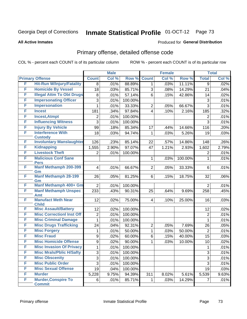#### **All Active Inmates**

### Produced for **General Distribution**

### Primary offense, detailed offense code

|   |                                           | <b>Male</b>    |       | <b>Female</b> |                |       | <b>Total</b> |                |       |
|---|-------------------------------------------|----------------|-------|---------------|----------------|-------|--------------|----------------|-------|
|   | <b>Primary Offense</b>                    | <b>Count</b>   | Col % | Row %         | <b>Count</b>   | Col % | Row %        | <b>Total</b>   | Col % |
| F | <b>Hit-Run W/Injury/Fatality</b>          | 8              | .01%  | 88.89%        | 1              | .03%  | 11.11%       | 9              | .02%  |
| F | <b>Homicide By Vessel</b>                 | 18             | .03%  | 85.71%        | 3              | .08%  | 14.29%       | 21             | .04%  |
| F | <b>Illegal Attm To Obt Drugs</b>          | 8              | .01%  | 57.14%        | 6              | .15%  | 42.86%       | 14             | .02%  |
| F | <b>Impersonating Officer</b>              | 3              | .01%  | 100.00%       |                |       |              | 3              | .01%  |
| F | <b>Impersonation</b>                      | 1              | .01%  | 33.33%        | $\overline{2}$ | .05%  | 66.67%       | 3              | .01%  |
| F | <b>Incest</b>                             | 181            | .34%  | 97.84%        | 4              | .10%  | 2.16%        | 185            | .32%  |
| F | <b>Incest, Atmpt</b>                      | $\overline{2}$ | .01%  | 100.00%       |                |       |              | $\overline{2}$ | .01%  |
| F | <b>Influencing Witness</b>                | 3              | .01%  | 100.00%       |                |       |              | $\overline{3}$ | .01%  |
| F | <b>Injury By Vehicle</b>                  | 99             | .18%  | 85.34%        | 17             | .44%  | 14.66%       | 116            | .20%  |
| F | <b>Interference With</b>                  | 18             | .03%  | 94.74%        | 1              | .03%  | 5.26%        | 19             | .03%  |
|   | <b>Custody</b>                            |                |       |               |                |       |              |                |       |
| F | <b>Involuntary Manslaughter</b>           | 126            | .23%  | 85.14%        | 22             | .57%  | 14.86%       | 148            | .26%  |
| F | <b>Kidnapping</b>                         | 1,555          | 2.90% | 97.07%        | 47             | 1.21% | 2.93%        | 1,602          | 2.79% |
| F | <b>Livestock Theft</b>                    | $\overline{2}$ | .01%  | 100.00%       |                |       |              | $\overline{2}$ | .01%  |
| F | <b>Malicious Conf Sane</b><br><b>Pers</b> |                |       |               | 1              | .03%  | 100.00%      | 1              | .01%  |
| F | <b>Manf Methamph 200-399</b>              | $\overline{4}$ | .01%  | 66.67%        | $\overline{2}$ | .05%  | 33.33%       | 6              | .01%  |
|   | Gm                                        |                |       |               |                |       |              |                |       |
| F | <b>Manf Methamph 28-199</b>               | 26             | .05%  | 81.25%        | 6              | .15%  | 18.75%       | 32             | .06%  |
|   | Gm                                        |                |       |               |                |       |              |                |       |
| F | Manf Methamph 400+ Gm                     | $\overline{2}$ | .01%  | 100.00%       |                |       |              | $\overline{2}$ | .01%  |
| F | <b>Manf Methamph Unspec</b>               | 233            | .43%  | 90.31%        | 25             | .64%  | 9.69%        | 258            | .45%  |
| F | Amt<br><b>Manufact Meth Near</b>          | 12             | .02%  | 75.00%        | 4              | .10%  | 25.00%       | 16             | .03%  |
|   | <b>Child</b>                              |                |       |               |                |       |              |                |       |
| F | <b>Misc Assault/Battery</b>               | 12             | .02%  | 100.00%       |                |       |              | 12             | .02%  |
| F | <b>Misc CorrectionI Inst Off</b>          | $\overline{2}$ | .01%  | 100.00%       |                |       |              | $\overline{2}$ | .01%  |
| F | <b>Misc Criminal Damage</b>               | 1              | .01%  | 100.00%       |                |       |              | 1              | .01%  |
| F | <b>Misc Drugs Trafficking</b>             | 24             | .04%  | 92.31%        | $\overline{2}$ | .05%  | 7.69%        | 26             | .05%  |
| F | <b>Misc Forgery</b>                       | 1              | .01%  | 50.00%        | $\mathbf{1}$   | .03%  | 50.00%       | $\overline{2}$ | .01%  |
| F | <b>Misc Fraud</b>                         | 9              | .02%  | 60.00%        | 6              | .15%  | 40.00%       | 15             | .03%  |
| F | <b>Misc Homicide Offense</b>              | 9              | .02%  | 90.00%        | 1              | .03%  | 10.00%       | 10             | .02%  |
| F | <b>Misc Invasion Of Privacy</b>           | 1              | .01%  | 100.00%       |                |       |              | $\mathbf{1}$   | .01%  |
| F | <b>Misc Mrals/Pblic H/Safty</b>           | $\sqrt{3}$     | .01%  | 100.00%       |                |       |              | 3              | .01%  |
| F | <b>Misc Obscenity</b>                     | 3              | .01%  | 100.00%       |                |       |              | $\overline{3}$ | .01%  |
| F | <b>Misc Public Order</b>                  | 3              | .01%  | 100.00%       |                |       |              | $\overline{3}$ | .01%  |
| F | <b>Misc Sexual Offense</b>                | 19             | .04%  | 100.00%       |                |       |              | 19             | .03%  |
| F | <b>Murder</b>                             | 5,228          | 9.75% | 94.39%        | 311            | 8.02% | 5.61%        | 5,539          | 9.63% |
| F | <b>Murder, Conspire To</b>                | 6              | .01%  | 85.71%        | 1              | .03%  | 14.29%       | $\overline{7}$ | .01%  |
|   | <b>Commit</b>                             |                |       |               |                |       |              |                |       |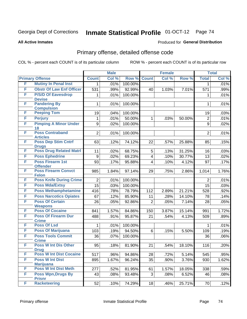#### **All Active Inmates**

### Produced for **General Distribution**

## Primary offense, detailed offense code

|   |                                            |                | <b>Male</b> |         |                         | <b>Female</b> |        |                | <b>Total</b> |
|---|--------------------------------------------|----------------|-------------|---------|-------------------------|---------------|--------|----------------|--------------|
|   | <b>Primary Offense</b>                     | <b>Count</b>   | Col %       | Row %   | <b>Count</b>            | Col %         | Row %  | <b>Total</b>   | Col %        |
| F | <b>Mutiny In Penal Inst</b>                | $\mathbf 1$    | .01%        | 100.00% |                         |               |        | 1              | .01%         |
| F | <b>Obstr Of Law Enf Officer</b>            | 531            | .99%        | 92.99%  | 40                      | 1.03%         | 7.01%  | 571            | $.99\%$      |
| F | <b>P/S/D Of Eavesdrop</b>                  | 1              | .01%        | 100.00% |                         |               |        | 1              | .01%         |
|   | <b>Devise</b>                              |                |             |         |                         |               |        |                |              |
| F | <b>Pandering By</b>                        | $\mathbf{1}$   | .01%        | 100.00% |                         |               |        | 1              | .01%         |
| F | <b>Compulsion</b><br><b>Peeping Tom</b>    | 19             | .04%        | 100.00% |                         |               |        | 19             | .03%         |
| F | <b>Perjury</b>                             | $\mathbf{1}$   | .01%        | 50.00%  | $\mathbf{1}$            | .03%          | 50.00% | $\overline{2}$ | .01%         |
| F | <b>Pimping A Minor Under</b>               | 9              |             | 100.00% |                         |               |        | 9              |              |
|   | 18                                         |                | .02%        |         |                         |               |        |                | .02%         |
| F | <b>Poss Contraband</b>                     | $\overline{2}$ | .01%        | 100.00% |                         |               |        | $\overline{2}$ | .01%         |
|   | <b>Articles</b>                            |                |             |         |                         |               |        |                |              |
| F | <b>Poss Dep Stim Cntrf</b>                 | 63             | .12%        | 74.12%  | 22                      | .57%          | 25.88% | 85             | .15%         |
|   | <b>Drugs</b>                               |                |             |         |                         |               |        |                |              |
| F | <b>Poss Drug Related Matri</b>             | 11             | .02%        | 68.75%  | 5                       | .13%          | 31.25% | 16             | .03%         |
| F | <b>Poss Ephedrine</b>                      | 9              | .02%        | 69.23%  | $\overline{\mathbf{4}}$ | .10%          | 30.77% | 13             | .02%         |
| F | <b>Poss Firearm 1st</b><br><b>Offender</b> | 93             | .17%        | 95.88%  | $\overline{4}$          | .10%          | 4.12%  | 97             | .17%         |
| F | <b>Poss Firearm Convct</b>                 | 985            | 1.84%       | 97.14%  | 29                      | .75%          | 2.86%  | 1,014          | 1.76%        |
|   | <b>Felon</b>                               |                |             |         |                         |               |        |                |              |
| F | <b>Poss Knife During Crime</b>             | $\overline{2}$ | .01%        | 100.00% |                         |               |        | $\overline{2}$ | .01%         |
| F | <b>Poss Mda/Extsy</b>                      | 15             | .03%        | 100.00% |                         |               |        | 15             | .03%         |
| F | <b>Poss Methamphetamine</b>                | 416            | .78%        | 78.79%  | 112                     | 2.89%         | 21.21% | 528            | .92%         |
| F | <b>Poss Narcotics Opiates</b>              | 67             | .12%        | 85.90%  | 11                      | .28%          | 14.10% | 78             | .14%         |
| F | <b>Poss Of Certain</b>                     | 26             | .05%        | 92.86%  | $\overline{2}$          | .05%          | 7.14%  | 28             | .05%         |
|   | <b>Weapons</b>                             |                |             |         |                         |               |        |                |              |
| F | <b>Poss Of Cocaine</b>                     | 841            | 1.57%       | 84.86%  | 150                     | 3.87%         | 15.14% | 991            | 1.72%        |
| F | <b>Poss Of Firearm Dur</b>                 | 488            | .91%        | 95.87%  | 21                      | .54%          | 4.13%  | 509            | .89%         |
| F | <b>Crime</b><br><b>Poss Of Lsd</b>         |                |             |         |                         |               |        |                |              |
|   |                                            | 1              | .01%        | 100.00% |                         |               |        | $\mathbf 1$    | .01%         |
| F | <b>Poss Of Marijuana</b>                   | 103            | .19%        | 94.50%  | 6                       | .15%          | 5.50%  | 109            | .19%         |
| F | <b>Poss Tools Commit</b><br><b>Crime</b>   | 36             | .07%        | 100.00% |                         |               |        | 36             | .06%         |
| F | <b>Poss W Int Dis Other</b>                | 95             | .18%        | 81.90%  | 21                      | .54%          | 18.10% | 116            | .20%         |
|   | <b>Drug</b>                                |                |             |         |                         |               |        |                |              |
| F | <b>Poss W Int Dist Cocaine</b>             | 517            | .96%        | 94.86%  | 28                      | .72%          | 5.14%  | 545            | .95%         |
| F | <b>Poss W Int Dist</b>                     | 895            | 1.67%       | 96.24%  | 35                      | .90%          | 3.76%  | 930            | 1.62%        |
|   | <b>Marijuana</b>                           |                |             |         |                         |               |        |                |              |
| F | <b>Poss W Int Dist Meth</b>                | 277            | .52%        | 81.95%  | 61                      | 1.57%         | 18.05% | 338            | .59%         |
| F | <b>Poss Wpn, Drugs By</b>                  | 43             | .08%        | 93.48%  | 3 <sup>1</sup>          | .08%          | 6.52%  | 46             | .08%         |
| F | <b>Prisnr</b><br><b>Racketeering</b>       | 52             | .10%        | 74.29%  | 18                      | .46%          | 25.71% | 70             | .12%         |
|   |                                            |                |             |         |                         |               |        |                |              |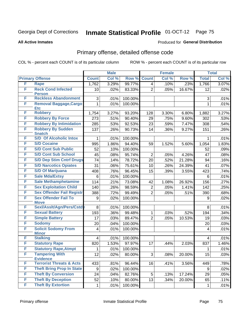#### **All Active Inmates**

#### Produced for **General Distribution**

## Primary offense, detailed offense code

|   |                                             |                         | <b>Male</b> |         |                | <b>Female</b> |        |                | <b>Total</b> |
|---|---------------------------------------------|-------------------------|-------------|---------|----------------|---------------|--------|----------------|--------------|
|   | <b>Primary Offense</b>                      | <b>Count</b>            | Col %       | Row %   | <b>Count</b>   | Col %         | Row %  | <b>Total</b>   | Col %        |
| F | <b>Rape</b>                                 | 1,762                   | 3.29%       | 99.77%  | 4              | .10%          | .23%   | 1,766          | 3.07%        |
| F | <b>Reck Cond Infected</b><br><b>Person</b>  | 10 <sup>1</sup>         | .02%        | 83.33%  | $\overline{2}$ | .05%          | 16.67% | 12             | .02%         |
| F | <b>Reckless Abandonment</b>                 | 3                       | .01%        | 100.00% |                |               |        | 3              | .01%         |
| F | <b>Removal Baggage, Cargo</b><br><b>Etc</b> | $\mathbf{1}$            | .01%        | 100.00% |                |               |        | 1              | .01%         |
| F | <b>Robbery</b>                              | 1,754                   | 3.27%       | 93.20%  | 128            | 3.30%         | 6.80%  | 1,882          | 3.27%        |
| F | <b>Robbery By Force</b>                     | 273                     | .51%        | 90.40%  | 29             | .75%          | 9.60%  | 302            | .53%         |
| F | <b>Robbery By Intimidation</b>              | 285                     | .53%        | 92.53%  | 23             | .59%          | 7.47%  | 308            | .54%         |
| F | <b>Robbery By Sudden</b><br><b>Snatch</b>   | 137                     | .26%        | 90.73%  | 14             | .36%          | 9.27%  | 151            | .26%         |
| F | <b>S/D Of Alcoholic Intox</b>               | 1                       | .01%        | 100.00% |                |               |        | 1              | .01%         |
| F | <b>S/D Cocaine</b>                          | 995                     | 1.86%       | 94.40%  | 59             | 1.52%         | 5.60%  | 1,054          | 1.83%        |
| F | <b>S/D Cont Sub Public</b>                  | 52                      | .10%        | 100.00% |                |               |        | 52             | .09%         |
| F | <b>S/D Cont Sub School</b>                  | 45                      | .08%        | 95.74%  | $\overline{2}$ | .05%          | 4.26%  | 47             | .08%         |
| F | <b>S/D Dep Stim Cntrf Drugs</b>             | 74                      | .14%        | 78.72%  | 20             | .52%          | 21.28% | 94             | .16%         |
| F | <b>S/D Narcotics Opiates</b>                | 31                      | .06%        | 75.61%  | 10             | .26%          | 24.39% | 41             | .07%         |
| F | <b>S/D Of Marijuana</b>                     | 408                     | .76%        | 96.45%  | 15             | .39%          | 3.55%  | 423            | .74%         |
| F | <b>Sale Mda/Extsy</b>                       | 6                       | .01%        | 100.00% |                |               |        | 6              | .01%         |
| F | <b>Sale Methamphetamine</b>                 | 114                     | .21%        | 73.08%  | 42             | 1.08%         | 26.92% | 156            | .27%         |
| F | <b>Sex Exploitation Child</b>               | 140                     | .26%        | 98.59%  | $\overline{2}$ | .05%          | 1.41%  | 142            | .25%         |
| F | <b>Sex Offender Fail Registr</b>            | 388                     | .72%        | 99.49%  | $\overline{2}$ | .05%          | .51%   | 390            | .68%         |
| F | <b>Sex Offender Fail To</b><br><b>Move</b>  | 9                       | .02%        | 100.00% |                |               |        | 9              | .02%         |
| F | Sexl/Asslt/Agn/Pers/Cstd                    | 8                       | .01%        | 100.00% |                |               |        | 8              | .01%         |
| F | <b>Sexual Battery</b>                       | 193                     | .36%        | 99.48%  | $\mathbf{1}$   | .03%          | .52%   | 194            | .34%         |
| F | <b>Simple Battery</b>                       | 17                      | .03%        | 89.47%  | $\overline{2}$ | .05%          | 10.53% | 19             | .03%         |
| F | <b>Sodomy</b>                               | 20                      | .04%        | 100.00% |                |               |        | 20             | .03%         |
| F | <b>Solicit Sodomy From</b><br><b>Minor</b>  | $\overline{\mathbf{4}}$ | .01%        | 100.00% |                |               |        | $\overline{4}$ | .01%         |
| F | <b>Stalking</b>                             | $\overline{\mathbf{4}}$ | .01%        | 100.00% |                |               |        | 4              | .01%         |
| F | <b>Statutory Rape</b>                       | 820                     | 1.53%       | 97.97%  | 17             | .44%          | 2.03%  | 837            | 1.46%        |
| F | <b>Statutory Rape, Atmpt</b>                | 1                       | .01%        | 100.00% |                |               |        | 1              | .01%         |
| F | <b>Tampering With</b><br><b>Evidence</b>    | 12                      | .02%        | 80.00%  | 3              | .08%          | 20.00% | 15             | .03%         |
| F | <b>Terrorist Threats &amp; Acts</b>         | 433                     | .81%        | 96.44%  | 16             | .41%          | 3.56%  | 449            | .78%         |
| F | <b>Theft Bring Prop In State</b>            | 9                       | .02%        | 100.00% |                |               |        | 9              | .02%         |
| F | <b>Theft By Conversion</b>                  | 24                      | .04%        | 82.76%  | 5              | .13%          | 17.24% | 29             | .05%         |
| F | <b>Theft By Deception</b>                   | 52                      | .10%        | 80.00%  | 13             | .34%          | 20.00% | 65             | .11%         |
| F | <b>Theft By Extortion</b>                   | $\mathbf 1$             | .01%        | 100.00% |                |               |        | $\mathbf{1}$   | .01%         |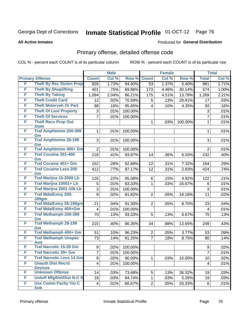#### **All Active Inmates**

#### Produced for **General Distribution**

## Primary offense, detailed offense code

|   |                                            | <b>Male</b>             |       | <b>Female</b> |                         |       | <b>Total</b> |                |       |
|---|--------------------------------------------|-------------------------|-------|---------------|-------------------------|-------|--------------|----------------|-------|
|   | <b>Primary Offense</b>                     | <b>Count</b>            | Col % | Row %         | <b>Count</b>            | Col % | Row %        | <b>Total</b>   | Col % |
| F | <b>Theft By Rec Stolen Prop</b>            | 928                     | 1.73% | 94.60%        | 53                      | 1.37% | 5.40%        | 981            | 1.71% |
| F | <b>Theft By Shoplifting</b>                | 401                     | .75%  | 69.86%        | 173                     | 4.46% | 30.14%       | 574            | 1.00% |
| F | <b>Theft By Taking</b>                     | 1,094                   | 2.04% | 86.21%        | 175                     | 4.51% | 13.79%       | 1,269          | 2.21% |
| F | <b>Theft Credit Card</b>                   | 12                      | .02%  | 70.59%        | 5                       | .13%  | 29.41%       | 17             | .03%  |
| F | <b>Theft Motorveh Or Part</b>              | 88                      | .16%  | 95.65%        | $\overline{\mathbf{4}}$ | .10%  | 4.35%        | 92             | .16%  |
| F | <b>Theft Of Lost Property</b>              | 3                       | .01%  | 100.00%       |                         |       |              | 3              | .01%  |
| F | <b>Theft Of Services</b>                   | 7                       | .01%  | 100.00%       |                         |       |              | $\overline{7}$ | .01%  |
| F | <b>Theft Recv Prop Out</b><br><b>State</b> |                         |       |               | $\mathbf 1$             | .03%  | 100.00%      | 1              | .01%  |
| F | <b>Traf Amphtmine 200-399</b><br>Gm        | 1                       | .01%  | 100.00%       |                         |       |              | 1              | .01%  |
| F | <b>Traf Amphtmine 28-199</b><br>Gm         | 3                       | .01%  | 100.00%       |                         |       |              | 3              | .01%  |
| F | <b>Traf Amphtmine 400+ Gm</b>              | $\overline{2}$          | .01%  | 100.00%       |                         |       |              | $\overline{2}$ | .01%  |
| F | <b>Traf Cocaine 201-400</b><br>Gm          | 218                     | .41%  | 93.97%        | 14                      | .36%  | 6.03%        | 232            | .40%  |
| F | <b>Traf Cocaine 401+ Gm</b>                | 152                     | .28%  | 92.68%        | 12                      | .31%  | 7.32%        | 164            | .29%  |
| F | <b>Traf Cocaine Less 200</b><br>Gm         | 412                     | .77%  | 97.17%        | 12                      | .31%  | 2.83%        | 424            | .74%  |
| F | Traf Marijna 10-2000 Lb                    | 116                     | .22%  | 95.08%        | 6                       | .15%  | 4.92%        | 122            | .21%  |
| F | Traf Marijna 10001+ Lb                     | 5                       | .01%  | 83.33%        | 1                       | .03%  | 16.67%       | 6              | .01%  |
| F | Traf Marijna 2001-10k Lb                   | 3                       | .01%  | 100.00%       |                         |       |              | 3              | .01%  |
| F | <b>Traf Mda/Extsy 200-</b><br>399gm        | 9                       | .02%  | 81.82%        | $\overline{2}$          | .05%  | 18.18%       | 11             | .02%  |
| F | <b>Traf Mda/Extsy 28-199gm</b>             | 21                      | .04%  | 91.30%        | $\overline{2}$          | .05%  | 8.70%        | 23             | .04%  |
| F | Traf Mda/Extsy 400+Gm                      | $\overline{\mathbf{4}}$ | .01%  | 100.00%       |                         |       |              | 4              | .01%  |
| F | <b>Traf Methamph 200-399</b><br>Gm         | 70                      | .13%  | 93.33%        | 5                       | .13%  | 6.67%        | 75             | .13%  |
| F | <b>Traf Methamph 28-199</b><br>Gm          | 215                     | .40%  | 86.35%        | 34                      | .88%  | 13.65%       | 249            | .43%  |
| F | Traf Methamph 400+ Gm                      | 51                      | .10%  | 96.23%        | $\overline{2}$          | .05%  | 3.77%        | 53             | .09%  |
| F | <b>Traf Methamph Unspec</b><br><b>Amt</b>  | 73                      | .14%  | 91.25%        | $\overline{7}$          | .18%  | 8.75%        | 80             | .14%  |
| F | <b>Traf Narcotic 15-28 Gm</b>              | 9                       | .02%  | 100.00%       |                         |       |              | 9              | .02%  |
| F | <b>Traf Narcotic 29+ Gm</b>                | $\overline{7}$          | .01%  | 100.00%       |                         |       |              | $\overline{7}$ | .01%  |
| F | <b>Traf Narcotic Less 14 Gm</b>            | 9                       | .02%  | 90.00%        | 1                       | .03%  | 10.00%       | 10             | .02%  |
| F | <b>Unauth Dist Recrd</b><br><b>Devices</b> | $\overline{4}$          | .01%  | 100.00%       |                         |       |              | 4              | .01%  |
| F | <b>Unknown Offense</b>                     | 14                      | .03%  | 73.68%        | 5 <sup>1</sup>          | .13%  | 26.32%       | 19             | .03%  |
| F | <b>Uniwfl Mfg/Del/Dist N-C S</b>           | 18                      | .03%  | 94.74%        | 1                       | .03%  | 5.26%        | 19             | .03%  |
| F | <b>Use Comm Facity Vio C</b><br><b>Sub</b> | $\overline{4}$          | .01%  | 66.67%        | $\overline{2}$          | .05%  | 33.33%       | 6              | .01%  |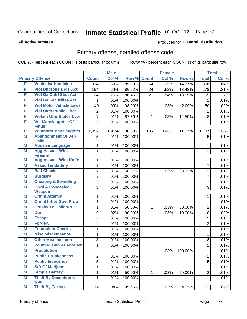#### **All Active Inmates**

### Produced for **General Distribution**

## Primary offense, detailed offense code

|   |                                                     |                | <b>Male</b> |         |              | <b>Female</b> |         |                | <b>Total</b> |
|---|-----------------------------------------------------|----------------|-------------|---------|--------------|---------------|---------|----------------|--------------|
|   | <b>Primary Offense</b>                              | <b>Count</b>   | Col %       | Row %   | <b>Count</b> | Col %         | Row %   | <b>Total</b>   | Col %        |
| F | <b>Vehicular Homicide</b>                           | 314            | .59%        | 85.33%  | 54           | 1.39%         | 14.67%  | 368            | .64%         |
| F | <b>Viol Dngrous Drgs Act</b>                        | 154            | .29%        | 86.52%  | 24           | .62%          | 13.48%  | 178            | .31%         |
| F | <b>Viol Ga Cntrl Sbst Act</b>                       | 134            | .25%        | 86.45%  | 21           | .54%          | 13.55%  | 155            | .27%         |
| F | <b>Viol Ga Securities Act</b>                       | 1              | .01%        | 100.00% |              |               |         | 1              | .01%         |
| F | <b>Viol Motor Vehicle Laws</b>                      | 49             | .09%        | 98.00%  | 1            | .03%          | 2.00%   | 50             | .09%         |
| F | <b>Viol Oath Public Offcr</b>                       | $\overline{2}$ | .01%        | 100.00% |              |               |         | $\overline{2}$ | .01%         |
| F | <b>Violatn Othr States Law</b>                      | $\overline{7}$ | .01%        | 87.50%  | 1            | .03%          | 12.50%  | 8              | .01%         |
| F | <b>Vol Manslaughter Of</b>                          | $\overline{2}$ | .01%        | 100.00% |              |               |         | $\overline{2}$ | .01%         |
|   | <b>Fetus</b>                                        |                |             |         |              |               |         |                |              |
| F | <b>Voluntary Manslaughter</b>                       | 1,052          | 1.96%       | 88.63%  | 135          | 3.48%         | 11.37%  | 1,187          | 2.06%        |
| Μ | <b>Abandonment Of Dep</b><br><b>Child</b>           | 5              | .01%        | 100.00% |              |               |         | 5              | .01%         |
| Μ | <b>Abusive Language</b>                             | 1              | .01%        | 100.00% |              |               |         | 1              | .01%         |
| M | <b>Agg Assault With</b><br><b>Firearm</b>           | $\mathbf{1}$   | .01%        | 100.00% |              |               |         | $\mathbf{1}$   | .01%         |
| Μ | <b>Agg Assault With Knife</b>                       | 1              | .01%        | 100.00% |              |               |         | 1              | .01%         |
| Μ | <b>Assault &amp; Battery</b>                        | 7              | .01%        | 100.00% |              |               |         | $\overline{7}$ | .01%         |
| M | <b>Bad Checks</b>                                   | $\overline{2}$ | .01%        | 66.67%  | 1            | .03%          | 33.33%  | 3              | .01%         |
| M | <b>Burglary</b>                                     | 7              | .01%        | 100.00% |              |               |         | $\overline{7}$ | .01%         |
| M | <b>Cheating &amp; Swindling</b>                     | $\overline{2}$ | .01%        | 100.00% |              |               |         | $\overline{2}$ | .01%         |
| M | <b>Cpwl &amp; Concealed</b>                         | 3              | .01%        | 100.00% |              |               |         | 3              | .01%         |
|   | <b>Weapon</b>                                       |                |             |         |              |               |         |                |              |
| Μ | <b>Crmnl Attempt</b>                                | $\mathbf{1}$   | .01%        | 100.00% |              |               |         | 1              | .01%         |
| M | <b>Crmnl Intfer Govt Prop</b>                       | 1              | .01%        | 100.00% |              |               |         | $\mathbf{1}$   | .01%         |
| M | <b>Cruelty To Children</b>                          | 1              | .01%        | 50.00%  | 1            | .03%          | 50.00%  | $\overline{2}$ | .01%         |
| M | <b>Dui</b>                                          | 9              | .02%        | 90.00%  | 1            | .03%          | 10.00%  | 10             | .02%         |
| M | <b>Escape</b>                                       | 5              | .01%        | 100.00% |              |               |         | 5              | .01%         |
| Μ | <b>Forgery</b>                                      | $\overline{2}$ | .01%        | 100.00% |              |               |         | $\overline{2}$ | .01%         |
| M | <b>Fraudulent Checks</b><br><b>Misc Misdemeanor</b> | 1              | .01%        | 100.00% |              |               |         | $\mathbf{1}$   | .01%         |
| M | <b>Other Misdemeanor</b>                            | 1              | .01%        | 100.00% |              |               |         | $\mathbf{1}$   | .01%         |
| M |                                                     | 8              | .01%        | 100.00% |              |               |         | 8              | .01%         |
| M | <b>Pointing Gun At Another</b>                      | 1              | .01%        | 100.00% |              |               |         | $\mathbf{1}$   | .01%         |
| M | <b>Prostitution</b>                                 |                |             |         | $\mathbf{1}$ | .03%          | 100.00% | $\mathbf{1}$   | .01%         |
| Μ | <b>Public Drunkenness</b>                           | $\overline{2}$ | .01%        | 100.00% |              |               |         | $\overline{2}$ | .01%         |
| M | <b>Public Indecency</b>                             | $\overline{5}$ | .01%        | 100.00% |              |               |         | $\overline{5}$ | .01%         |
| M | <b>S/D Of Marijuana</b>                             | 1              | .01%        | 100.00% |              |               |         | $\mathbf{1}$   | .01%         |
| M | <b>Simple Battery</b>                               | $\mathbf{1}$   | .01%        | 50.00%  | $\mathbf{1}$ | .03%          | 50.00%  | $\overline{2}$ | .01%         |
| M | <b>Theft By Deception &lt;</b><br>\$500             | 1              | .01%        | 100.00% |              |               |         | $\mathbf{1}$   | .01%         |
| M | <b>Theft By Taking -</b>                            | 22             | .04%        | 95.65%  | $\mathbf{1}$ | .03%          | 4.35%   | 23             | .04%         |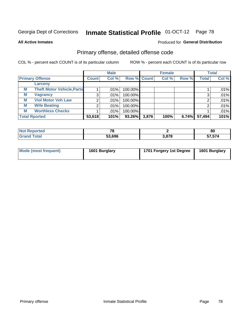**All Active Inmates**

### Produced for **General Distribution**

## Primary offense, detailed offense code

|   |                                   |              | <b>Male</b> |                    |       | <b>Female</b> |       |              | <b>Total</b> |
|---|-----------------------------------|--------------|-------------|--------------------|-------|---------------|-------|--------------|--------------|
|   | <b>Primary Offense</b>            | <b>Count</b> | Col %       | <b>Row % Count</b> |       | Col %         | Row % | <b>Total</b> | Col %        |
|   | Larceny                           |              |             |                    |       |               |       |              |              |
| M | <b>Theft Motor Vehicle, Parts</b> |              | $.01\%$     | 100.00%            |       |               |       |              | .01%         |
| М | <b>Vagrancy</b>                   | 3            | $.01\%$     | 100.00%            |       |               |       | 2            | .01%         |
| М | <b>Viol Motor Veh Law</b>         | 2            | $.01\%$     | 100.00%            |       |               |       |              | .01%         |
| M | <b>Wife Beating</b>               |              | $.01\%$     | 100.00%            |       |               |       |              | .01%         |
| M | <b>Worthless Checks</b>           |              | $.01\%$     | 100.00%            |       |               |       |              | .01%         |
|   | <b>Total Rported</b>              | 53,618       | 101%        | 93.26%             | 3,876 | 100%          | 6.74% | 57,494       | 101%         |

| m.<br>τeα | $\mathbf{z}$ |      | 80                            |
|-----------|--------------|------|-------------------------------|
| _____     | 53,696       | 2070 | $- - - - - -$<br>ר וט.<br>--- |

| Mode (most frequent) | 1601 Burglary | 1701 Forgery 1st Degree | 1601 Burglary |
|----------------------|---------------|-------------------------|---------------|
|                      |               |                         |               |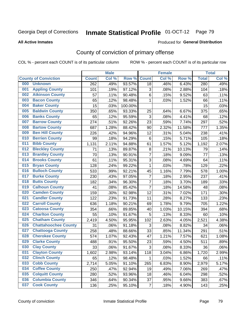#### **All Active Inmates**

#### Produced for **General Distribution**

## County of conviction of primary offense

|     |                             |                  | <b>Male</b> |         |                | <b>Female</b> |        |              | <b>Total</b> |
|-----|-----------------------------|------------------|-------------|---------|----------------|---------------|--------|--------------|--------------|
|     | <b>County of Conviction</b> | <b>Count</b>     | Col %       | Row %   | <b>Count</b>   | Col %         | Row %  | <b>Total</b> | Col %        |
| 000 | <b>Unknown</b>              | $\overline{262}$ | .49%        | 93.57%  | 18             | .46%          | 6.43%  | 280          | .49%         |
| 001 | <b>Appling County</b>       | 101              | .19%        | 97.12%  | 3              | .08%          | 2.88%  | 104          | .18%         |
| 002 | <b>Atkinson County</b>      | 57               | .11%        | 90.48%  | 6              | .15%          | 9.52%  | 63           | .11%         |
| 003 | <b>Bacon County</b>         | 65               | .12%        | 98.48%  | 1              | .03%          | 1.52%  | 66           | .11%         |
| 004 | <b>Baker County</b>         | 15               | .03%        | 100.00% |                |               |        | 15           | .03%         |
| 005 | <b>Baldwin County</b>       | 350              | .65%        | 93.33%  | 25             | .64%          | 6.67%  | 375          | .65%         |
| 006 | <b>Banks County</b>         | 65               | .12%        | 95.59%  | 3              | .08%          | 4.41%  | 68           | .12%         |
| 007 | <b>Barrow County</b>        | 274              | .51%        | 92.26%  | 23             | .59%          | 7.74%  | 297          | .52%         |
| 008 | <b>Bartow County</b>        | 687              | 1.28%       | 88.42%  | 90             | 2.32%         | 11.58% | 777          | 1.35%        |
| 009 | <b>Ben Hill County</b>      | 226              | .42%        | 94.96%  | 12             | .31%          | 5.04%  | 238          | .41%         |
| 010 | <b>Berrien County</b>       | 99               | .18%        | 94.29%  | 6              | .15%          | 5.71%  | 105          | .18%         |
| 011 | <b>Bibb County</b>          | 1,131            | 2.11%       | 94.88%  | 61             | 1.57%         | 5.12%  | 1,192        | 2.07%        |
| 012 | <b>Bleckley County</b>      | 71               | .13%        | 89.87%  | 8              | .21%          | 10.13% | 79           | .14%         |
| 013 | <b>Brantley County</b>      | 70               | .13%        | 90.91%  | $\overline{7}$ | .18%          | 9.09%  | 77           | .13%         |
| 014 | <b>Brooks County</b>        | 61               | .11%        | 95.31%  | 3              | .08%          | 4.69%  | 64           | .11%         |
| 015 | <b>Bryan County</b>         | 128              | .24%        | 99.22%  | 1              | .03%          | .78%   | 129          | .22%         |
| 016 | <b>Bulloch County</b>       | 533              | .99%        | 92.21%  | 45             | 1.16%         | 7.79%  | 578          | 1.00%        |
| 017 | <b>Burke County</b>         | 230              | .43%        | 97.05%  | $\overline{7}$ | .18%          | 2.95%  | 237          | .41%         |
| 018 | <b>Butts County</b>         | 182              | .34%        | 96.30%  | $\overline{7}$ | .18%          | 3.70%  | 189          | .33%         |
| 019 | <b>Calhoun County</b>       | 41               | .08%        | 85.42%  | $\overline{7}$ | .18%          | 14.58% | 48           | .08%         |
| 020 | <b>Camden County</b>        | 159              | .30%        | 92.98%  | 12             | .31%          | 7.02%  | 171          | .30%         |
| 021 | <b>Candler County</b>       | 122              | .23%        | 91.73%  | 11             | .28%          | 8.27%  | 133          | .23%         |
| 022 | <b>Carroll County</b>       | 636              | 1.18%       | 90.21%  | 69             | 1.78%         | 9.79%  | 705          | 1.22%        |
| 023 | <b>Catoosa County</b>       | 354              | .66%        | 89.85%  | 40             | 1.03%         | 10.15% | 394          | .68%         |
| 024 | <b>Charlton County</b>      | 55               | .10%        | 91.67%  | 5              | .13%          | 8.33%  | 60           | .10%         |
| 025 | <b>Chatham County</b>       | 2,419            | 4.50%       | 95.95%  | 102            | 2.63%         | 4.05%  | 2,521        | 4.38%        |
| 026 | <b>Chattahoochee County</b> | 31               | .06%        | 91.18%  | 3              | .08%          | 8.82%  | 34           | .06%         |
| 027 | <b>Chattooga County</b>     | 258              | .48%        | 88.66%  | 33             | .85%          | 11.34% | 291          | .51%         |
| 028 | <b>Cherokee County</b>      | 574              | 1.07%       | 92.43%  | 47             | 1.21%         | 7.57%  | 621          | 1.08%        |
| 029 | <b>Clarke County</b>        | 488              | .91%        | 95.50%  | 23             | .59%          | 4.50%  | 511          | .89%         |
| 030 | <b>Clay County</b>          | 33               | .06%        | 91.67%  | 3              | .08%          | 8.33%  | 36           | .06%         |
| 031 | <b>Clayton County</b>       | 1,602            | 2.98%       | 93.14%  | 118            | 3.04%         | 6.86%  | 1,720        | 2.99%        |
| 032 | <b>Clinch County</b>        | 65               | .12%        | 98.48%  | 1              | .03%          | 1.52%  | 66           | .11%         |
| 033 | <b>Cobb County</b>          | 2,714            | 5.05%       | 91.10%  | 265            | 6.83%         | 8.90%  | 2,979        | 5.17%        |
| 034 | <b>Coffee County</b>        | 250              | .47%        | 92.94%  | 19             | .49%          | 7.06%  | 269          | .47%         |
| 035 | <b>Colquitt County</b>      | 280              | .52%        | 93.96%  | 18             | .46%          | 6.04%  | 298          | .52%         |
| 036 | <b>Columbia County</b>      | 346              | .64%        | 90.34%  | 37             | .95%          | 9.66%  | 383          | .67%         |
| 037 | <b>Cook County</b>          | 136              | .25%        | 95.10%  | $\overline{7}$ | .18%          | 4.90%  | 143          | .25%         |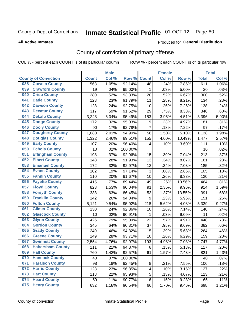#### **All Active Inmates**

#### Produced for **General Distribution**

## County of conviction of primary offense

|                                |              | <b>Male</b> |         |                | <b>Female</b> |        |              | <b>Total</b> |
|--------------------------------|--------------|-------------|---------|----------------|---------------|--------|--------------|--------------|
| <b>County of Conviction</b>    | <b>Count</b> | Col %       | Row %   | <b>Count</b>   | Col %         | Row %  | <b>Total</b> | Col %        |
| <b>Coweta County</b><br>038    | 563          | 1.05%       | 92.14%  | 48             | 1.24%         | 7.86%  | 611          | 1.06%        |
| <b>Crawford County</b><br>039  | 19           | .04%        | 95.00%  | 1              | .03%          | 5.00%  | 20           | .03%         |
| <b>Crisp County</b><br>040     | 280          | .52%        | 93.33%  | 20             | .52%          | 6.67%  | 300          | .52%         |
| <b>Dade County</b><br>041      | 123          | .23%        | 91.79%  | 11             | .28%          | 8.21%  | 134          | .23%         |
| <b>Dawson County</b><br>042    | 128          | .24%        | 92.75%  | 10             | .26%          | 7.25%  | 138          | .24%         |
| 043<br><b>Decatur County</b>   | 317          | .59%        | 91.62%  | 29             | .75%          | 8.38%  | 346          | .60%         |
| <b>Dekalb County</b><br>044    | 3,243        | 6.04%       | 95.49%  | 153            | 3.95%         | 4.51%  | 3,396        | 5.90%        |
| <b>Dodge County</b><br>045     | 172          | .32%        | 95.03%  | 9              | .23%          | 4.97%  | 181          | .31%         |
| <b>Dooly County</b><br>046     | 90           | .17%        | 92.78%  | $\overline{7}$ | .18%          | 7.22%  | 97           | .17%         |
| 047<br><b>Dougherty County</b> | 1,080        | 2.01%       | 94.90%  | 58             | 1.50%         | 5.10%  | 1,138        | 1.98%        |
| <b>Douglas County</b><br>048   | 1,322        | 2.46%       | 89.51%  | 155            | 4.00%         | 10.49% | 1,477        | 2.57%        |
| <b>Early County</b><br>049     | 107          | .20%        | 96.40%  | 4              | .10%          | 3.60%  | 111          | .19%         |
| <b>Echols County</b><br>050    | 10           | .02%        | 100.00% |                |               |        | 10           | .02%         |
| 051<br><b>Effingham County</b> | 198          | .37%        | 92.96%  | 15             | .39%          | 7.04%  | 213          | .37%         |
| <b>Elbert County</b><br>052    | 148          | .28%        | 91.93%  | 13             | .34%          | 8.07%  | 161          | .28%         |
| <b>Emanuel County</b><br>053   | 172          | .32%        | 92.97%  | 13             | .34%          | 7.03%  | 185          | .32%         |
| <b>Evans County</b><br>054     | 102          | .19%        | 97.14%  | 3              | .08%          | 2.86%  | 105          | .18%         |
| <b>Fannin County</b><br>055    | 110          | .20%        | 91.67%  | 10             | .26%          | 8.33%  | 120          | .21%         |
| <b>Fayette County</b><br>056   | 415          | .77%        | 89.44%  | 49             | 1.26%         | 10.56% | 464          | .81%         |
| <b>Floyd County</b><br>057     | 823          | 1.53%       | 90.04%  | 91             | 2.35%         | 9.96%  | 914          | 1.59%        |
| <b>Forsyth County</b><br>058   | 338          | .63%        | 86.45%  | 53             | 1.37%         | 13.55% | 391          | .68%         |
| <b>Franklin County</b><br>059  | 142          | .26%        | 94.04%  | 9              | .23%          | 5.96%  | 151          | .26%         |
| <b>Fulton County</b><br>060    | 5,121        | 9.54%       | 95.92%  | 218            | 5.62%         | 4.08%  | 5,339        | 9.27%        |
| <b>Gilmer County</b><br>061    | 130          | .24%        | 92.86%  | 10             | .26%          | 7.14%  | 140          | .24%         |
| <b>Glascock County</b><br>062  | 10           | .02%        | 90.91%  | $\mathbf 1$    | .03%          | 9.09%  | 11           | .02%         |
| 063<br><b>Glynn County</b>     | 426          | .79%        | 95.09%  | 22             | .57%          | 4.91%  | 448          | .78%         |
| <b>Gordon County</b><br>064    | 345          | .64%        | 90.31%  | 37             | .95%          | 9.69%  | 382          | .66%         |
| <b>Grady County</b><br>065     | 249          | .46%        | 94.32%  | 15             | .39%          | 5.68%  | 264          | .46%         |
| <b>Greene County</b><br>066    | 149          | .28%        | 93.71%  | 10             | .26%          | 6.29%  | 159          | .28%         |
| <b>Gwinnett County</b><br>067  | 2,554        | 4.76%       | 92.97%  | 193            | 4.98%         | 7.03%  | 2,747        | 4.77%        |
| <b>Habersham County</b><br>068 | 111          | .21%        | 94.87%  | 6              | .15%          | 5.13%  | 117          | .20%         |
| 069<br><b>Hall County</b>      | 760          | 1.42%       | 92.57%  | 61             | 1.57%         | 7.43%  | 821          | 1.43%        |
| <b>Hancock County</b><br>070   | 40           | .07%        | 100.00% |                |               |        | 40           | .07%         |
| 071<br><b>Haralson County</b>  | 98           | .18%        | 92.45%  | 8              | .21%          | 7.55%  | 106          | .18%         |
| <b>Harris County</b><br>072    | 123          | .23%        | 96.85%  | 4              | .10%          | 3.15%  | 127          | .22%         |
| <b>Hart County</b><br>073      | 118          | .22%        | 95.93%  | 5              | .13%          | 4.07%  | 123          | .21%         |
| <b>Heard County</b><br>074     | 59           | .11%        | 90.77%  | 6              | .15%          | 9.23%  | 65           | .11%         |
| <b>Henry County</b><br>075     | 632          | 1.18%       | 90.54%  | 66             | 1.70%         | 9.46%  | 698          | 1.21%        |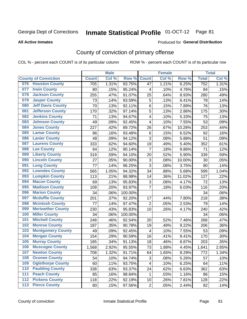#### **All Active Inmates**

#### Produced for **General Distribution**

## County of conviction of primary offense

|       |                             |              | <b>Male</b> |         |                           | <b>Female</b> |        |              | <b>Total</b> |
|-------|-----------------------------|--------------|-------------|---------|---------------------------|---------------|--------|--------------|--------------|
|       | <b>County of Conviction</b> | <b>Count</b> | Col %       | Row %   | <b>Count</b>              | Col %         | Row %  | <b>Total</b> | Col %        |
| 076   | <b>Houston County</b>       | 705          | 1.31%       | 93.75%  | 47                        | 1.21%         | 6.25%  | 752          | 1.31%        |
| 077   | <b>Irwin County</b>         | 80           | .15%        | 95.24%  | 4                         | .10%          | 4.76%  | 84           | .15%         |
| 078   | <b>Jackson County</b>       | 255          | .47%        | 91.07%  | 25                        | .64%          | 8.93%  | 280          | .49%         |
| 079   | <b>Jasper County</b>        | 73           | .14%        | 93.59%  | 5                         | .13%          | 6.41%  | 78           | .14%         |
| 080   | <b>Jeff Davis County</b>    | 70           | .13%        | 92.11%  | 6                         | .15%          | 7.89%  | 76           | .13%         |
| 081   | <b>Jefferson County</b>     | 170          | .32%        | 97.14%  | 5                         | .13%          | 2.86%  | 175          | .30%         |
| 082   | <b>Jenkins County</b>       | 71           | .13%        | 94.67%  | 4                         | .10%          | 5.33%  | 75           | .13%         |
| 083   | <b>Johnson County</b>       | 49           | .09%        | 92.45%  | 4                         | .10%          | 7.55%  | 53           | .09%         |
| 084   | <b>Jones County</b>         | 227          | .42%        | 89.72%  | 26                        | .67%          | 10.28% | 253          | .44%         |
| 085   | <b>Lamar County</b>         | 86           | .16%        | 93.48%  | 6                         | .15%          | 6.52%  | 92           | .16%         |
| 086   | <b>Lanier County</b>        | 48           | .09%        | 94.12%  | 3                         | .08%          | 5.88%  | 51           | .09%         |
| 087   | <b>Laurens County</b>       | 333          | .62%        | 94.60%  | 19                        | .49%          | 5.40%  | 352          | .61%         |
| 088   | <b>Lee County</b>           | 64           | .12%        | 90.14%  | $\overline{7}$            | .18%          | 9.86%  | 71           | .12%         |
| 089   | <b>Liberty County</b>       | 319          | .59%        | 94.10%  | 20                        | .52%          | 5.90%  | 339          | .59%         |
| 090   | <b>Lincoln County</b>       | 27           | .05%        | 90.00%  | $\ensuremath{\mathsf{3}}$ | .08%          | 10.00% | 30           | .05%         |
| 091   | <b>Long County</b>          | 77           | .14%        | 96.25%  | 3                         | .08%          | 3.75%  | 80           | .14%         |
| 092   | <b>Lowndes County</b>       | 565          | 1.05%       | 94.32%  | 34                        | .88%          | 5.68%  | 599          | 1.04%        |
| 093   | <b>Lumpkin County</b>       | 113          | .21%        | 88.98%  | 14                        | .36%          | 11.02% | 127          | .22%         |
| 094   | <b>Macon County</b>         | 69           | .13%        | 95.83%  | $\ensuremath{\mathsf{3}}$ | .08%          | 4.17%  | 72           | .13%         |
| 095   | <b>Madison County</b>       | 109          | .20%        | 93.97%  | $\overline{7}$            | .18%          | 6.03%  | 116          | .20%         |
| 096   | <b>Marion County</b>        | 34           | .06%        | 100.00% |                           |               |        | 34           | .06%         |
| 097   | <b>Mcduffie County</b>      | 201          | .37%        | 92.20%  | 17                        | .44%          | 7.80%  | 218          | .38%         |
| 098   | <b>Mcintosh County</b>      | 77           | .14%        | 97.47%  | $\overline{2}$            | .05%          | 2.53%  | 79           | .14%         |
| 099   | <b>Meriwether County</b>    | 230          | .43%        | 95.83%  | 10                        | .26%          | 4.17%  | 240          | .42%         |
| 100   | <b>Miller County</b>        | 34           | .06%        | 100.00% |                           |               |        | 34           | .06%         |
| 101   | <b>Mitchell County</b>      | 248          | .46%        | 92.54%  | 20                        | .52%          | 7.46%  | 268          | .47%         |
| 102   | <b>Monroe County</b>        | 187          | .35%        | 90.78%  | 19                        | .49%          | 9.22%  | 206          | .36%         |
| 103   | <b>Montgomery County</b>    | 49           | .09%        | 92.45%  | $\overline{\mathbf{4}}$   | .10%          | 7.55%  | 53           | .09%         |
| 104   | <b>Morgan County</b>        | 154          | .29%        | 90.59%  | 16                        | .41%          | 9.41%  | 170          | .30%         |
| 105   | <b>Murray County</b>        | 185          | .34%        | 91.13%  | 18                        | .46%          | 8.87%  | 203          | .35%         |
| 106   | <b>Muscogee County</b>      | 1,568        | 2.92%       | 95.55%  | 73                        | 1.88%         | 4.45%  | 1,641        | 2.85%        |
| 107   | <b>Newton County</b>        | 708          | 1.32%       | 91.71%  | 64                        | 1.65%         | 8.29%  | 772          | 1.34%        |
| 108   | <b>Oconee County</b>        | 54           | .10%        | 94.74%  | 3                         | .08%          | 5.26%  | 57           | .10%         |
| 109   | <b>Oglethorpe County</b>    | 60           | .11%        | 93.75%  | 4                         | .10%          | 6.25%  | 64           | .11%         |
| 110   | <b>Paulding County</b>      | 338          | .63%        | 93.37%  | 24                        | .62%          | 6.63%  | 362          | .63%         |
| 111   | <b>Peach County</b>         | 85           | .16%        | 98.84%  | $\mathbf 1$               | .03%          | 1.16%  | 86           | .15%         |
| 112   | <b>Pickens County</b>       | 118          | .22%        | 92.19%  | 10                        | .26%          | 7.81%  | 128          | .22%         |
| $113$ | <b>Pierce County</b>        | 80           | .15%        | 97.56%  | $\overline{c}$            | .05%          | 2.44%  | 82           | .14%         |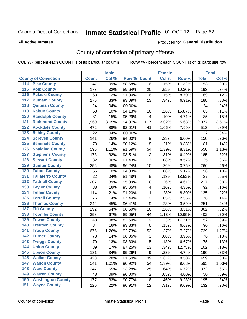#### **All Active Inmates**

#### Produced for **General Distribution**

## County of conviction of primary offense

|                                          |              | <b>Male</b> |         |                  | <b>Female</b> |        |                 | <b>Total</b> |
|------------------------------------------|--------------|-------------|---------|------------------|---------------|--------|-----------------|--------------|
| <b>County of Conviction</b>              | <b>Count</b> | Col %       | Row %   | <b>Count</b>     | Col %         | Row %  | <b>Total</b>    | Col %        |
| <b>Pike County</b><br>114                | 47           | .09%        | 88.68%  | 6                | .15%          | 11.32% | $\overline{53}$ | .09%         |
| <b>Polk County</b><br>$\overline{115}$   | 173          | .32%        | 89.64%  | 20               | .52%          | 10.36% | 193             | .34%         |
| <b>Pulaski County</b><br>116             | 63           | .12%        | 91.30%  | 6                | .15%          | 8.70%  | 69              | .12%         |
| <b>Putnam County</b><br>117              | 175          | .33%        | 93.09%  | 13               | .34%          | 6.91%  | 188             | .33%         |
| <b>Quitman County</b><br>118             | 24           | .04%        | 100.00% |                  |               |        | 24              | .04%         |
| <b>Rabun County</b><br>119               | 53           | .10%        | 84.13%  | 10               | .26%          | 15.87% | 63              | .11%         |
| <b>Randolph County</b><br>120            | 81           | .15%        | 95.29%  | 4                | .10%          | 4.71%  | 85              | .15%         |
| <b>Richmond County</b><br>121            | 1,960        | 3.65%       | 94.37%  | 117              | 3.02%         | 5.63%  | 2,077           | 3.61%        |
| <b>Rockdale County</b><br>122            | 472          | .88%        | 92.01%  | 41               | 1.06%         | 7.99%  | 513             | .89%         |
| <b>Schley County</b><br>123              | 22           | .04%        | 100.00% |                  |               |        | 22              | .04%         |
| <b>Screven County</b><br>124             | 141          | .26%        | 94.00%  | 9                | .23%          | 6.00%  | 150             | .26%         |
| <b>Seminole County</b><br>125            | 73           | .14%        | 90.12%  | 8                | .21%          | 9.88%  | 81              | .14%         |
| <b>Spalding County</b><br>126            | 596          | 1.11%       | 91.69%  | 54               | 1.39%         | 8.31%  | 650             | 1.13%        |
| <b>Stephens County</b><br>127            | 173          | .32%        | 93.51%  | 12               | .31%          | 6.49%  | 185             | .32%         |
| <b>Stewart County</b><br>128             | 32           | .06%        | 91.43%  | 3                | .08%          | 8.57%  | 35              | .06%         |
| <b>Sumter County</b><br>129              | 256          | .48%        | 96.24%  | 10               | .26%          | 3.76%  | 266             | .46%         |
| <b>Talbot County</b><br>130              | 55           | .10%        | 94.83%  | 3                | .08%          | 5.17%  | 58              | .10%         |
| <b>Taliaferro County</b><br>131          | 22           | .04%        | 81.48%  | 5                | .13%          | 18.52% | 27              | .05%         |
| <b>Tattnall County</b><br>132            | 207          | .39%        | 95.39%  | 10               | .26%          | 4.61%  | 217             | .38%         |
| <b>Taylor County</b><br>133              | 88           | .16%        | 95.65%  | 4                | .10%          | 4.35%  | 92              | .16%         |
| <b>Telfair County</b><br>134             | 114          | .21%        | 91.20%  | 11               | .28%          | 8.80%  | 125             | .22%         |
| <b>Terrell County</b><br>135             | 76           | .14%        | 97.44%  | $\boldsymbol{2}$ | .05%          | 2.56%  | 78              | .14%         |
| <b>Thomas County</b><br>136              | 242          | .45%        | 96.41%  | 9                | .23%          | 3.59%  | 251             | .44%         |
| <b>Tift County</b><br>137                | 292          | .54%        | 96.69%  | 10               | .26%          | 3.31%  | 302             | .52%         |
| <b>Toombs County</b><br>138              | 358          | .67%        | 89.05%  | 44               | 1.13%         | 10.95% | 402             | .70%         |
| <b>Towns County</b><br>139               | 43           | .08%        | 82.69%  | 9                | .23%          | 17.31% | 52              | .09%         |
| <b>Treutlen County</b><br>140            | 84           | .16%        | 93.33%  | 6                | .15%          | 6.67%  | 90              | .16%         |
| <b>Troup County</b><br>141               | 676          | 1.26%       | 92.73%  | 53               | 1.37%         | 7.27%  | 729             | 1.27%        |
| <b>Turner County</b><br>142              | 73           | .14%        | 96.05%  | 3                | .08%          | 3.95%  | 76              | .13%         |
| <b>Twiggs County</b><br>$\overline{143}$ | 70           | .13%        | 93.33%  | 5                | .13%          | 6.67%  | 75              | .13%         |
| <b>Union County</b><br>144               | 89           | .17%        | 87.25%  | 13               | .34%          | 12.75% | 102             | .18%         |
| 145<br><b>Upson County</b>               | 181          | .34%        | 95.26%  | 9                | .23%          | 4.74%  | 190             | .33%         |
| <b>Walker County</b><br>146              | 420          | .78%        | 91.50%  | 39               | 1.01%         | 8.50%  | 459             | .80%         |
| <b>Walton County</b><br>147              | 541          | 1.01%       | 90.92%  | 54               | 1.39%         | 9.08%  | 595             | 1.03%        |
| <b>Ware County</b><br>148                | 347          | .65%        | 93.28%  | 25               | .64%          | 6.72%  | 372             | .65%         |
| <b>Warren County</b><br>149              | 48           | .09%        | 96.00%  | $\overline{2}$   | .05%          | 4.00%  | 50              | .09%         |
| <b>Washington County</b><br>150          | 177          | .33%        | 90.77%  | 18               | .46%          | 9.23%  | 195             | .34%         |
| <b>Wayne County</b><br>151               | 120          | .22%        | 90.91%  | 12               | .31%          | 9.09%  | 132             | .23%         |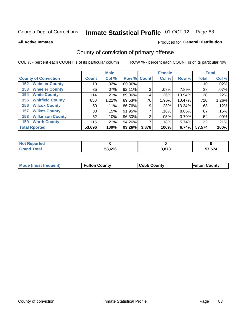**All Active Inmates**

### Produced for **General Distribution**

## County of conviction of primary offense

|                                |              | <b>Male</b> |             |       | <b>Female</b> |        |              | <b>Total</b> |
|--------------------------------|--------------|-------------|-------------|-------|---------------|--------|--------------|--------------|
| <b>County of Conviction</b>    | <b>Count</b> | Col %       | Row % Count |       | Col %         | Row %  | <b>Total</b> | Col %        |
| <b>Webster County</b><br>152   | 10           | .02%        | 100.00%     |       |               |        | 10           | .02%         |
| <b>Wheeler County</b><br>153   | 35           | $.07\%$     | 92.11%      | 3     | .08%          | 7.89%  | 38           | .07%         |
| <b>White County</b><br>154     | 114          | .21%        | 89.06%      | 14    | .36%          | 10.94% | 128          | .22%         |
| <b>Whitfield County</b><br>155 | 650          | 1.21%       | 89.53%      | 76    | 1.96%         | 10.47% | 726          | 1.26%        |
| <b>Wilcox County</b><br>156    | 59           | .11%        | 86.76%      | 9     | .23%          | 13.24% | 68           | .12%         |
| <b>Wilkes County</b><br>157    | 80           | .15%        | 91.95%      |       | .18%          | 8.05%  | 87           | .15%         |
| <b>Wilkinson County</b><br>158 | 52           | .10%        | 96.30%      | 2     | .05%          | 3.70%  | 54           | .09%         |
| <b>Worth County</b><br>159     | 115          | .21%        | 94.26%      |       | .18%          | 5.74%  | 122          | .21%         |
| <b>Total Rported</b>           | 53,696       | 100%        | 93.26%      | 3,878 | 100%          | 6.74%  | 57,574       | 100%         |

| <b>Not Reported</b> |        |       |        |
|---------------------|--------|-------|--------|
| <b>Grand Total</b>  | 53,696 | 3,878 | 57,574 |

| Mode (most frequent) | <b>Fulton County</b> | <b>Cobb County</b> | <b>Fulton County</b> |
|----------------------|----------------------|--------------------|----------------------|
|                      |                      |                    |                      |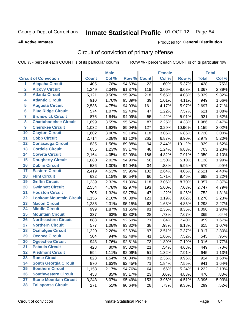#### **All Active Inmates**

#### Produced for **General Distribution**

## Circuit of conviction of primary offense

|                         |                                 |              | <b>Male</b> |        |              | <b>Female</b> |        |              | <b>Total</b> |
|-------------------------|---------------------------------|--------------|-------------|--------|--------------|---------------|--------|--------------|--------------|
|                         | <b>Circuit of Conviction</b>    | <b>Count</b> | Col %       | Row %  | <b>Count</b> | Col %         | Row %  | <b>Total</b> | Col %        |
| $\overline{1}$          | <b>Alapaha Circuit</b>          | 405          | .76%        | 94.63% | 23           | .60%          | 5.37%  | 428          | .75%         |
| $\overline{2}$          | <b>Alcovy Circuit</b>           | 1,249        | 2.34%       | 91.37% | 118          | 3.06%         | 8.63%  | 1,367        | 2.39%        |
| 3                       | <b>Atlanta Circuit</b>          | 5,121        | 9.58%       | 95.92% | 218          | 5.65%         | 4.08%  | 5,339        | 9.32%        |
| 4                       | <b>Atlantic Circuit</b>         | 910          | 1.70%       | 95.89% | 39           | 1.01%         | 4.11%  | 949          | 1.66%        |
| 5                       | <b>Augusta Circuit</b>          | 2,536        | 4.75%       | 94.03% | 161          | 4.17%         | 5.97%  | 2,697        | 4.71%        |
| 6                       | <b>Blue Ridge Circuit</b>       | 574          | 1.07%       | 92.43% | 47           | 1.22%         | 7.57%  | 621          | 1.08%        |
| $\overline{\mathbf{7}}$ | <b>Brunswick Circuit</b>        | 876          | 1.64%       | 94.09% | 55           | 1.42%         | 5.91%  | 931          | 1.62%        |
| 8                       | <b>Chattahoochee Circuit</b>    | 1,899        | 3.55%       | 95.62% | 87           | 2.25%         | 4.38%  | 1,986        | 3.47%        |
| $\overline{9}$          | <b>Cherokee Circuit</b>         | 1,032        | 1.93%       | 89.04% | 127          | 3.29%         | 10.96% | 1,159        | 2.02%        |
| 10                      | <b>Clayton Circuit</b>          | 1,602        | 3.00%       | 93.14% | 118          | 3.06%         | 6.86%  | 1,720        | 3.00%        |
| 11                      | <b>Cobb Circuit</b>             | 2,714        | 5.08%       | 91.10% | 265          | 6.87%         | 8.90%  | 2,979        | 5.20%        |
| 12                      | <b>Conasauga Circuit</b>        | 835          | 1.56%       | 89.88% | 94           | 2.44%         | 10.12% | 929          | 1.62%        |
| 13                      | <b>Cordele Circuit</b>          | 655          | 1.23%       | 93.17% | 48           | 1.24%         | 6.83%  | 703          | 1.23%        |
| $\overline{14}$         | <b>Coweta Circuit</b>           | 2,164        | 4.05%       | 92.09% | 186          | 4.82%         | 7.91%  | 2,350        | 4.10%        |
| 15                      | <b>Dougherty Circuit</b>        | 1,080        | 2.02%       | 94.90% | 58           | 1.50%         | 5.10%  | 1,138        | 1.99%        |
| 16                      | <b>Dublin Circuit</b>           | 536          | 1.00%       | 94.04% | 34           | .88%          | 5.96%  | 570          | .99%         |
| 17                      | <b>Eastern Circuit</b>          | 2,419        | 4.53%       | 95.95% | 102          | 2.64%         | 4.05%  | 2,521        | 4.40%        |
| 18                      | <b>Flint Circuit</b>            | 632          | 1.18%       | 90.54% | 66           | 1.71%         | 9.46%  | 698          | 1.22%        |
| 19                      | <b>Griffin Circuit</b>          | 1,239        | 2.32%       | 91.30% | 118          | 3.06%         | 8.70%  | 1,357        | 2.37%        |
| 20                      | <b>Gwinnett Circuit</b>         | 2,554        | 4.78%       | 92.97% | 193          | 5.00%         | 7.03%  | 2,747        | 4.79%        |
| $\overline{21}$         | <b>Houston Circuit</b>          | 705          | 1.32%       | 93.75% | 47           | 1.22%         | 6.25%  | 752          | 1.31%        |
| $\overline{22}$         | <b>Lookout Mountain Circuit</b> | 1,155        | 2.16%       | 90.38% | 123          | 3.19%         | 9.62%  | 1,278        | 2.23%        |
| 23                      | <b>Macon Circuit</b>            | 1,235        | 2.31%       | 95.15% | 63           | 1.63%         | 4.85%  | 1,298        | 2.27%        |
| 24                      | <b>Middle Circuit</b>           | 999          | 1.87%       | 91.65% | 91           | 2.36%         | 8.35%  | 1,090        | 1.90%        |
| 25                      | <b>Mountain Circuit</b>         | 337          | .63%        | 92.33% | 28           | .73%          | 7.67%  | 365          | .64%         |
| 26                      | <b>Northeastern Circuit</b>     | 888          | 1.66%       | 92.60% | 71           | 1.84%         | 7.40%  | 959          | 1.67%        |
| $\overline{27}$         | <b>Northern Circuit</b>         | 577          | 1.08%       | 93.82% | 38           | .98%          | 6.18%  | 615          | 1.07%        |
| 28                      | <b>Ocmulgee Circuit</b>         | 1,220        | 2.28%       | 92.63% | 97           | 2.51%         | 7.37%  | 1,317        | 2.30%        |
| 29                      | <b>Oconee Circuit</b>           | 504          | .94%        | 92.48% | 41           | 1.06%         | 7.52%  | 545          | .95%         |
| 30                      | <b>Ogeechee Circuit</b>         | 943          | 1.76%       | 92.81% | 73           | 1.89%         | 7.19%  | 1,016        | 1.77%        |
| $\overline{31}$         | <b>Pataula Circuit</b>          | 428          | .80%        | 95.32% | 21           | .54%          | 4.68%  | 449          | .78%         |
| 32                      | <b>Piedmont Circuit</b>         | 594          | 1.11%       | 92.09% | 51           | 1.32%         | 7.91%  | 645          | 1.13%        |
| 33                      | <b>Rome Circuit</b>             | 823          | 1.54%       | 90.04% | 91           | 2.36%         | 9.96%  | 914          | 1.60%        |
| 34                      | <b>South Georgia Circuit</b>    | 870          | 1.63%       | 92.45% | 71           | 1.84%         | 7.55%  | 941          | 1.64%        |
| 35                      | <b>Southern Circuit</b>         | 1,158        | 2.17%       | 94.76% | 64           | 1.66%         | 5.24%  | 1,222        | 2.13%        |
| 36                      | <b>Southwestern Circuit</b>     | 453          | .85%        | 95.17% | 23           | .60%          | 4.83%  | 476          | .83%         |
| 37                      | <b>Stone Mountain Circuit</b>   | 3,243        | 6.07%       | 95.49% | 153          | 3.96%         | 4.51%  | 3,396        | 5.93%        |
| 38                      | <b>Tallapoosa Circuit</b>       | 271          | .51%        | 90.64% | 28           | .73%          | 9.36%  | 299          | .52%         |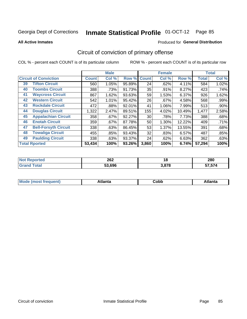**All Active Inmates**

#### Produced for **General Distribution**

## Circuit of conviction of primary offense

|    |                              |              | <b>Male</b> |        |              | <b>Female</b> |        |              | <b>Total</b> |
|----|------------------------------|--------------|-------------|--------|--------------|---------------|--------|--------------|--------------|
|    | <b>Circuit of Conviction</b> | <b>Count</b> | Col %       | Row %  | <b>Count</b> | Col %         | Row %  | <b>Total</b> | Col %        |
| 39 | <b>Tifton Circuit</b>        | 560          | 1.05%       | 95.89% | 24           | .62%          | 4.11%  | 584          | 1.02%        |
| 40 | <b>Toombs Circuit</b>        | 388          | .73%        | 91.73% | 35           | .91%          | 8.27%  | 423          | .74%         |
| 41 | <b>Waycross Circuit</b>      | 867          | 1.62%       | 93.63% | 59           | 1.53%         | 6.37%  | 926          | 1.62%        |
| 42 | <b>Western Circuit</b>       | 542          | 1.01%       | 95.42% | 26           | $.67\%$       | 4.58%  | 568          | .99%         |
| 43 | <b>Rockdale Circuit</b>      | 472          | .88%        | 92.01% | 41           | 1.06%         | 7.99%  | 513          | $.90\%$      |
| 44 | <b>Douglas Circuit</b>       | 1,322        | 2.47%       | 89.51% | 155          | 4.02%         | 10.49% | 1,477        | 2.58%        |
| 45 | <b>Appalachian Circuit</b>   | 358          | .67%        | 92.27% | 30           | .78%          | 7.73%  | 388          | .68%         |
| 46 | <b>Enotah Circuit</b>        | 359          | .67%        | 87.78% | 50           | 1.30%         | 12.22% | 409          | .71%         |
| 47 | <b>Bell-Forsyth Circuit</b>  | 338          | .63%        | 86.45% | 53           | 1.37%         | 13.55% | 391          | .68%         |
| 48 | <b>Towaliga Circuit</b>      | 455          | .85%        | 93.43% | 32           | .83%          | 6.57%  | 487          | .85%         |
| 49 | <b>Paulding Circuit</b>      | 338          | .63%        | 93.37% | 24           | .62%          | 6.63%  | 362          | .63%         |
|    | <b>Total Rported</b>         | 53,434       | 100%        | 93.26% | 3,860        | 100%          | 6.74%  | 57,294       | 100%         |

| тео | 262<br>$\sim$ $\sim$ | 10         | 280                 |
|-----|----------------------|------------|---------------------|
|     | 53.696               | 2070<br>70 | $- - - - -$<br>574. |

| M | . | -----<br>oг | ----<br>пLс |
|---|---|-------------|-------------|
|   |   | <b>OUNN</b> |             |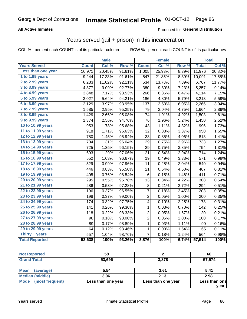### **All Active Inmates**

### Produced for **General Distribution**

### Years served (jail + prison) in this incarceration

|                              |              | <b>Male</b> |        |                | <b>Female</b> |                  |              | <b>Total</b> |
|------------------------------|--------------|-------------|--------|----------------|---------------|------------------|--------------|--------------|
| <b>Years Served</b>          | <b>Count</b> | Col %       | Row %  | <b>Count</b>   | Col %         | Row <sub>%</sub> | <b>Total</b> | Col %        |
| Less than one year           | 10,971       | 20.45%      | 91.61% | 1,005          | 25.93%        | 8.39%            | 11,976       | 20.82%       |
| 1 to 1.99 years              | 9,244        | 17.23%      | 91.61% | 847            | 21.85%        | 8.39%            | 10,091       | 17.55%       |
| $2$ to 2.99 years            | 6,233        | 11.62%      | 92.11% | 534            | 13.78%        | 7.89%            | 6,767        | 11.77%       |
| $3$ to $3.99$ years          | 4,877        | 9.09%       | 92.77% | 380            | 9.80%         | 7.23%            | 5,257        | 9.14%        |
| $\overline{4}$ to 4.99 years | 3,848        | 7.17%       | 93.53% | 266            | 6.86%         | 6.47%            | 4,114        | 7.15%        |
| 5 to 5.99 years              | 3,027        | 5.64%       | 94.21% | 186            | 4.80%         | 5.79%            | 3,213        | 5.59%        |
| 6 to 6.99 years              | 2,129        | 3.97%       | 93.95% | 137            | 3.53%         | 6.05%            | 2,266        | 3.94%        |
| 7 to 7.99 years              | 1,585        | 2.95%       | 95.25% | 79             | 2.04%         | 4.75%            | 1,664        | 2.89%        |
| <b>8 to 8.99 years</b>       | 1,429        | 2.66%       | 95.08% | 74             | 1.91%         | 4.92%            | 1,503        | 2.61%        |
| 9 to 9.99 years              | 1,374        | 2.56%       | 94.76% | 76             | 1.96%         | 5.24%            | 1,450        | 2.52%        |
| 10 to 10.99 years            | 953          | 1.78%       | 95.68% | 43             | 1.11%         | 4.32%            | 996          | 1.73%        |
| 11 to 11.99 years            | 918          | 1.71%       | 96.63% | 32             | 0.83%         | 3.37%            | 950          | 1.65%        |
| 12 to 12.99 years            | 780          | 1.45%       | 95.94% | 33             | 0.85%         | 4.06%            | 813          | 1.41%        |
| 13 to 13.99 years            | 704          | 1.31%       | 96.04% | 29             | 0.75%         | 3.96%            | 733          | 1.27%        |
| 14 to 14.99 years            | 725          | 1.35%       | 96.15% | 29             | 0.75%         | 3.85%            | 754          | 1.31%        |
| 15 to 15.99 years            | 693          | 1.29%       | 97.06% | 21             | 0.54%         | 2.94%            | 714          | 1.24%        |
| 16 to 16.99 years            | 552          | 1.03%       | 96.67% | 19             | 0.49%         | 3.33%            | 571          | 0.99%        |
| 17 to 17.99 years            | 529          | 0.99%       | 97.96% | 11             | 0.28%         | 2.04%            | 540          | 0.94%        |
| 18 to 18.99 years            | 446          | 0.83%       | 95.50% | 21             | 0.54%         | 4.50%            | 467          | 0.81%        |
| 19 to 19.99 years            | 405          | 0.76%       | 98.54% | $\,6$          | 0.15%         | 1.46%            | 411          | 0.71%        |
| 20 to 20.99 years            | 295          | 0.55%       | 95.78% | 13             | 0.34%         | 4.22%            | 308          | 0.54%        |
| 21 to 21.99 years            | 286          | 0.53%       | 97.28% | 8              | 0.21%         | 2.72%            | 294          | 0.51%        |
| 22 to 22.99 years            | 196          | 0.37%       | 96.55% | 7              | 0.18%         | 3.45%            | 203          | 0.35%        |
| 23 to 23.99 years            | 198          | 0.37%       | 99.00% | $\overline{2}$ | 0.05%         | 1.00%            | 200          | 0.35%        |
| 24 to 24.99 years            | 174          | 0.32%       | 97.75% | 4              | 0.10%         | 2.25%            | 178          | 0.31%        |
| 25 to 25.99 years            | 141          | 0.26%       | 99.30% | 1              | 0.03%         | 0.70%            | 142          | 0.25%        |
| 26 to 26.99 years            | 118          | 0.22%       | 98.33% | $\overline{c}$ | 0.05%         | 1.67%            | 120          | 0.21%        |
| 27 to 27.99 years            | 98           | 0.18%       | 98.00% | 2              | 0.05%         | 2.00%            | 100          | 0.17%        |
| 28 to 28.99 years            | 89           | 0.17%       | 98.89% | 1              | 0.03%         | 1.11%            | 90           | 0.16%        |
| 29 to 29.99 years            | 64           | 0.12%       | 98.46% | $\mathbf{1}$   | 0.03%         | 1.54%            | 65           | 0.11%        |
| Thirty + years               | 557          | 1.04%       | 98.76% | 7              | 0.18%         | 1.24%            | 564          | 0.98%        |
| <b>Total Reported</b>        | 53,638       | 100%        | 93.26% | 3,876          | 100%          | 6.74%            | 57,514       | 100%         |

| <b>rted</b>                                    | гο<br>ว๐      |                 | 60     |
|------------------------------------------------|---------------|-----------------|--------|
| $\mathsf{d}$ $\mathsf{d}$ $\mathsf{d}$<br>Grai | 53.696<br>ບບ. | 2070<br>J.O / O | 57,574 |
|                                                |               |                 |        |

| <b>Mean</b><br>(average) | 5.54               | 3.61               | 5.41          |
|--------------------------|--------------------|--------------------|---------------|
| <b>Median (middle)</b>   | 3.06               | 2.13               | 2.98          |
| Mode (most frequent)     | Less than one year | Less than one year | Less than one |
|                          |                    |                    | vear          |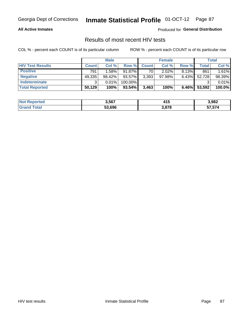### **All Active Inmates**

Produced for **General Distribution**

### Results of most recent HIV tests

|                         |              | <b>Male</b> |           |              | <b>Female</b> |          |        | Total  |
|-------------------------|--------------|-------------|-----------|--------------|---------------|----------|--------|--------|
| <b>HIV Test Results</b> | <b>Count</b> | Col%        | Row %I    | <b>Count</b> | Col %         | Row %    | Total  | Col %  |
| <b>Positive</b>         | 791          | 1.58%       | 91.87%    | 70           | $2.02\%$      | $8.13\%$ | 861    | 1.61%  |
| <b>Negative</b>         | 49,335       | 98.42%      | 93.57%    | 3,393        | $97.98\%$     | $6.43\%$ | 52,728 | 98.39% |
| Indeterminate           | ີ            | 0.01%       | 100.00%   |              |               |          |        | 0.01%  |
| <b>Total Reported</b>   | 50,129       | 100%        | $93.54\%$ | 3,463        | 100%          | $6.46\%$ | 53,592 | 100.0% |

| <b>Not Reported</b> | 3,567  | . .<br>415 | 3,982  |
|---------------------|--------|------------|--------|
| <b>Grand Total</b>  | 53,696 | 3,878      | 57,574 |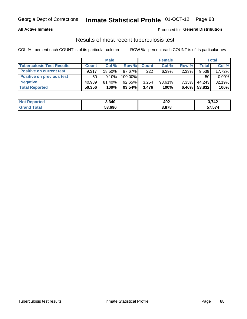### **All Active Inmates**

### Produced for **General Distribution**

### Results of most recent tuberculosis test

|                                  | <b>Male</b>  |           |           | <b>Female</b> |           |          | Total        |        |
|----------------------------------|--------------|-----------|-----------|---------------|-----------|----------|--------------|--------|
| <b>Tuberculosis Test Results</b> | <b>Count</b> | Col%      | Row %     | <b>Count</b>  | Col %     | Row %    | <b>Total</b> | Col %  |
| <b>Positive on current test</b>  | 9.317        | 18.50%    | 97.67%    | 222           | 6.39%     | 2.33%    | 9,539        | 17.72% |
| <b>Positive on previous test</b> | 50           | $0.10\%$  | 100.00%   |               |           |          | 50           | 0.09%  |
| <b>Negative</b>                  | 40,989       | $81.40\%$ | 92.65%    | 3,254         | $93.61\%$ | $7.35\%$ | 44,243       | 82.19% |
| <b>Total Reported</b>            | 50,356       | 100%      | $93.54\%$ | 3.476         | 100%      | $6.46\%$ | 53,832       | 100%   |

| <b>Not Reported</b> | 3,340  | 402   | 3,742<br>.        |
|---------------------|--------|-------|-------------------|
| Total<br>Gran       | 53,696 | 3,878 | -- -- 1<br>57.57ª |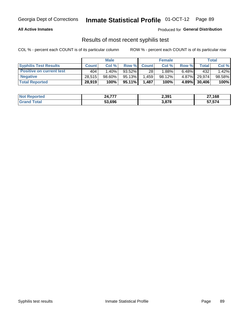### **All Active Inmates**

Produced for **General Distribution**

### Results of most recent syphilis test

|                                 | <b>Male</b>  |           |           | <b>Female</b> |           |          | Total   |        |
|---------------------------------|--------------|-----------|-----------|---------------|-----------|----------|---------|--------|
| <b>Syphilis Test Results</b>    | <b>Count</b> | Col%      | Row %     | <b>Count</b>  | Col %     | Row %    | Total I | Col %  |
| <b>Positive on current test</b> | 404          | $1.40\%$  | 93.52%    | 28            | $1.88\%$  | $6.48\%$ | 432     | 1.42%  |
| <b>Negative</b>                 | 28.515       | $98.60\%$ | 95.13%    | .459          | $98.12\%$ | $4.87\%$ | 29,974  | 98.58% |
| <b>Total Reported</b>           | 28,919       | 100%      | $95.11\%$ | 1,487         | 100%      | 4.89%    | 30,406  | 100%   |

| <b>Not Reported</b> | 24,777 | 2,391 | 27,168 |
|---------------------|--------|-------|--------|
| <b>Grand Total</b>  | 53.696 | 3,878 | 57,574 |